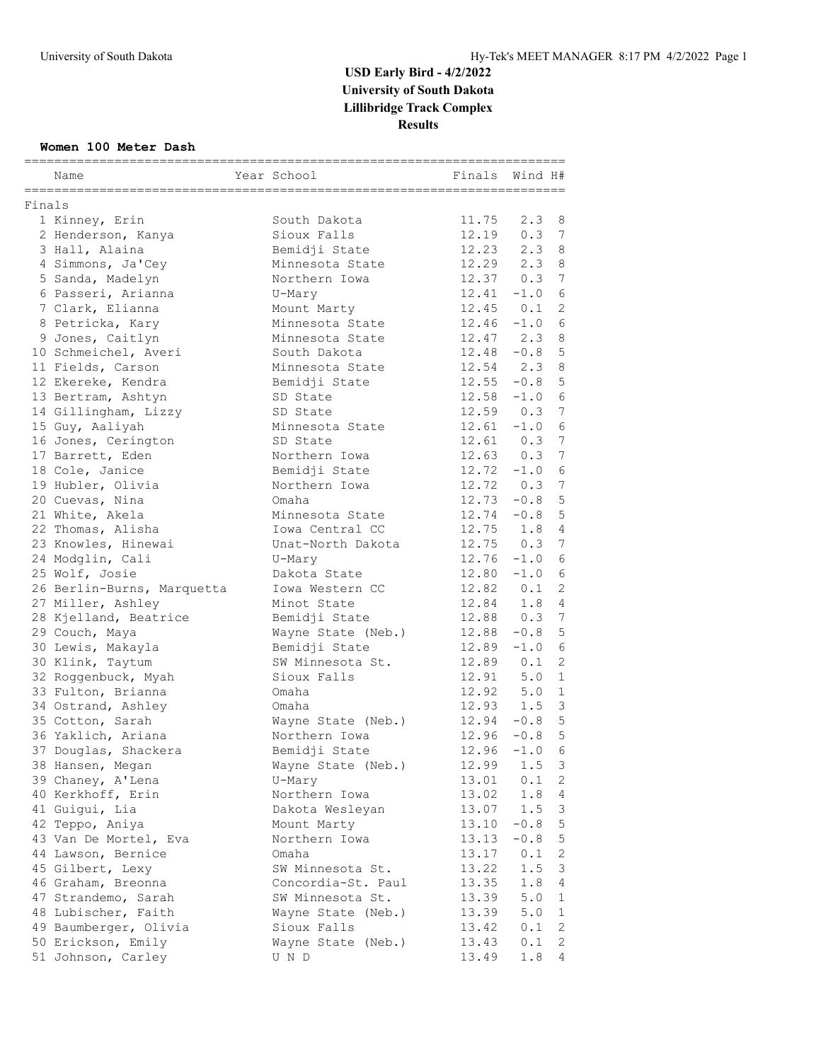#### **Women 100 Meter Dash**

|        | Name                                     | Year School        | Finals | Wind H#        |                     |
|--------|------------------------------------------|--------------------|--------|----------------|---------------------|
|        | ===========                              |                    |        |                |                     |
| Finals |                                          |                    |        |                |                     |
|        | 1 Kinney, Erin                           | South Dakota       | 11.75  | 2.3            | 8                   |
|        | 2 Henderson, Kanya                       | Sioux Falls        | 12.19  | 0.3            | 7                   |
|        | 3 Hall, Alaina                           | Bemidji State      | 12.23  | 2.3            | 8                   |
|        | 4 Simmons, Ja'Cey                        | Minnesota State    | 12.29  | 2.3            | 8                   |
|        | 5 Sanda, Madelyn                         | Northern Iowa      | 12.37  | 0.3            | $7\phantom{.0}$     |
|        | 6 Passeri, Arianna                       | U-Mary             | 12.41  | $-1.0$         | 6                   |
|        | 7 Clark, Elianna                         | Mount Marty        |        | $12.45$ 0.1    | 2                   |
|        | 8 Petricka, Kary                         | Minnesota State    |        | $12.46 - 1.0$  | 6                   |
|        | 9 Jones, Caitlyn                         | Minnesota State    | 12.47  | 2.3            | 8                   |
|        | 10 Schmeichel, Averi                     | South Dakota       |        | $12.48 - 0.8$  | $\overline{5}$      |
|        | 11 Fields, Carson                        | Minnesota State    | 12.54  | 2.3            | 8                   |
|        | 12 Ekereke, Kendra                       | Bemidji State      |        | $12.55 - 0.8$  | 5                   |
|        | 13 Bertram, Ashtyn                       | SD State           |        | $12.58 - 1.0$  | 6                   |
|        | 14 Gillingham, Lizzy                     | SD State           |        | $12.59$ 0.3    | 7                   |
|        | 15 Guy, Aaliyah                          | Minnesota State    |        | $12.61 - 1.0$  | 6                   |
|        | 16 Jones, Cerington                      | SD State           | 12.61  | 0.3            | 7                   |
|        | 17 Barrett, Eden                         | Northern Iowa      |        | $12.63$ 0.3    | $7\phantom{.0}$     |
|        | 18 Cole, Janice                          | Bemidji State      |        | $12.72 - 1.0$  | 6                   |
|        | 19 Hubler, Olivia                        | Northern Iowa      |        | $12.72 \t 0.3$ | $7\phantom{.0}$     |
|        | 20 Cuevas, Nina                          | Omaha              |        | $12.73 - 0.8$  | 5                   |
|        | 21 White, Akela                          | Minnesota State    |        | $12.74 - 0.8$  | 5                   |
|        | 22 Thomas, Alisha                        | Iowa Central CC    | 12.75  | 1.8            | $\overline{4}$      |
|        | 23 Knowles, Hinewai                      | Unat-North Dakota  |        | $12.75$ 0.3    | 7                   |
|        | 24 Modglin, Cali                         | U-Mary             |        | $12.76 - 1.0$  | 6                   |
|        | 25 Wolf, Josie                           | Dakota State       |        | $12.80 - 1.0$  | 6                   |
|        | 26 Berlin-Burns, Marquetta               | Iowa Western CC    |        | $12.82 \t 0.1$ | 2                   |
|        | 27 Miller, Ashley                        | Minot State        | 12.84  | 1.8            | $\overline{4}$      |
|        | 28 Kjelland, Beatrice                    | Bemidji State      | 12.88  | 0.3            | 7                   |
|        | 29 Couch, Maya                           | Wayne State (Neb.) | 12.88  | $-0.8$         | $\overline{5}$      |
|        | 30 Lewis, Makayla                        | Bemidji State      | 12.89  | $-1.0$         | 6                   |
|        | 30 Klink, Taytum                         | SW Minnesota St.   | 12.89  | 0.1            | $\overline{2}$      |
|        | 32 Roggenbuck, Myah                      | Sioux Falls        | 12.91  | 5.0            | $\mathbf{1}$        |
|        | 33 Fulton, Brianna                       | Omaha              | 12.92  | 5.0            | 1                   |
|        | 34 Ostrand, Ashley                       | Omaha              | 12.93  | 1.5            | 3                   |
|        | 35 Cotton, Sarah                         | Wayne State (Neb.) |        | $12.94 - 0.8$  | $\overline{5}$      |
|        | 36 Yaklich, Ariana                       | Northern Iowa      | 12.96  | $-0.8$         | 5                   |
|        | 37 Douglas, Shackera                     | Bemidji State      | 12.96  | $-1.0$         | 6                   |
|        | 38 Hansen, Megan                         | Wayne State (Neb.) | 12.99  | 1.5            | 3                   |
|        | 39 Chaney, A'Lena                        | U-Mary             | 13.01  | 0.1            | $\overline{c}$      |
|        | 40 Kerkhoff, Erin                        | Northern Iowa      | 13.02  | 1.8            | 4                   |
|        | 41 Guigui, Lia                           | Dakota Wesleyan    | 13.07  | 1.5            | 3                   |
|        | 42 Teppo, Aniya                          | Mount Marty        | 13.10  | $-0.8$         | $\mathbf 5$         |
|        | 43 Van De Mortel, Eva                    | Northern Iowa      | 13.13  | $-0.8$         | $\mathsf S$         |
|        | 44 Lawson, Bernice                       | Omaha              | 13.17  | 0.1            | 2                   |
|        | 45 Gilbert, Lexy                         | SW Minnesota St.   | 13.22  | 1.5            | 3                   |
|        | 46 Graham, Breonna                       | Concordia-St. Paul | 13.35  | 1.8            | 4                   |
|        | 47 Strandemo, Sarah                      | SW Minnesota St.   | 13.39  | 5.0            | 1                   |
|        | 48 Lubischer, Faith                      | Wayne State (Neb.) | 13.39  | 5.0            | $\mathbf{1}$        |
|        | 49 Baumberger, Olivia                    | Sioux Falls        | 13.42  | 0.1            | $\mathbf{2}$        |
|        | 50 Erickson, Emily<br>51 Johnson, Carley | Wayne State (Neb.) | 13.43  | 0.1<br>1.8     | 2<br>$\overline{4}$ |
|        |                                          | U N D              | 13.49  |                |                     |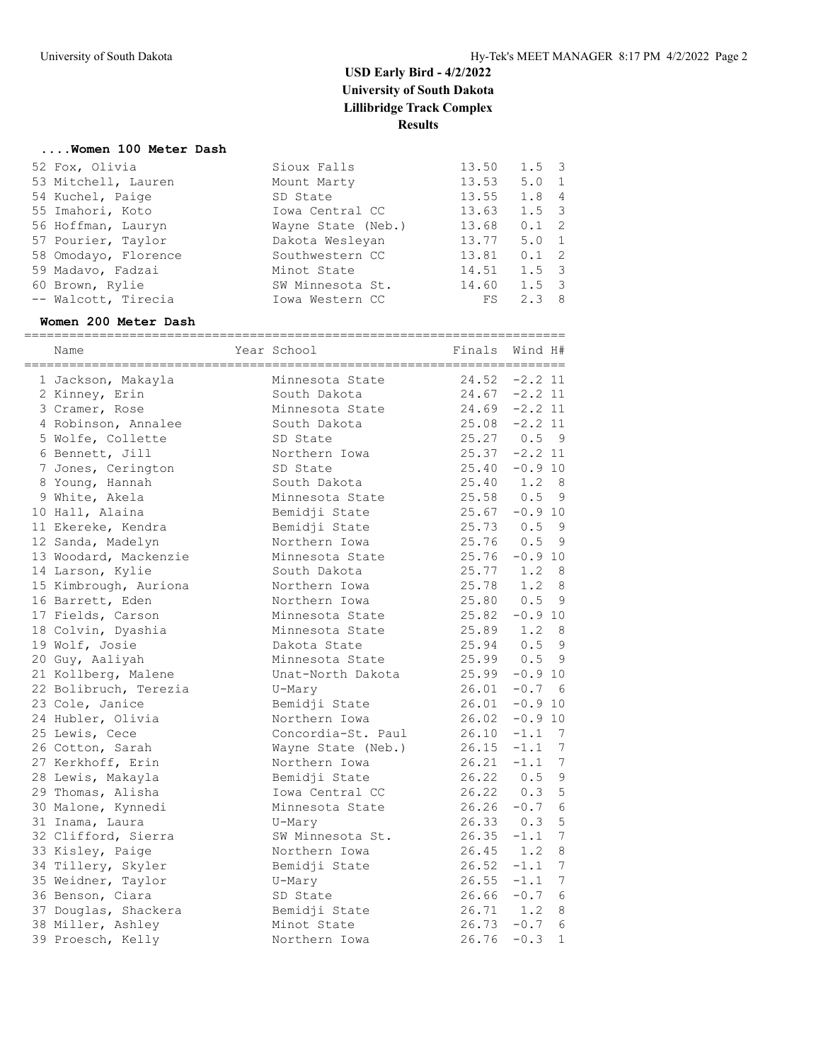#### **....Women 100 Meter Dash**

| 52 Fox, Olivia       | Sioux Falls        | 13.50 | $1.5 \quad 3$ |  |
|----------------------|--------------------|-------|---------------|--|
| 53 Mitchell, Lauren  | Mount Marty        | 13.53 | $5.0 \quad 1$ |  |
| 54 Kuchel, Paige     | SD State           | 13.55 | 1.8 4         |  |
| 55 Imahori, Koto     | Iowa Central CC    | 13.63 | $1.5 \quad 3$ |  |
| 56 Hoffman, Lauryn   | Wayne State (Neb.) | 13.68 | $0.1 \quad 2$ |  |
| 57 Pourier, Taylor   | Dakota Wesleyan    | 13.77 | $5.0 \quad 1$ |  |
| 58 Omodayo, Florence | Southwestern CC    | 13.81 | $0.1 \quad 2$ |  |
| 59 Madavo, Fadzai    | Minot State        | 14.51 | $1.5 \quad 3$ |  |
| 60 Brown, Rylie      | SW Minnesota St.   | 14.60 | $1.5 \quad 3$ |  |
| -- Walcott, Tirecia  | Iowa Western CC    | FS    | $2.3 \quad 8$ |  |
|                      |                    |       |               |  |

#### **Women 200 Meter Dash**

| Name                  | Year School        | Finals           | Wind H#       |                 |
|-----------------------|--------------------|------------------|---------------|-----------------|
| 1 Jackson, Makayla    | Minnesota State    | 24.52            | $-2.2$ 11     |                 |
| 2 Kinney, Erin        | South Dakota       | $24.67 - 2.2$ 11 |               |                 |
| 3 Cramer, Rose        | Minnesota State    | 24.69            | $-2.2$ 11     |                 |
| 4 Robinson, Annalee   | South Dakota       | 25.08            | $-2.2$ 11     |                 |
| 5 Wolfe, Collette     | SD State           | 25.27            | 0.5           | - 9             |
| 6 Bennett, Jill       | Northern Iowa      | 25.37            | $-2.2$ 11     |                 |
| 7 Jones, Cerington    | SD State           | 25.40            | $-0.9$ 10     |                 |
| 8 Young, Hannah       | South Dakota       | 25.40            | 1.2           | - 8             |
| 9 White, Akela        | Minnesota State    | 25.58            | 0.5           | - 9             |
| 10 Hall, Alaina       | Bemidji State      | 25.67            | $-0.9$ 10     |                 |
| 11 Ekereke, Kendra    | Bemidji State      | 25.73            | 0.5           | - 9             |
| 12 Sanda, Madelyn     | Northern Iowa      | 25.76            | 0.5           | - 9             |
| 13 Woodard, Mackenzie | Minnesota State    | 25.76            | $-0.9$ 10     |                 |
| 14 Larson, Kylie      | South Dakota       | 25.77            | $1.2 \quad 8$ |                 |
| 15 Kimbrough, Auriona | Northern Iowa      | 25.78            | 1.2           | 8               |
| 16 Barrett, Eden      | Northern Iowa      | 25.80            | 0.5           | 9               |
| 17 Fields, Carson     | Minnesota State    | 25.82            | $-0.9$ 10     |                 |
| 18 Colvin, Dyashia    | Minnesota State    | 25.89            | 1.2           | - 8             |
| 19 Wolf, Josie        | Dakota State       | 25.94            | 0.5           | - 9             |
| 20 Guy, Aaliyah       | Minnesota State    | $25.99$ 0.5      |               | 9               |
| 21 Kollberg, Malene   | Unat-North Dakota  | 25.99            | $-0.9$ 10     |                 |
| 22 Bolibruch, Terezia | U-Mary             | 26.01            | $-0.7$        | - 6             |
| 23 Cole, Janice       | Bemidji State      | 26.01            | $-0.9 10$     |                 |
| 24 Hubler, Olivia     | Northern Iowa      | 26.02            | $-0.9$ 10     |                 |
| 25 Lewis, Cece        | Concordia-St. Paul | 26.10            | $-1.1$        | 7               |
| 26 Cotton, Sarah      | Wayne State (Neb.) | 26.15            | $-1.1$        | 7               |
| 27 Kerkhoff, Erin     | Northern Iowa      | 26.21            | $-1.1$        | $7\phantom{.0}$ |
| 28 Lewis, Makayla     | Bemidji State      | 26.22            | 0.5           | $\mathfrak{g}$  |
| 29 Thomas, Alisha     | Iowa Central CC    | 26.22            | 0.3           | 5               |
| 30 Malone, Kynnedi    | Minnesota State    | 26.26            | $-0.7$        | 6               |
| 31 Inama, Laura       | U-Mary             | $26.33 \t 0.3$   |               | 5               |
| 32 Clifford, Sierra   | SW Minnesota St.   | 26.35            | $-1.1$        | 7               |
| 33 Kisley, Paige      | Northern Iowa      | 26.45            | 1.2           | 8               |
| 34 Tillery, Skyler    | Bemidji State      | 26.52            | $-1.1$        | 7               |
| 35 Weidner, Taylor    | U-Mary             | $26.55 - 1.1$    |               | 7               |
| 36 Benson, Ciara      | SD State           | $26.66 - 0.7$    |               | 6               |
| 37 Douglas, Shackera  | Bemidji State      | $26.71$ 1.2      |               | 8               |
| 38 Miller, Ashley     | Minot State        | $26.73 - 0.7$    |               | 6               |
| 39 Proesch, Kelly     | Northern Iowa      | 26.76            | $-0.3$        | $\mathbf 1$     |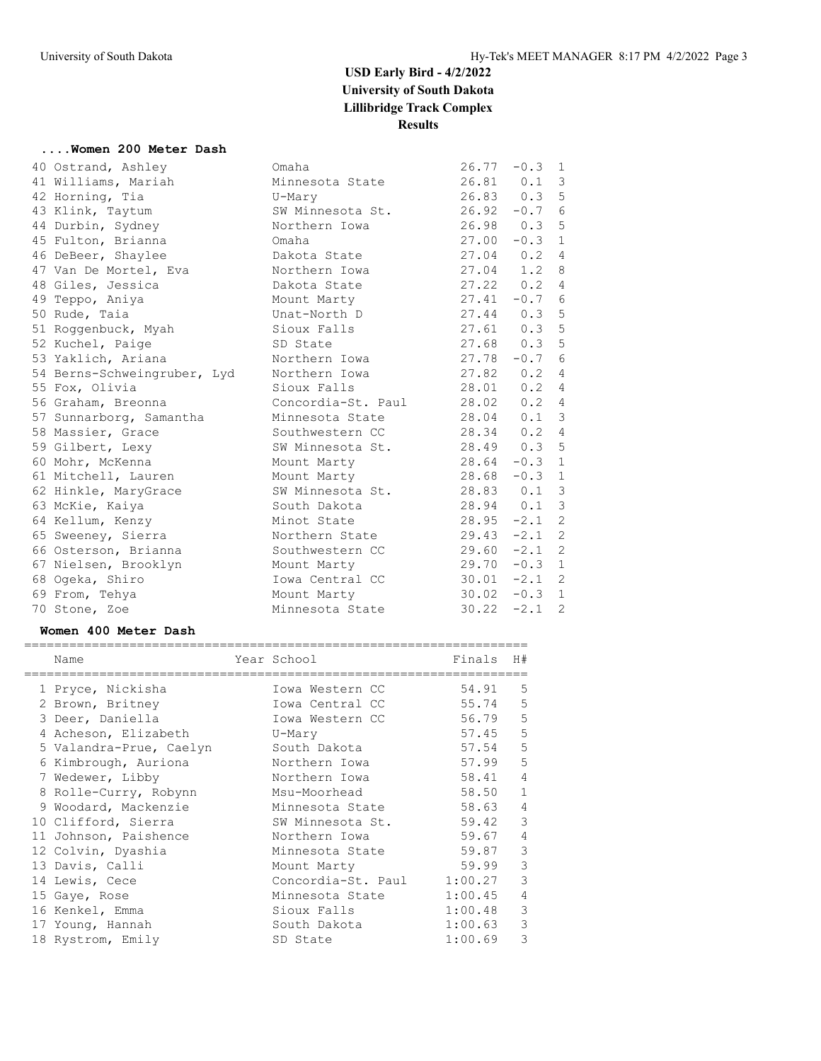#### **....Women 200 Meter Dash**

|  | 40 Ostrand, Ashley          | Omaha                          | 26.77           | $-0.3$          | $\mathbf{1}$            |
|--|-----------------------------|--------------------------------|-----------------|-----------------|-------------------------|
|  | 41 Williams, Mariah         | Minnesota State                |                 | $26.81$ 0.1 3   |                         |
|  | 42 Horning, Tia             | U-Mary                         | 26.83 0.3 5     |                 |                         |
|  | 43 Klink, Taytum            | SW Minnesota St. 26.92 -0.7    |                 |                 | $\sqrt{6}$              |
|  | 44 Durbin, Sydney           | Northern Iowa                  |                 | $26.98$ 0.3     | 5                       |
|  | 45 Fulton, Brianna          | Omaha                          | 27.00           | $-0.3$          | 1                       |
|  | 46 DeBeer, Shaylee          | Dakota State                   | 27.04 0.2 4     |                 |                         |
|  | 47 Van De Mortel, Eva       | Northern Iowa                  | 27.04           | $1.2 \quad 8$   |                         |
|  | 48 Giles, Jessica           | Dakota State                   | 27.22 0.2       |                 | $\overline{4}$          |
|  | 49 Teppo, Aniya             | Mount Marty                    | $27.41 - 0.76$  |                 |                         |
|  | 50 Rude, Taia               | Unat-North D                   | 27.44 0.3 5     |                 |                         |
|  | 51 Roggenbuck, Myah         | Sioux Falls                    | 27.61 0.3 5     |                 |                         |
|  | 52 Kuchel, Paige            | SD State                       | 27.68 0.3 5     |                 |                         |
|  | 53 Yaklich, Ariana          | Northern Iowa                  | 27.78           | $-0.7$          | $6\,$                   |
|  | 54 Berns-Schweingruber, Lyd | Northern Iowa                  | 27.82           | $0.2 \quad 4$   |                         |
|  | 55 Fox, Olivia              | Sioux Falls                    | 28.01           | 0.2             | $\overline{4}$          |
|  | 56 Graham, Breonna          | Concordia-St. Paul 28.02 0.2 4 |                 |                 |                         |
|  | 57 Sunnarborg, Samantha     | Minnesota State                | 28.04           | $0.1 \quad 3$   |                         |
|  | 58 Massier, Grace           | Southwestern CC 28.34          |                 | 0.24            |                         |
|  | 59 Gilbert, Lexy            | SW Minnesota St. 28.49 0.3 5   |                 |                 |                         |
|  | 60 Mohr, McKenna            | Mount Marty                    | $28.64 -0.3 1$  |                 |                         |
|  | 61 Mitchell, Lauren         | Mount Marty                    | $28.68 - 0.3$ 1 |                 |                         |
|  | 62 Hinkle, MaryGrace        | SW Minnesota St. 28.83 0.1 3   |                 |                 |                         |
|  | 63 McKie, Kaiya             | South Dakota                   |                 | 28.94 0.1       | $\overline{\mathbf{3}}$ |
|  | 64 Kellum, Kenzy            | Minot State                    | 28.95           | $-2.1$ 2        |                         |
|  | 65 Sweeney, Sierra          | Northern State 29.43 -2.1 2    |                 |                 |                         |
|  | 66 Osterson, Brianna        | Southwestern CC                | $29.60 -2.1$ 2  |                 |                         |
|  | 67 Nielsen, Brooklyn        | Mount Marty                    |                 | $29.70 - 0.3 1$ |                         |
|  | 68 Ogeka, Shiro             | Iowa Central CC                |                 | $30.01 -2.1$ 2  |                         |
|  | 69 From, Tehya              | Mount Marty                    | $30.02 -0.3$ 1  |                 |                         |
|  | 70 Stone, Zoe               | Minnesota State                | 30.22           | $-2.1$          | 2                       |
|  |                             |                                |                 |                 |                         |

#### **Women 400 Meter Dash**

| Name                    | Year School        | Finals  | H#             |
|-------------------------|--------------------|---------|----------------|
| 1 Pryce, Nickisha       | Iowa Western CC    | 54.91   | 5              |
| 2 Brown, Britney        | Iowa Central CC    | 55.74   | 5              |
| 3 Deer, Daniella        | Iowa Western CC    | 56.79   | 5              |
| 4 Acheson, Elizabeth    | U-Mary             | 57.45   | 5              |
| 5 Valandra-Prue, Caelyn | South Dakota       | 57.54   | 5              |
| 6 Kimbrough, Auriona    | Northern Iowa      | 57.99   | 5              |
| 7 Wedewer, Libby        | Northern Iowa      | 58.41   | $\overline{4}$ |
| 8 Rolle-Curry, Robynn   | Msu-Moorhead       | 58.50   | $\mathbf{1}$   |
| 9 Woodard, Mackenzie    | Minnesota State    | 58.63   | $\overline{4}$ |
| 10 Clifford, Sierra     | SW Minnesota St.   | 59.42   | 3              |
| 11 Johnson, Paishence   | Northern Iowa      | 59.67   | $\overline{4}$ |
| 12 Colvin, Dyashia      | Minnesota State    | 59.87   | 3              |
| 13 Davis, Calli         | Mount Marty        | 59.99   | 3              |
| 14 Lewis, Cece          | Concordia-St. Paul | 1:00.27 | 3              |
| 15 Gaye, Rose           | Minnesota State    | 1:00.45 | $\overline{4}$ |
| 16 Kenkel, Emma         | Sioux Falls        | 1:00.48 | 3              |
| 17 Young, Hannah        | South Dakota       | 1:00.63 | 3              |
| 18 Rystrom, Emily       | SD State           | 1:00.69 | 3              |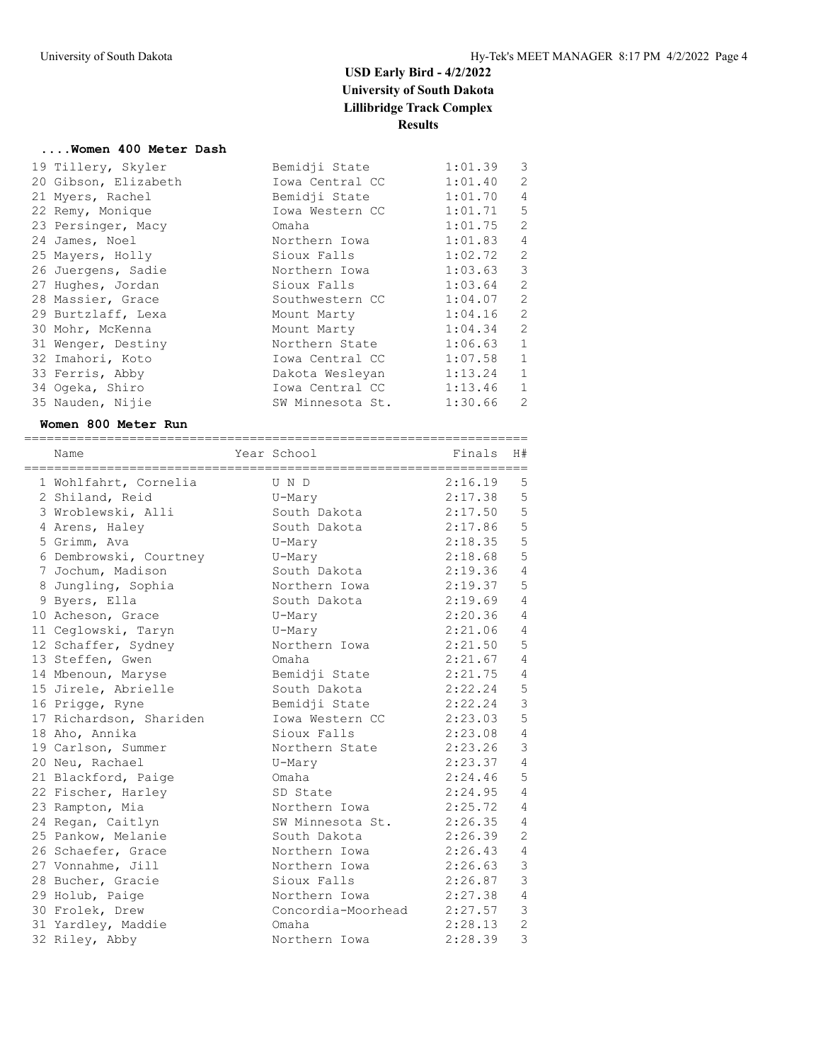#### **....Women 400 Meter Dash**

| 19 Tillery, Skyler   | Bemidji State    | 1:01.39 | 3              |
|----------------------|------------------|---------|----------------|
| 20 Gibson, Elizabeth | Iowa Central CC  | 1:01.40 | 2              |
| 21 Myers, Rachel     | Bemidji State    | 1:01.70 | $\overline{4}$ |
| 22 Remy, Monique     | Iowa Western CC  | 1:01.71 | 5              |
| 23 Persinger, Macy   | Omaha            | 1:01.75 | 2              |
| 24 James, Noel       | Northern Iowa    | 1:01.83 | $\overline{4}$ |
| 25 Mayers, Holly     | Sioux Falls      | 1:02.72 | 2              |
| 26 Juergens, Sadie   | Northern Iowa    | 1:03.63 | $\mathcal{E}$  |
| 27 Hughes, Jordan    | Sioux Falls      | 1:03.64 | 2              |
| 28 Massier, Grace    | Southwestern CC  | 1:04.07 | 2              |
| 29 Burtzlaff, Lexa   | Mount Marty      | 1:04.16 | 2              |
| 30 Mohr, McKenna     | Mount Marty      | 1:04.34 | 2              |
| 31 Wenger, Destiny   | Northern State   | 1:06.63 | $\mathbf{1}$   |
| 32 Imahori, Koto     | Iowa Central CC  | 1:07.58 | $\mathbf{1}$   |
| 33 Ferris, Abby      | Dakota Wesleyan  | 1:13.24 | $\mathbf{1}$   |
| 34 Ogeka, Shiro      | Iowa Central CC  | 1:13.46 | $\mathbf{1}$   |
| 35 Nauden, Nijie     | SW Minnesota St. | 1:30.66 | 2              |

#### **Women 800 Meter Run**

| Name                    | Year School        | Finals  | H#             |
|-------------------------|--------------------|---------|----------------|
| 1 Wohlfahrt, Cornelia   | $U$ $N$ $D$        | 2:16.19 | 5              |
| 2 Shiland, Reid         | U-Mary             | 2:17.38 | 5              |
| 3 Wroblewski, Alli      | South Dakota       | 2:17.50 | 5              |
| 4 Arens, Haley          | South Dakota       | 2:17.86 | 5              |
| 5 Grimm, Ava            | U-Mary             | 2:18.35 | 5              |
| 6 Dembrowski, Courtney  | U-Mary             | 2:18.68 | 5              |
| 7 Jochum, Madison       | South Dakota       | 2:19.36 | 4              |
| 8 Jungling, Sophia      | Northern Iowa      | 2:19.37 | 5              |
| 9 Byers, Ella           | South Dakota       | 2:19.69 | $\overline{4}$ |
| 10 Acheson, Grace       | U-Mary             | 2:20.36 | $\overline{4}$ |
| 11 Ceglowski, Taryn     | U-Mary             | 2:21.06 | $\overline{4}$ |
| 12 Schaffer, Sydney     | Northern Iowa      | 2:21.50 | 5              |
| 13 Steffen, Gwen        | Omaha              | 2:21.67 | $\overline{4}$ |
| 14 Mbenoun, Maryse      | Bemidji State      | 2:21.75 | 4              |
| 15 Jirele, Abrielle     | South Dakota       | 2:22.24 | $\mathsf S$    |
| 16 Prigge, Ryne         | Bemidji State      | 2:22.24 | $\mathbf{3}$   |
| 17 Richardson, Shariden | Iowa Western CC    | 2:23.03 | 5              |
| 18 Aho, Annika          | Sioux Falls        | 2:23.08 | $\overline{4}$ |
| 19 Carlson, Summer      | Northern State     | 2:23.26 | $\mathcal{S}$  |
| 20 Neu, Rachael         | U-Mary             | 2:23.37 | 4              |
| 21 Blackford, Paige     | Omaha              | 2:24.46 | 5              |
| 22 Fischer, Harley      | SD State           | 2:24.95 | $\overline{4}$ |
| 23 Rampton, Mia         | Northern Iowa      | 2:25.72 | $\overline{4}$ |
| 24 Regan, Caitlyn       | SW Minnesota St.   | 2:26.35 | $\overline{4}$ |
| 25 Pankow, Melanie      | South Dakota       | 2:26.39 | $\mathbf{2}$   |
| 26 Schaefer, Grace      | Northern Iowa      | 2:26.43 | 4              |
| 27 Vonnahme, Jill       | Northern Iowa      | 2:26.63 | $\mathfrak{Z}$ |
| 28 Bucher, Gracie       | Sioux Falls        | 2:26.87 | 3              |
| 29 Holub, Paige         | Northern Iowa      | 2:27.38 | $\overline{4}$ |
| 30 Frolek, Drew         | Concordia-Moorhead | 2:27.57 | $\mathsf 3$    |
| 31 Yardley, Maddie      | Omaha              | 2:28.13 | $\overline{2}$ |
| 32 Riley, Abby          | Northern Iowa      | 2:28.39 | 3              |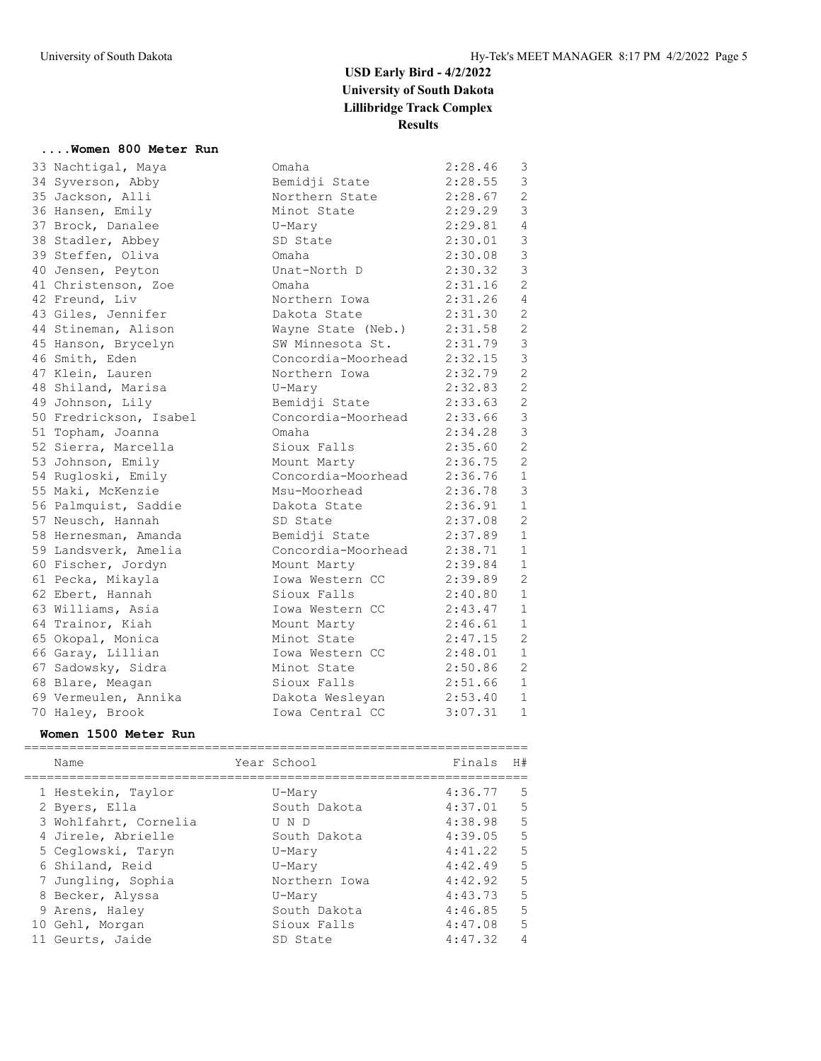#### **....Women 800 Meter Run**

| 33 Nachtigal, Maya     | Omaha                        | 2:28.46   | 3              |
|------------------------|------------------------------|-----------|----------------|
| 34 Syverson, Abby      | Bemidji State                | 2:28.55   | $\mathcal{S}$  |
| 35 Jackson, Alli       | Northern State 2:28.67       |           | 2              |
| 36 Hansen, Emily       | Minot State                  | 2:29.29   | $\mathcal{S}$  |
| 37 Brock, Danalee      | U-Mary                       | 2:29.81   | $\overline{4}$ |
| 38 Stadler, Abbey      | SD State                     | 2:30.01   | $\mathcal{S}$  |
| 39 Steffen, Oliva      | Omaha                        | 2:30.08   | $\mathcal{S}$  |
| 40 Jensen, Peyton      | Unat-North D                 | 2:30.32   | $\mathcal{S}$  |
| 41 Christenson, Zoe    | Omaha                        | 2:31.16   | $\overline{2}$ |
| 42 Freund, Liv         | Northern Iowa 2:31.26 4      |           |                |
| 43 Giles, Jennifer     | Dakota State                 | 2:31.30   | 2              |
| 44 Stineman, Alison    | Wayne State (Neb.) 2:31.58   |           | 2              |
| 45 Hanson, Brycelyn    | SW Minnesota St. 2:31.79     |           | $\mathfrak{Z}$ |
| 46 Smith, Eden         | Concordia-Moorhead 2:32.15   |           | $\mathfrak{Z}$ |
| 47 Klein, Lauren       | Northern Iowa 2:32.79        |           | $\overline{2}$ |
| 48 Shiland, Marisa     | U-Mary                       | 2:32.83   | 2              |
| 49 Johnson, Lily       | Bemidji State                | 2:33.63   | 2              |
| 50 Fredrickson, Isabel | Concordia-Moorhead 2:33.66   |           | $\mathcal{E}$  |
| 51 Topham, Joanna      | Omaha                        | 2:34.28   | $\mathcal{S}$  |
| 52 Sierra, Marcella    | Sioux Falls                  | 2:35.60   | 2              |
| 53 Johnson, Emily      | Mount Marty                  | 2:36.75   | 2              |
| 54 Rugloski, Emily     | Concordia-Moorhead 2:36.76   |           | $\mathbf{1}$   |
| 55 Maki, McKenzie      | Msu-Moorhead                 | 2:36.78   | $\mathcal{E}$  |
| 56 Palmquist, Saddie   | Dakota State                 | 2:36.91   | $\mathbf{1}$   |
| 57 Neusch, Hannah      | SD State                     | 2:37.08   | 2              |
| 58 Hernesman, Amanda   | Bemidji State                | 2:37.89   | 1              |
| 59 Landsverk, Amelia   | Concordia-Moorhead 2:38.71 1 |           |                |
| 60 Fischer, Jordyn     | Mount Marty                  | 2:39.84   | 1              |
| 61 Pecka, Mikayla      | Iowa Western CC              | 2:39.89   | 2              |
| 62 Ebert, Hannah       | Sioux Falls                  | 2:40.80 1 |                |
| 63 Williams, Asia      | Iowa Western CC              | 2:43.47   | $\mathbf{1}$   |
| 64 Trainor, Kiah       | Mount Marty                  | 2:46.61   | $\mathbf{1}$   |
| 65 Okopal, Monica      | Minot State                  | 2:47.15   | 2              |
| 66 Garay, Lillian      | Iowa Western CC 2:48.01      |           | $\mathbf{1}$   |
| 67 Sadowsky, Sidra     | Minot State                  | 2:50.86   | 2              |
| 68 Blare, Meagan       | Sioux Falls                  | 2:51.66   | $\mathbf{1}$   |
| 69 Vermeulen, Annika   | Dakota Wesleyan 2:53.40 1    |           |                |
| 70 Haley, Brook        | Iowa Central CC              | 3:07.31 1 |                |
|                        |                              |           |                |

#### **Women 1500 Meter Run**

|  | Name                  | Year School   | Finals  | H#             |
|--|-----------------------|---------------|---------|----------------|
|  | 1 Hestekin, Taylor    | U-Mary        | 4:36.77 | .5             |
|  | 2 Byers, Ella         | South Dakota  | 4:37.01 | 5              |
|  | 3 Wohlfahrt, Cornelia | U N D         | 4:38.98 | 5              |
|  | 4 Jirele, Abrielle    | South Dakota  | 4:39.05 | 5              |
|  | 5 Ceglowski, Taryn    | U-Mary        | 4:41.22 | 5              |
|  | 6 Shiland, Reid       | U-Mary        | 4:42.49 | 5              |
|  | 7 Jungling, Sophia    | Northern Iowa | 4:42.92 | 5              |
|  | 8 Becker, Alyssa      | U-Mary        | 4:43.73 | 5              |
|  | 9 Arens, Haley        | South Dakota  | 4:46.85 | 5              |
|  | 10 Gehl, Morgan       | Sioux Falls   | 4:47.08 | 5              |
|  | Geurts, Jaide         | SD State      | 4:47.32 | $\overline{4}$ |
|  |                       |               |         |                |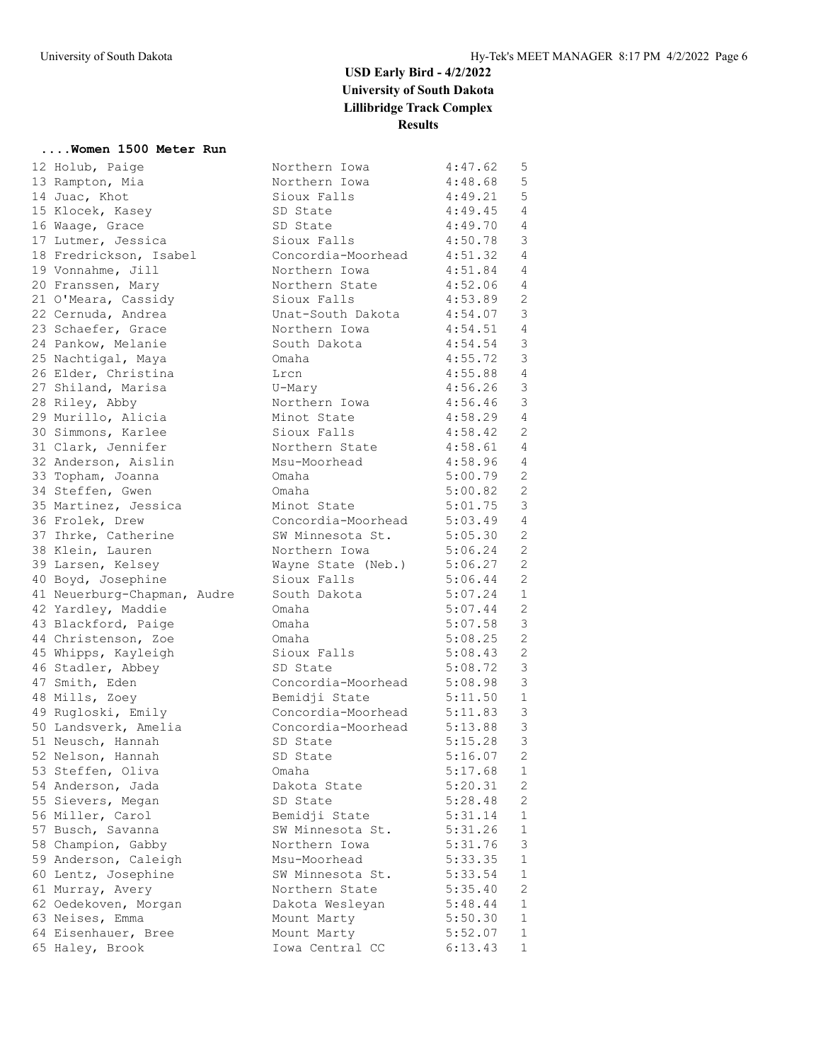#### **....Women 1500 Meter Run**

| 12 Holub, Paige             | Northern Iowa              | 4:47.62     | 5               |
|-----------------------------|----------------------------|-------------|-----------------|
| 13 Rampton, Mia             | Northern Iowa              | 4:48.68     | $5\phantom{.0}$ |
| 14 Juac, Khot               | Sioux Falls                | 4:49.21     | 5               |
| 15 Klocek, Kasey            | SD State                   | 4:49.45     | $\overline{4}$  |
| 16 Waage, Grace             | SD State                   | 4:49.70     | $\overline{4}$  |
| 17 Lutmer, Jessica          | Sioux Falls                | 4:50.78     | $\mathcal{E}$   |
| 18 Fredrickson, Isabel      | Concordia-Moorhead 4:51.32 |             | $\overline{4}$  |
| 19 Vonnahme, Jill           | Northern Iowa              | $4:51.84$ 4 |                 |
| 20 Franssen, Mary           | Northern State             | $4:52.06$ 4 |                 |
| 21 O'Meara, Cassidy         | Sioux Falls                | 4:53.89     | 2               |
| 22 Cernuda, Andrea          | Unat-South Dakota          | 4:54.07     | 3               |
| 23 Schaefer, Grace          | Northern Iowa              | 4:54.51     | $\overline{4}$  |
| 24 Pankow, Melanie          | South Dakota               | 4:54.54     | $\mathcal{S}$   |
| 25 Nachtigal, Maya          | Omaha                      | 4:55.72     | 3               |
| 26 Elder, Christina         | Lrcn                       | 4:55.88 4   |                 |
| 27 Shiland, Marisa          | U-Mary                     | 4:56.26     | $\mathcal{S}$   |
| 28 Riley, Abby              | Northern Iowa              | 4:56.46     | $\mathcal{E}$   |
| 29 Murillo, Alicia          | Minot State                | 4:58.29     | $\overline{4}$  |
| 30 Simmons, Karlee          | Sioux Falls                | 4:58.42 2   |                 |
| 31 Clark, Jennifer          | Northern State 4:58.61 4   |             |                 |
|                             | Msu-Moorhead               | 4:58.96 4   |                 |
| 32 Anderson, Aislin         | Omaha                      |             | 2               |
| 33 Topham, Joanna           |                            | 5:00.79     | 2               |
| 34 Steffen, Gwen            | Omaha                      | 5:00.82     |                 |
| 35 Martinez, Jessica        | Minot State                | 5:01.75     | $\mathcal{S}$   |
| 36 Frolek, Drew             | Concordia-Moorhead 5:03.49 |             | $\overline{4}$  |
| 37 Ihrke, Catherine         | SW Minnesota St. 5:05.30   |             | 2               |
| 38 Klein, Lauren            | Northern Iowa              | 5:06.24     | 2               |
| 39 Larsen, Kelsey           | Wayne State (Neb.)         | 5:06.27     | 2               |
| 40 Boyd, Josephine          | Sioux Falls                | 5:06.44     | 2               |
| 41 Neuerburg-Chapman, Audre | South Dakota               | 5:07.24     | 1               |
| 42 Yardley, Maddie          | Omaha                      | 5:07.44     | 2               |
| 43 Blackford, Paige         | Omaha                      | 5:07.58     | 3               |
| 44 Christenson, Zoe         | Omaha                      | 5:08.25     | 2               |
| 45 Whipps, Kayleigh         | Sioux Falls                | 5:08.43     | $\mathbf{2}$    |
| 46 Stadler, Abbey           | SD State                   | 5:08.72     | 3               |
| 47 Smith, Eden              | Concordia-Moorhead         | 5:08.98     | 3               |
| 48 Mills, Zoey              | Bemidji State              | 5:11.50     | 1               |
| 49 Rugloski, Emily          | Concordia-Moorhead 5:11.83 |             | $\mathbf{3}$    |
| 50 Landsverk, Amelia        | Concordia-Moorhead 5:13.88 |             | $\mathcal{E}$   |
| 51 Neusch, Hannah           | SD State                   | 5:15.28     | $\mathcal{E}$   |
| 52 Nelson, Hannah           | SD State                   | 5:16.07     | $\overline{2}$  |
| 53 Steffen, Oliva           | Omaha                      | 5:17.68     | 1               |
| 54 Anderson, Jada           | Dakota State               | 5:20.31     | 2               |
| 55 Sievers, Megan           | SD State                   | 5:28.48     | 2               |
| 56 Miller, Carol            | Bemidji State              | 5:31.14     | 1               |
| 57 Busch, Savanna           | SW Minnesota St.           | 5:31.26     | 1               |
| 58 Champion, Gabby          | Northern Iowa              | 5:31.76     | $\mathsf 3$     |
| 59 Anderson, Caleigh        | Msu-Moorhead               | 5:33.35     | $\mathbf{1}$    |
| 60 Lentz, Josephine         | SW Minnesota St.           | 5:33.54     | $\mathbf{1}$    |
| 61 Murray, Avery            | Northern State             | 5:35.40     | 2               |
| 62 Oedekoven, Morgan        | Dakota Wesleyan            | 5:48.44     | 1               |
| 63 Neises, Emma             | Mount Marty                | 5:50.30     | $\mathbf 1$     |
| 64 Eisenhauer, Bree         | Mount Marty                | 5:52.07     | $\mathbf{1}$    |
| 65 Haley, Brook             | Iowa Central CC            | 6:13.43     | $\mathbf{1}$    |
|                             |                            |             |                 |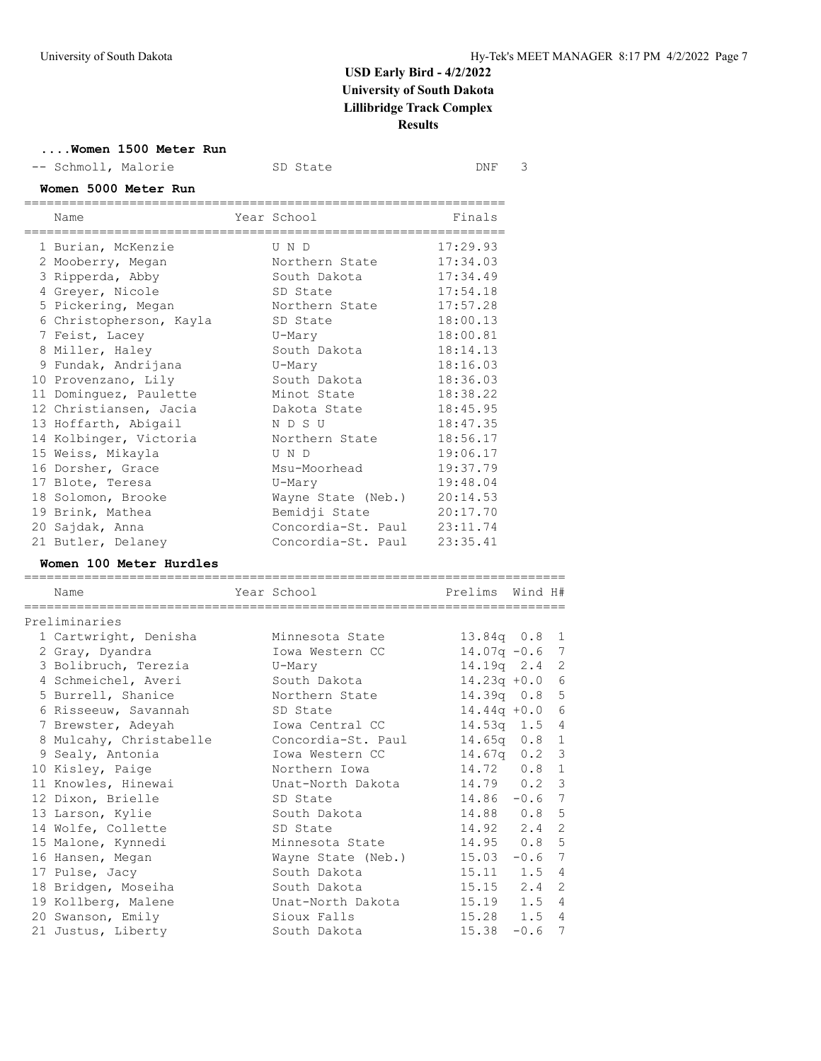| Women 1500 Meter Run<br>-- Schmoll, Malorie                 | SD State           | DNF                     | 3       |                |
|-------------------------------------------------------------|--------------------|-------------------------|---------|----------------|
| Women 5000 Meter Run<br>===========================<br>Name | Year School        | Finals                  |         |                |
| --------------------------------------                      |                    | , _____________________ |         |                |
| 1 Burian, McKenzie                                          | U N D              | 17:29.93                |         |                |
| 2 Mooberry, Megan                                           | Northern State     | 17:34.03                |         |                |
| 3 Ripperda, Abby                                            | South Dakota       | 17:34.49                |         |                |
| 4 Greyer, Nicole                                            | SD State           | 17:54.18                |         |                |
| 5 Pickering, Megan                                          | Northern State     | 17:57.28                |         |                |
| 6 Christopherson, Kayla                                     | SD State           | 18:00.13                |         |                |
| 7 Feist, Lacey                                              | U-Mary             | 18:00.81                |         |                |
| 8 Miller, Haley                                             | South Dakota       | 18:14.13                |         |                |
| 9 Fundak, Andrijana                                         | U-Mary             | 18:16.03                |         |                |
| 10 Provenzano, Lily                                         | South Dakota       | 18:36.03                |         |                |
| 11 Dominguez, Paulette                                      | Minot State        | 18:38.22                |         |                |
| 12 Christiansen, Jacia                                      | Dakota State       | 18:45.95                |         |                |
| 13 Hoffarth, Abigail                                        | N D S U            | 18:47.35                |         |                |
| 14 Kolbinger, Victoria                                      | Northern State     | 18:56.17                |         |                |
| 15 Weiss, Mikayla                                           | U N D              | 19:06.17                |         |                |
| 16 Dorsher, Grace                                           | Msu-Moorhead       | 19:37.79                |         |                |
| 17 Blote, Teresa                                            | U-Mary             | 19:48.04                |         |                |
| 18 Solomon, Brooke                                          | Wayne State (Neb.) | 20:14.53                |         |                |
| 19 Brink, Mathea                                            | Bemidji State      | 20:17.70                |         |                |
| 20 Sajdak, Anna                                             | Concordia-St. Paul | 23:11.74                |         |                |
| 21 Butler, Delaney                                          | Concordia-St. Paul | 23:35.41                |         |                |
| Women 100 Meter Hurdles                                     |                    |                         |         |                |
| Name<br>=============                                       | Year School        | Prelims                 | Wind H# |                |
| Preliminaries                                               |                    |                         |         |                |
| 1 Cartwright, Denisha                                       | Minnesota State    | 13.84q 0.8              |         | 1              |
| 2 Gray, Dyandra                                             | Iowa Western CC    | $14.07q - 0.6$          |         | 7              |
| 3 Bolibruch, Terezia                                        | U-Mary             | 14.19q 2.4              |         | $\overline{2}$ |
| 4 Schmeichel, Averi                                         | South Dakota       | $14.23q +0.0$           |         | 6              |
| 5 Burrell, Shanice                                          | Northern State     | $14.39q$ 0.8            |         | 5              |
| 6 Risseeuw, Savannah                                        | SD State           | $14.44q + 0.0$          |         | 6              |
| 7 Brewster, Adeyah                                          | Iowa Central CC    | $14.53q$ 1.5            |         | 4              |
| 8 Mulcahy, Christabelle                                     | Concordia-St. Paul | $14.65q$ $0.8$          |         | $\mathbf{1}$   |
| 9 Sealy, Antonia                                            | Iowa Western CC    | $14.67q$ 0.2            |         | 3              |

| 7 Brewster, Adeyah      | Iowa Central CC    | $14.53q$ 1.5 4    |          |  |
|-------------------------|--------------------|-------------------|----------|--|
| 8 Mulcahy, Christabelle | Concordia-St. Paul | $14.65q$ 0.8 1    |          |  |
| 9 Sealy, Antonia        | Iowa Western CC    | $14.67q$ 0.2 3    |          |  |
| 10 Kisley, Paige        | Northern Iowa      | 14.72 0.8 1       |          |  |
| 11 Knowles, Hinewai     | Unat-North Dakota  | $14.79$ 0.2 3     |          |  |
| 12 Dixon, Brielle       | SD State           | $14.86 - 0.6$ 7   |          |  |
| 13 Larson, Kylie        | South Dakota       | 14.88 0.8 5       |          |  |
| 14 Wolfe, Collette      | SD State           | $14.92 \t2.4 \t2$ |          |  |
| 15 Malone, Kynnedi      | Minnesota State    | $14.95$ 0.8 5     |          |  |
| 16 Hansen, Megan        | Wayne State (Neb.) | 15.03             | $-0.6$ 7 |  |
| 17 Pulse, Jacy          | South Dakota       | $15.11$ $1.5$ 4   |          |  |
| 18 Bridgen, Moseiha     | South Dakota       | $15.15$ $2.4$ 2   |          |  |
| 19 Kollberg, Malene     | Unat-North Dakota  | $15.19$ $1.5$ 4   |          |  |
| 20 Swanson, Emily       | Sioux Falls        | $15.28$ $1.5$ 4   |          |  |

21 Justus, Liberty South Dakota 15.38 -0.6 7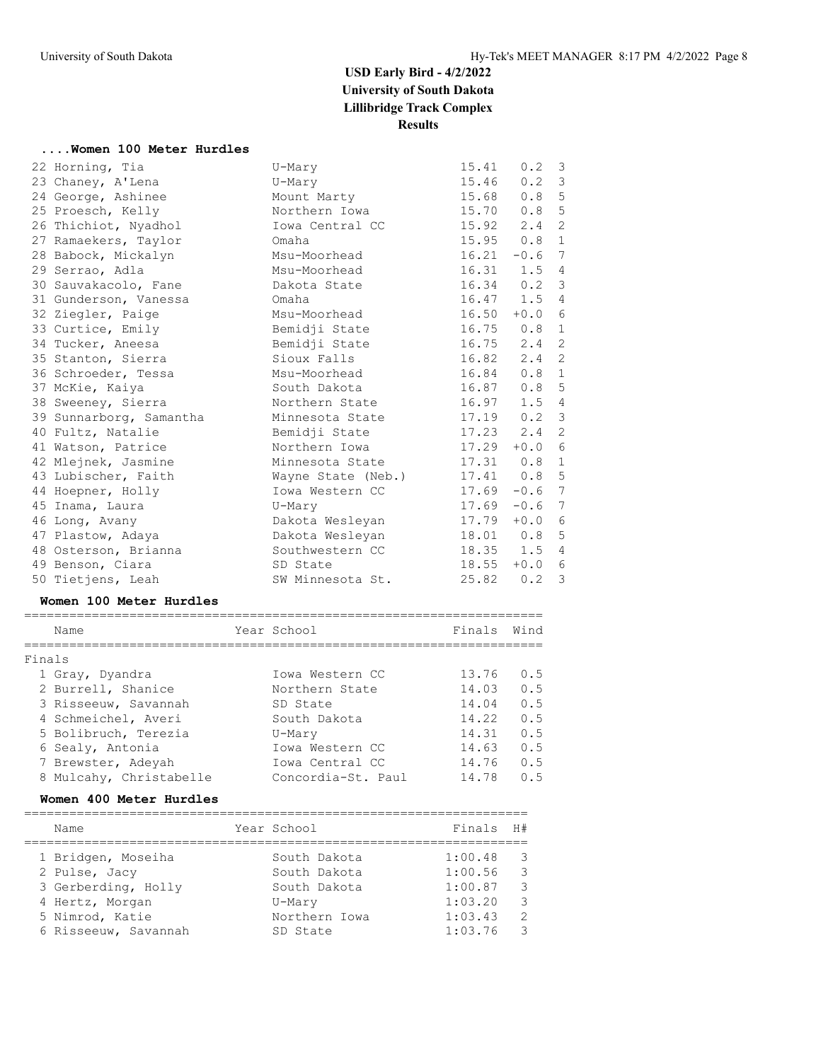#### **....Women 100 Meter Hurdles**

| 22 Horning, Tia         | U-Mary             | 15.41           | $0.2 \quad 3$ |                 |
|-------------------------|--------------------|-----------------|---------------|-----------------|
| 23 Chaney, A'Lena       | U-Mary             | 15.46           | $0.2 \quad 3$ |                 |
| 24 George, Ashinee      | Mount Marty        | 15.68           | 0.8           | $\overline{5}$  |
| 25 Proesch, Kelly       | Northern Iowa      | 15.70           | 0.8           | 5               |
| 26 Thichiot, Nyadhol    | Iowa Central CC    | $15.92$ $2.4$   |               | 2               |
| 27 Ramaekers, Taylor    | Omaha              | 15.95           | $0.8 \quad 1$ |                 |
| 28 Babock, Mickalyn     | Msu-Moorhead       | 16.21           | $-0.6$        | $7\phantom{.0}$ |
| 29 Serrao, Adla         | Msu-Moorhead       | 16.31           | $1.5 \quad 4$ |                 |
| 30 Sauvakacolo, Fane    | Dakota State       | $16.34$ 0.2 3   |               |                 |
| 31 Gunderson, Vanessa   | Omaha              |                 | $16.47$ 1.5   | 4               |
| 32 Ziegler, Paige       | Msu-Moorhead       | $16.50 + 0.0$   |               | 6               |
| 33 Curtice, Emily       | Bemidji State      | $16.75$ 0.8 1   |               |                 |
| 34 Tucker, Aneesa       | Bemidji State      | 16.75           | $2.4$ 2       |                 |
| 35 Stanton, Sierra      | Sioux Falls        | 16.82           | 2.4           | 2               |
| 36 Schroeder, Tessa     | Msu-Moorhead       | 16.84           | $0.8 \quad 1$ |                 |
| 37 McKie, Kaiya         | South Dakota       | 16.87           | 0.85          |                 |
| 38 Sweeney, Sierra      | Northern State     | 16.97           | 1.5           | 4               |
| 39 Sunnarborg, Samantha | Minnesota State    | $17.19$ 0.2 3   |               |                 |
| 40 Fultz, Natalie       | Bemidji State      | $17.23$ $2.4$ 2 |               |                 |
| 41 Watson, Patrice      | Northern Iowa      | 17.29           | $+0.0$        | 6               |
| 42 Mlejnek, Jasmine     | Minnesota State    | $17.31$ 0.8 1   |               |                 |
| 43 Lubischer, Faith     | Wayne State (Neb.) | $17.41$ 0.8 5   |               |                 |
| 44 Hoepner, Holly       | Iowa Western CC    | 17.69           | $-0.6$ 7      |                 |
| 45 Inama, Laura         | U-Mary             | 17.69           | $-0.6$        | 7               |
| 46 Long, Avany          | Dakota Wesleyan    | 17.79           | $+0.0$        | 6               |
| 47 Plastow, Adaya       | Dakota Wesleyan    | 18.01  0.8  5   |               |                 |
| 48 Osterson, Brianna    | Southwestern CC    | $18.35$ $1.5$   |               | $\overline{4}$  |
| 49 Benson, Ciara        | SD State           | $18.55 + 0.0$   |               | 6               |
| 50 Tietjens, Leah       | SW Minnesota St.   | 25.82           | 0.2           | 3               |

#### **Women 100 Meter Hurdles**

| Name                    | Year School        | Finals | Wind |
|-------------------------|--------------------|--------|------|
|                         |                    |        |      |
| Finals                  |                    |        |      |
| 1 Gray, Dyandra         | Iowa Western CC    | 13.76  | 0.5  |
| 2 Burrell, Shanice      | Northern State     | 14.03  | 0.5  |
| 3 Risseeuw, Savannah    | SD State           | 14.04  | 0.5  |
| 4 Schmeichel, Averi     | South Dakota       | 14.22  | 0.5  |
| 5 Bolibruch, Terezia    | U-Mary             | 14.31  | 0.5  |
| 6 Sealy, Antonia        | Iowa Western CC    | 14.63  | 0.5  |
| 7 Brewster, Adeyah      | Iowa Central CC    | 14.76  | 0.5  |
| 8 Mulcahy, Christabelle | Concordia-St. Paul | 14.78  | 0.5  |

#### **Women 400 Meter Hurdles**

| Name                 | Year School   | Finals  | H#            |
|----------------------|---------------|---------|---------------|
| 1 Bridgen, Moseiha   | South Dakota  | 1:00.48 | - 3           |
| 2 Pulse, Jacy        | South Dakota  | 1:00.56 | $\mathcal{B}$ |
| 3 Gerberding, Holly  | South Dakota  | 1:00.87 | -3            |
| 4 Hertz, Morgan      | U-Mary        | 1:03.20 | $\mathcal{R}$ |
| 5 Nimrod, Katie      | Northern Iowa | 1:03.43 | $\mathcal{L}$ |
| 6 Risseeuw, Savannah | SD State      | 1:03.76 | -3            |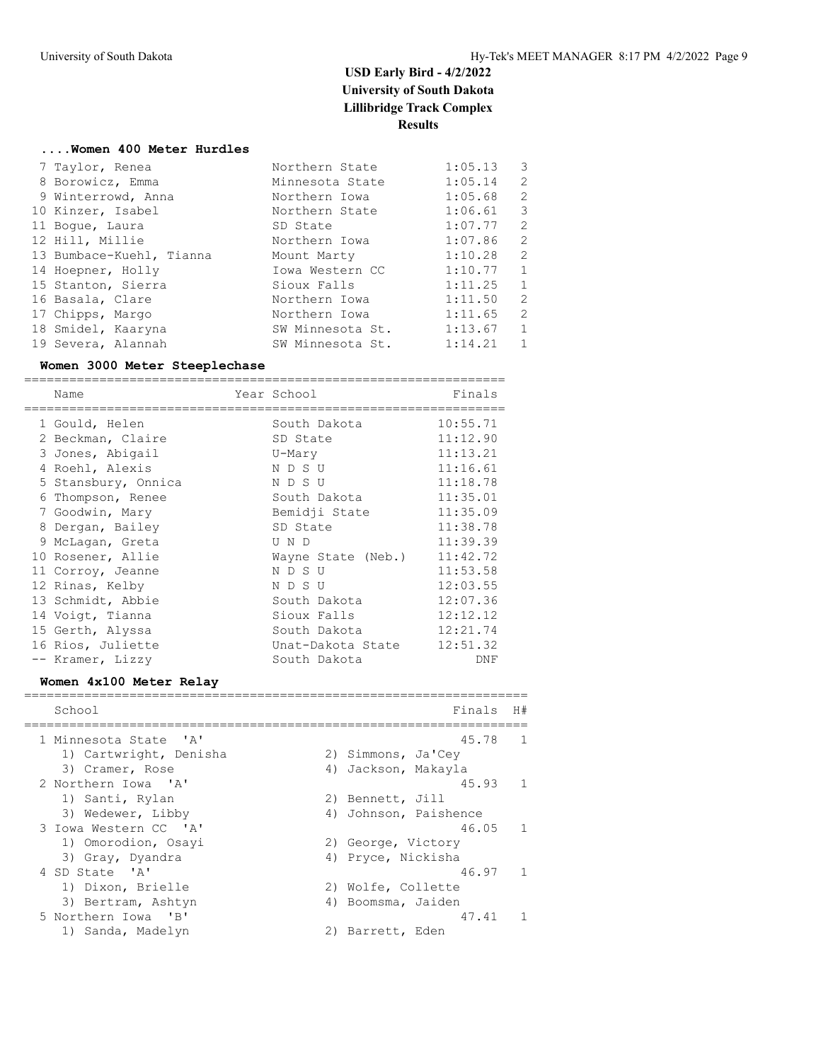#### **....Women 400 Meter Hurdles**

| 7 Taylor, Renea          | Northern State   | 1:05.13 | 3            |
|--------------------------|------------------|---------|--------------|
| 8 Borowicz, Emma         | Minnesota State  | 1:05.14 | 2            |
| 9 Winterrowd, Anna       | Northern Iowa    | 1:05.68 | 2            |
| 10 Kinzer, Isabel        | Northern State   | 1:06.61 | 3            |
| 11 Boque, Laura          | SD State         | 1:07.77 | 2            |
| 12 Hill, Millie          | Northern Iowa    | 1:07.86 | 2            |
| 13 Bumbace-Kuehl, Tianna | Mount Marty      | 1:10.28 | 2            |
| 14 Hoepner, Holly        | Iowa Western CC  | 1:10.77 | $\mathbf{1}$ |
| 15 Stanton, Sierra       | Sioux Falls      | 1:11.25 | $\mathbf{1}$ |
| 16 Basala, Clare         | Northern Iowa    | 1:11.50 | 2            |
| 17 Chipps, Margo         | Northern Iowa    | 1:11.65 | 2            |
| 18 Smidel, Kaaryna       | SW Minnesota St. | 1:13.67 | $\mathbf{1}$ |
| 19 Severa, Alannah       | SW Minnesota St. | 1:14.21 | $\mathbf{1}$ |

#### **Women 3000 Meter Steeplechase**

| ===========<br>Name                            | Year School        |                     | Finals             |              |
|------------------------------------------------|--------------------|---------------------|--------------------|--------------|
| 1 Gould, Helen                                 | South Dakota       |                     | 10:55.71           |              |
| 2 Beckman, Claire                              | SD State           |                     | 11:12.90           |              |
| 3 Jones, Abigail                               | U-Mary             |                     | 11:13.21           |              |
| 4 Roehl, Alexis                                | N D S U            |                     | 11:16.61           |              |
| 5 Stansbury, Onnica                            | N D S U            |                     | 11:18.78           |              |
| 6 Thompson, Renee                              | South Dakota       |                     | 11:35.01           |              |
| 7 Goodwin, Mary                                | Bemidji State      |                     | 11:35.09           |              |
| 8 Dergan, Bailey                               | SD State           |                     | 11:38.78           |              |
| 9 McLagan, Greta                               | U N D              |                     | 11:39.39           |              |
| 10 Rosener, Allie                              | Wayne State (Neb.) |                     | 11:42.72           |              |
| 11 Corroy, Jeanne                              | N D S U            |                     | 11:53.58           |              |
| 12 Rinas, Kelby                                | N D S U            |                     | 12:03.55           |              |
| 13 Schmidt, Abbie                              | South Dakota       |                     | 12:07.36           |              |
| 14 Voigt, Tianna                               | Sioux Falls        |                     | 12:12.12           |              |
| 15 Gerth, Alyssa                               | South Dakota       |                     | 12:21.74           |              |
| 16 Rios, Juliette                              | Unat-Dakota State  |                     | 12:51.32           |              |
| -- Kramer, Lizzy                               | South Dakota       |                     | DNF                |              |
| Women 4x100 Meter Relay                        |                    |                     |                    |              |
| School                                         |                    |                     | Finals             | H#           |
| 1 Minnesota State<br>$^{\prime}$ A $^{\prime}$ |                    |                     | 45.78              | $\mathbf{1}$ |
| 1) Cartwright, Denisha                         |                    | 2) Simmons, Ja'Cey  |                    |              |
| 3) Cramer, Rose                                |                    | 4) Jackson, Makayla |                    |              |
| 2 Northern Iowa 'A'                            |                    |                     | 45.93              | 1            |
| 1) Santi, Rylan                                |                    | 2) Bennett, Jill    |                    |              |
| 3) Wedewer, Libby                              | 4)                 |                     | Johnson, Paishence |              |
| 3 Iowa Western CC 'A'                          |                    |                     | 46.05              | $\mathbf{1}$ |
| 1) Omorodion, Osayi                            |                    | 2) George, Victory  |                    |              |
| 3) Gray, Dyandra                               | 4)                 | Pryce, Nickisha     |                    |              |
| 4 SD State<br>' A'                             |                    |                     | 46.97              | 1            |

1) Dixon, Brielle 2) Wolfe, Collette 3) Bertram, Ashtyn 1988 (4) Boomsma, Jaiden

5 Northern Iowa 'B' 47.41 1

1) Sanda, Madelyn 2) Barrett, Eden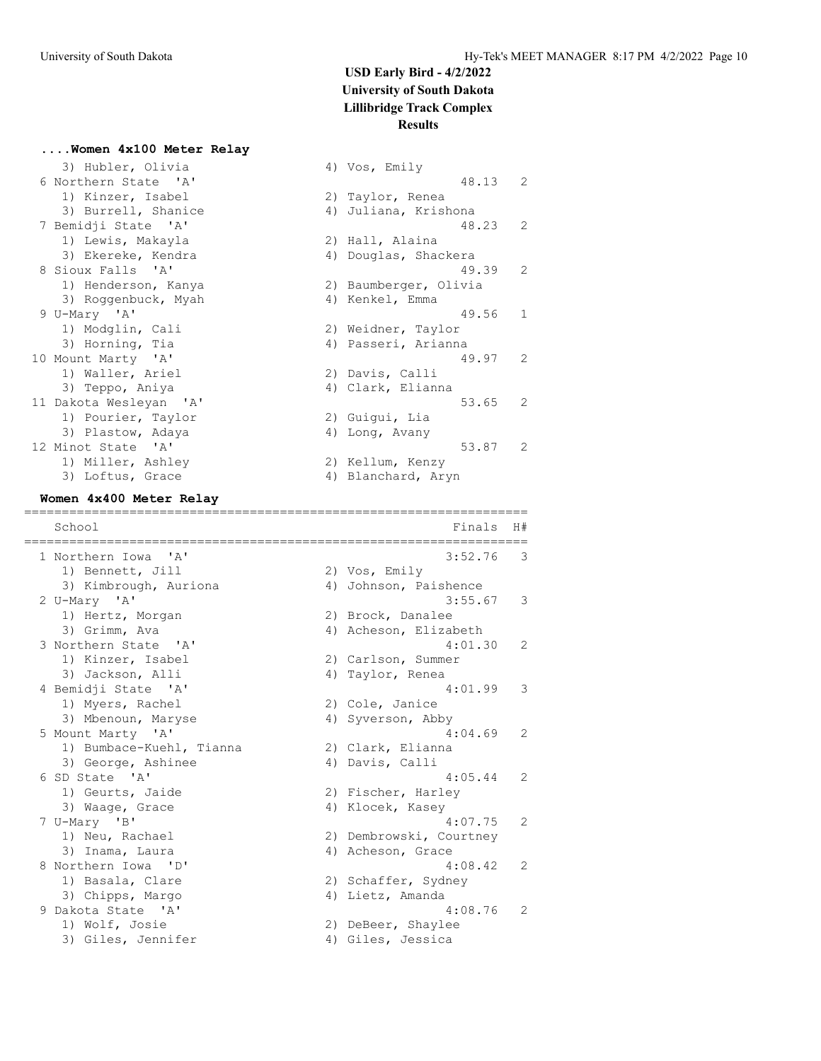#### **....Women 4x100 Meter Relay**

3) Hubler, Olivia (4) Vos, Emily 6 Northern State 'A' 48.13 2 1) Kinzer, Isabel 2) Taylor, Renea 3) Burrell, Shanice (4) Juliana, Krishona 7 Bemidji State 'A' 48.23 2 1) Lewis, Makayla 2) Hall, Alaina 3) Ekereke, Kendra (4) Douglas, Shackera 8 Sioux Falls 'A' 49.39 2 1) Henderson, Kanya 2) Baumberger, Olivia 3) Roggenbuck, Myah (4) Kenkel, Emma 9 U-Mary 'A' 49.56 1 1) Modglin, Cali 2) Weidner, Taylor 3) Horning, Tia and Ann and Ann ann Aonaicheanna an Aonaicheanna 10 Mount Marty 'A' 49.97 2 1) Waller, Ariel 2) Davis, Calli 3) Teppo, Aniya (4) Clark, Elianna 11 Dakota Wesleyan 'A' 53.65 2 1) Pourier, Taylor 2) Guigui, Lia 3) Plastow, Adaya (4) Long, Avany 12 Minot State 'A' 53.87 2 1) Miller, Ashley 2) Kellum, Kenzy 3) Loftus, Grace and Alexander 4) Blanchard, Aryn

#### **Women 4x400 Meter Relay**

=================================================================== School **Finals** H# =================================================================== 1 Northern Iowa 'A' 3:52.76 3 1) Bennett, Jill 2) Vos, Emily 3) Kimbrough, Auriona 4) Johnson, Paishence 2 U-Mary 'A' 3:55.67 3 1) Hertz, Morgan 2) Brock, Danalee 3) Grimm, Ava 4) Acheson, Elizabeth 3 Northern State 'A' 4:01.30 2 1) Kinzer, Isabel 2) Carlson, Summer 3) Jackson, Alli (4) Taylor, Renea 4 Bemidji State 'A' 4:01.99 3 1) Myers, Rachel 2) Cole, Janice 3) Mbenoun, Maryse 4) Syverson, Abby 5 Mount Marty 'A' 4:04.69 2 1) Bumbace-Kuehl, Tianna (2) Clark, Elianna 3) George, Ashinee 4) Davis, Calli 6 SD State 'A' 4:05.44 2 1) Geurts, Jaide 2) Fischer, Harley 3) Waage, Grace and Allocek, Kasey 7 U-Mary 'B' 4:07.75 2 1) Neu, Rachael 2) Dembrowski, Courtney 3) Inama, Laura (4) Acheson, Grace 8 Northern Iowa 'D' 4:08.42 2 1) Basala, Clare 2) Schaffer, Sydney 3) Chipps, Margo (4) Lietz, Amanda 9 Dakota State 'A' 4:08.76 2 1) Wolf, Josie 2) DeBeer, Shaylee 3) Giles, Jennifer (4) Giles, Jessica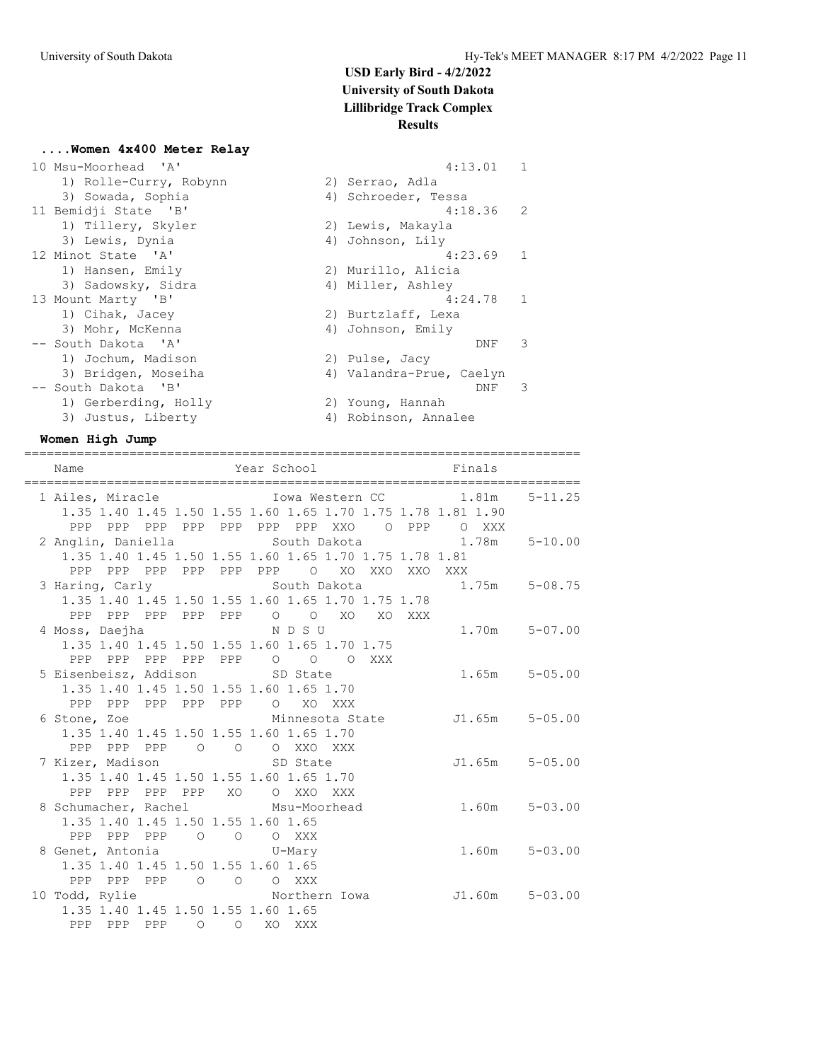### **....Women 4x400 Meter Relay**

| 10 Msu-Moorhead 'A'    | $\mathbf{1}$<br>4:13.01  |  |
|------------------------|--------------------------|--|
| 1) Rolle-Curry, Robynn | 2) Serrao, Adla          |  |
| 3) Sowada, Sophia      | 4) Schroeder, Tessa      |  |
| 11 Bemidji State 'B'   | 2<br>4:18.36             |  |
| 1) Tillery, Skyler     | 2) Lewis, Makayla        |  |
| 3) Lewis, Dynia        | 4) Johnson, Lily         |  |
| 12 Minot State 'A'     | $\mathbf{1}$<br>4:23.69  |  |
| 1) Hansen, Emily       | 2) Murillo, Alicia       |  |
| 3) Sadowsky, Sidra     | 4) Miller, Ashley        |  |
| 13 Mount Marty 'B'     | $\mathbf{1}$<br>4:24.78  |  |
| 1) Cihak, Jacey        | 2) Burtzlaff, Lexa       |  |
| 3) Mohr, McKenna       | 4) Johnson, Emily        |  |
| -- South Dakota 'A'    | 3<br>DNF                 |  |
| 1) Jochum, Madison     | 2) Pulse, Jacy           |  |
| 3) Bridgen, Moseiha    | 4) Valandra-Prue, Caelyn |  |
| -- South Dakota 'B'    | 3<br>DNF                 |  |
| 1) Gerberding, Holly   | 2) Young, Hannah         |  |
| 3) Justus, Liberty     | 4) Robinson, Annalee     |  |

#### **Women High Jump**

==========================================================================

| Name                                    |                                                    | Year School                                                            | Finals                                                                            |
|-----------------------------------------|----------------------------------------------------|------------------------------------------------------------------------|-----------------------------------------------------------------------------------|
|                                         |                                                    | 1 Ailes, Miracle                       Iowa Western CC           1.81m | $5 - 11.25$                                                                       |
|                                         |                                                    | 1.35 1.40 1.45 1.50 1.55 1.60 1.65 1.70 1.75 1.78 1.81 1.90            |                                                                                   |
|                                         |                                                    | PPP PPP PPP PPP PPP PPP PPP XXO O PPP O XXX                            |                                                                                   |
|                                         |                                                    |                                                                        | 2 Anglin, Daniella                  South Dakota                 1.78m    5-10.00 |
|                                         |                                                    | 1.35 1.40 1.45 1.50 1.55 1.60 1.65 1.70 1.75 1.78 1.81                 |                                                                                   |
|                                         |                                                    | PPP PPP PPP PPP PPP PPP O XO XXO XXO XXX                               |                                                                                   |
|                                         |                                                    | 3 Haring, Carly South Dakota                                           | $1.75m$ $5-08.75$                                                                 |
|                                         |                                                    | 1.35 1.40 1.45 1.50 1.55 1.60 1.65 1.70 1.75 1.78                      |                                                                                   |
| PPP PPP PPP PPP<br>PPP                  |                                                    | $\circ$ $\circ$<br>XO XO XXX                                           |                                                                                   |
| 4 Moss, Daejha                          | NDSU                                               |                                                                        | $1.70m$ $5-07.00$                                                                 |
|                                         |                                                    | 1.35 1.40 1.45 1.50 1.55 1.60 1.65 1.70 1.75                           |                                                                                   |
|                                         |                                                    | PPP PPP PPP PPP PPP 0 0 0 XXX                                          |                                                                                   |
| 5 Eisenbeisz, Addison SD State          |                                                    |                                                                        | $1.65m$ $5-05.00$                                                                 |
| 1.35 1.40 1.45 1.50 1.55 1.60 1.65 1.70 |                                                    |                                                                        |                                                                                   |
| PPP PPP PPP PPP PPP O XO XXX            |                                                    |                                                                        |                                                                                   |
| 6 Stone, Zoe                            |                                                    |                                                                        | Minnesota State J1.65m 5-05.00                                                    |
| 1.35 1.40 1.45 1.50 1.55 1.60 1.65 1.70 |                                                    |                                                                        |                                                                                   |
| PPP PPP PPP 0 0 0 XXO XXX               |                                                    |                                                                        |                                                                                   |
| 7 Kizer, Madison SD State               |                                                    |                                                                        | $J1.65m$ $5-05.00$                                                                |
| 1.35 1.40 1.45 1.50 1.55 1.60 1.65 1.70 |                                                    |                                                                        |                                                                                   |
| PPP PPP PPP XO<br>PPP                   |                                                    | O XXO XXX                                                              |                                                                                   |
| 8 Schumacher, Rachel Msu-Moorhead       |                                                    |                                                                        | $1.60m$ $5-03.00$                                                                 |
| 1.35 1.40 1.45 1.50 1.55 1.60 1.65      |                                                    |                                                                        |                                                                                   |
| PPP PPP PPP 0 0 0 XXX                   |                                                    |                                                                        |                                                                                   |
| 8 Genet, Antonia b U-Mary               |                                                    |                                                                        | $1.60m$ $5-03.00$                                                                 |
| 1.35 1.40 1.45 1.50 1.55 1.60 1.65      |                                                    |                                                                        |                                                                                   |
| PPP PPP PPP 0 0 0 XXX                   |                                                    |                                                                        |                                                                                   |
| 10 Todd, Rylie                          |                                                    | Northern Iowa                                                          | $J1.60m$ $5-03.00$                                                                |
| 1.35 1.40 1.45 1.50 1.55 1.60 1.65      |                                                    |                                                                        |                                                                                   |
| PPP PPP PPP                             | $\begin{array}{ccc} & & \circ & \circ \end{array}$ | XO XXX                                                                 |                                                                                   |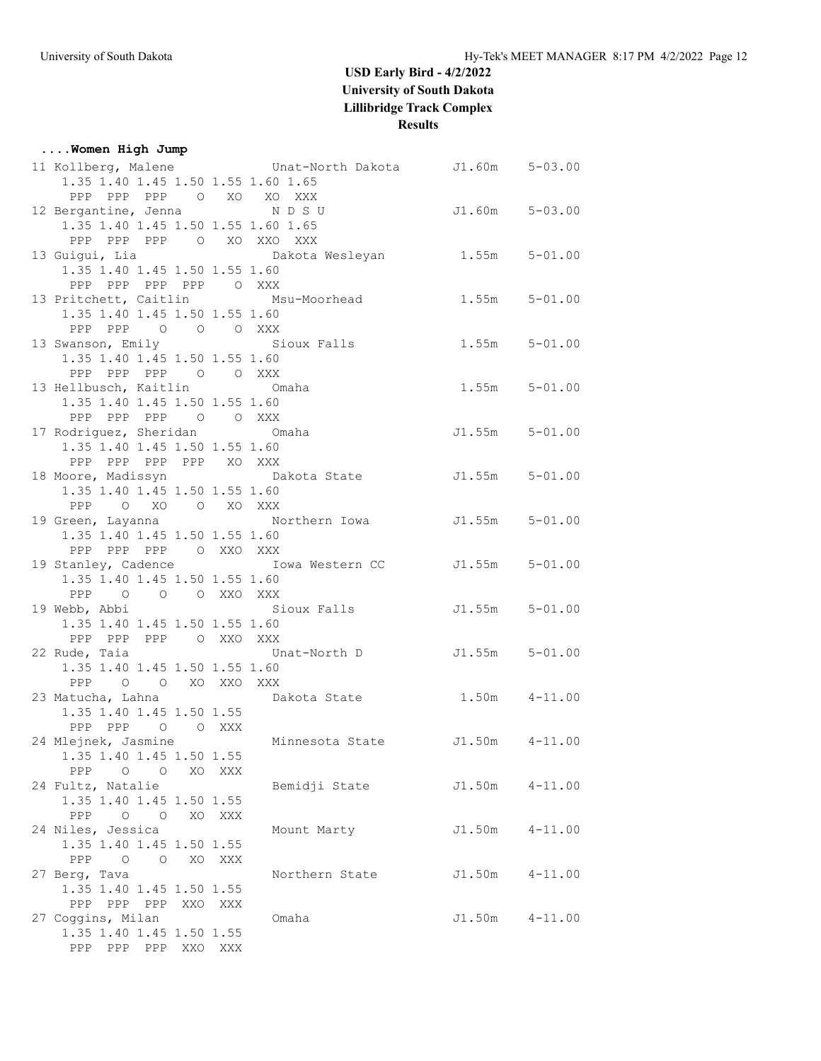| Women High Jump                            |         |                                                                                |                   |             |
|--------------------------------------------|---------|--------------------------------------------------------------------------------|-------------------|-------------|
|                                            |         | 11 Kollberg, Malene 6 Unat-North Dakota 51.60m 5-03.00                         |                   |             |
| 1.35 1.40 1.45 1.50 1.55 1.60 1.65         |         |                                                                                |                   |             |
| PPP PPP PPP 0 XO XO XXX                    |         |                                                                                |                   |             |
| 12 Bergantine, Jenna NDSU                  |         |                                                                                | J1.60m 5-03.00    |             |
| 1.35 1.40 1.45 1.50 1.55 1.60 1.65         |         |                                                                                |                   |             |
| PPP PPP PPP 0 XO XXO XXX                   |         |                                                                                |                   |             |
|                                            |         | 13 Guigui, Lia di Charles Dakota Wesleyan di 1.55m 5-01.00                     |                   |             |
| 1.35 1.40 1.45 1.50 1.55 1.60              |         |                                                                                |                   |             |
| PPP PPP PPP PPP O XXX                      |         |                                                                                |                   |             |
|                                            |         | 13 Pritchett, Caitlin Msu-Moorhead                                             | $1.55m$ $5-01.00$ |             |
| 1.35 1.40 1.45 1.50 1.55 1.60              |         |                                                                                |                   |             |
| PPP PPP 0 0 0 XXX                          |         |                                                                                |                   |             |
|                                            |         | 13 Swanson, Emily Sioux Falls 1.55m 5-01.00                                    |                   |             |
| 1.35 1.40 1.45 1.50 1.55 1.60              |         |                                                                                |                   |             |
| PPP PPP PPP 0 0 XXX                        |         |                                                                                |                   |             |
| 13 Hellbusch, Kaitlin Omaha                |         |                                                                                | $1.55m$ $5-01.00$ |             |
| 1.35 1.40 1.45 1.50 1.55 1.60              |         |                                                                                |                   |             |
| PPP PPP PPP 0 0 XXX                        |         |                                                                                |                   |             |
| 17 Rodriguez, Sheridan Omaha               |         |                                                                                | J1.55m 5-01.00    |             |
| 1.35 1.40 1.45 1.50 1.55 1.60              |         |                                                                                |                   |             |
| PPP PPP PPP PPP XO XXX                     |         |                                                                                |                   |             |
|                                            |         | 18 Moore, Madissyn Makota State 5-01.00                                        |                   |             |
| 1.35 1.40 1.45 1.50 1.55 1.60              |         |                                                                                |                   |             |
| PPP O XO O XO XXX                          |         |                                                                                |                   |             |
|                                            |         | 19 Green, Layanna Morthern Iowa J1.55m 5-01.00                                 |                   |             |
| 1.35 1.40 1.45 1.50 1.55 1.60              |         |                                                                                |                   |             |
| PPP PPP PPP O XXO XXX                      |         |                                                                                |                   |             |
|                                            |         | 19 Stanley, Cadence Towa Western CC J1.55m 5-01.00                             |                   |             |
| 1.35 1.40 1.45 1.50 1.55 1.60              |         |                                                                                |                   |             |
| PPP 0 0 0 XXO XXX                          |         |                                                                                |                   |             |
|                                            |         | 19 Webb, Abbi                       Sioux Falls             J1.55m     5-01.00 |                   |             |
| 1.35 1.40 1.45 1.50 1.55 1.60              |         |                                                                                |                   |             |
| PPP PPP PPP 0 XXO XXX                      |         |                                                                                |                   |             |
|                                            |         | 22 Rude, Taia and Unat-North D                                                 | J1.55m 5-01.00    |             |
| 1.35 1.40 1.45 1.50 1.55 1.60              |         |                                                                                |                   |             |
| PPP 0 0 XO XXO XXX                         |         |                                                                                |                   |             |
|                                            |         | 23 Matucha, Lahna (a) Dakota State (b) 1.50m 4-11.00                           |                   |             |
| 1.35 1.40 1.45 1.50 1.55                   |         |                                                                                |                   |             |
| PPP PPP 0 0 XXX                            |         |                                                                                |                   |             |
|                                            |         | 24 Mlejnek, Jasmine Minnesota State J1.50m 4-11.00                             |                   |             |
| 1.35 1.40 1.45 1.50 1.55                   |         |                                                                                |                   |             |
| $\circ$ $\circ$<br>PPP                     | XO XXX  |                                                                                |                   |             |
| 24 Fultz, Natalie                          |         | Bemidji State                                                                  | J1.50m            | $4 - 11.00$ |
| 1.35 1.40 1.45 1.50 1.55                   |         |                                                                                |                   |             |
| PPP<br>$\circ$ $\circ$                     | XO XXX  |                                                                                |                   |             |
| 24 Niles, Jessica                          |         | Mount Marty                                                                    | J1.50m            | $4 - 11.00$ |
| 1.35 1.40 1.45 1.50 1.55                   |         |                                                                                |                   |             |
| $\begin{matrix} 0 & 0 \end{matrix}$<br>PPP | XO XXX  |                                                                                |                   |             |
| 27 Berg, Tava                              |         | Northern State                                                                 | J1.50m            | $4 - 11.00$ |
| 1.35 1.40 1.45 1.50 1.55                   |         |                                                                                |                   |             |
| PPP PPP PPP                                | XXO XXX |                                                                                |                   |             |
| 27 Coggins, Milan                          |         | Omaha                                                                          | J1.50m            | $4 - 11.00$ |
| 1.35 1.40 1.45 1.50 1.55                   |         |                                                                                |                   |             |
| PPP PPP PPP XXO XXX                        |         |                                                                                |                   |             |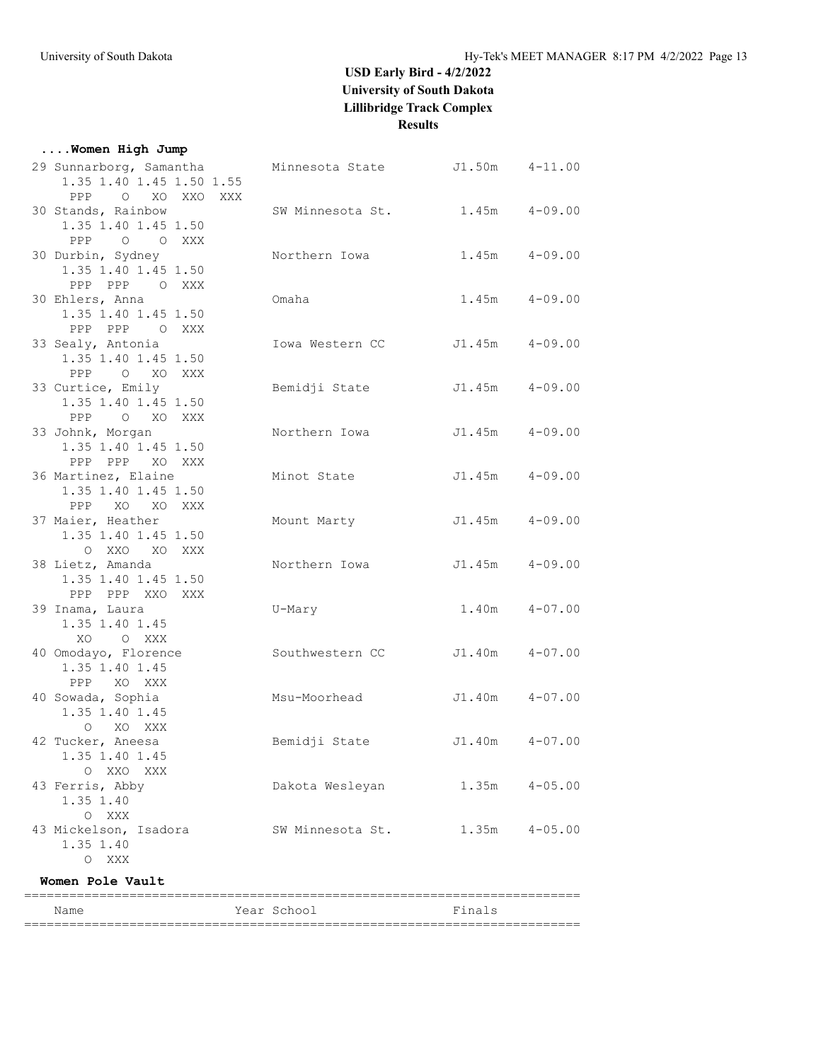|  |  |  | Women High Jump |  |  |
|--|--|--|-----------------|--|--|
|--|--|--|-----------------|--|--|

| Name                                                         | Year School      | Finals             |             |
|--------------------------------------------------------------|------------------|--------------------|-------------|
| Women Pole Vault                                             |                  |                    |             |
| $\circ$<br>XXX                                               |                  |                    |             |
| 43 Mickelson, Isadora<br>1.35 1.40                           | SW Minnesota St. | 1.35m              | $4 - 05.00$ |
| 1.35 1.40<br>XXX<br>$\circ$                                  |                  |                    |             |
| O XXO XXX<br>43 Ferris, Abby                                 | Dakota Wesleyan  | $1.35m$ $4-05.00$  |             |
| 42 Tucker, Aneesa<br>1.35 1.40 1.45                          | Bemidji State    | $J1.40m$ $4-07.00$ |             |
| 1.35 1.40 1.45<br>O XO XXX                                   |                  |                    |             |
| PPP XO XXX<br>40 Sowada, Sophia                              | Msu-Moorhead     | J1.40m             | $4 - 07.00$ |
| 40 Omodayo, Florence<br>1.35 1.40 1.45                       | Southwestern CC  | J1.40m             | $4 - 07.00$ |
| 1.35 1.40 1.45<br>XO O XXX                                   |                  |                    |             |
| PPP PPP XXO XXX<br>39 Inama, Laura                           | U-Mary           | 1.40m              | $4 - 07.00$ |
| 38 Lietz, Amanda<br>1.35 1.40 1.45 1.50                      | Northern Iowa    | $J1.45m$ $4-09.00$ |             |
| 1.35 1.40 1.45 1.50<br>O XXO XO XXX                          |                  |                    |             |
| PPP XO XO XXX<br>37 Maier, Heather                           | Mount Marty      | J1.45m             | $4 - 09.00$ |
| PPP PPP XO XXX<br>36 Martinez, Elaine<br>1.35 1.40 1.45 1.50 | Minot State      | $J1.45m$ $4-09.00$ |             |
| 33 Johnk, Morgan<br>1.35 1.40 1.45 1.50                      | Northern Iowa    | $J1.45m$ $4-09.00$ |             |
| 1.35 1.40 1.45 1.50<br>O XO XXX<br>PPP                       |                  |                    |             |
| PPP 0 XO XXX<br>33 Curtice, Emily                            | Bemidji State    | $J1.45m$ $4-09.00$ |             |
| 33 Sealy, Antonia<br>1.35 1.40 1.45 1.50                     | Iowa Western CC  | J1.45m             | $4 - 09.00$ |
| 1.35 1.40 1.45 1.50<br>PPP PPP O XXX                         |                  |                    |             |
| PPP PPP O XXX<br>30 Ehlers, Anna                             | Omaha            | $1.45m$ $4-09.00$  |             |
| 30 Durbin, Sydney<br>1.35 1.40 1.45 1.50                     | Northern Iowa    | $1.45m$ $4-09.00$  |             |
| 1.35 1.40 1.45 1.50<br>O O XXX<br>PPP                        |                  |                    |             |
| PPP O XO XXO XXX<br>30 Stands, Rainbow                       | SW Minnesota St. | $1.45m$ $4-09.00$  |             |
| 29 Sunnarborg, Samantha<br>1.35 1.40 1.45 1.50 1.55          | Minnesota State  | $J1.50m$ $4-11.00$ |             |

==========================================================================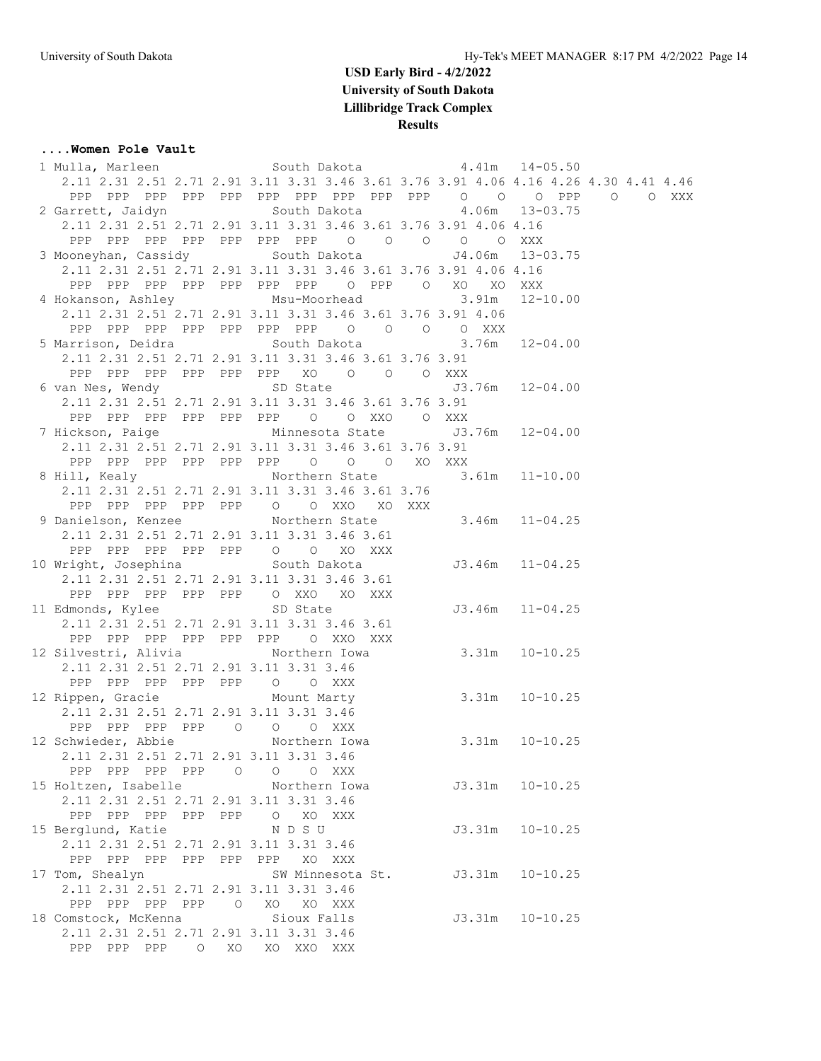#### **....Women Pole Vault**

| 1 Mulla, Marleen 50uth Dakota 4.41m 14-05.50                                   |                                                                                      |                     |                 |  |
|--------------------------------------------------------------------------------|--------------------------------------------------------------------------------------|---------------------|-----------------|--|
|                                                                                | 2.11 2.31 2.51 2.71 2.91 3.11 3.31 3.46 3.61 3.76 3.91 4.06 4.16 4.26 4.30 4.41 4.46 |                     |                 |  |
|                                                                                |                                                                                      |                     |                 |  |
| 2 Garrett, Jaidyn March South Dakota March 4.06m 13-03.75                      |                                                                                      |                     |                 |  |
|                                                                                | 2.11 2.31 2.51 2.71 2.91 3.11 3.31 3.46 3.61 3.76 3.91 4.06 4.16                     |                     |                 |  |
|                                                                                | PPP PPP PPP PPP PPP PPP PPP 0 0 0 0 0 XXX                                            |                     |                 |  |
| 3 Mooneyhan, Cassidy South Dakota 54.06m 13-03.75                              |                                                                                      |                     |                 |  |
|                                                                                | 2.11 2.31 2.51 2.71 2.91 3.11 3.31 3.46 3.61 3.76 3.91 4.06 4.16                     |                     |                 |  |
|                                                                                | PPP PPP PPP PPP PPP PPP PPP O PPP O XO XO XXX                                        |                     |                 |  |
| 4 Hokanson, Ashley Msu-Moorhead 3.91m 12-10.00                                 |                                                                                      |                     |                 |  |
|                                                                                | 2.11 2.31 2.51 2.71 2.91 3.11 3.31 3.46 3.61 3.76 3.91 4.06                          |                     |                 |  |
|                                                                                |                                                                                      |                     |                 |  |
| 5 Marrison, Deidra                 South Dakota               3.76m   12-04.00 | PPP PPP PPP PPP PPP PPP PPP 0 0 0 0 XXX                                              |                     |                 |  |
|                                                                                |                                                                                      |                     |                 |  |
|                                                                                | 2.11 2.31 2.51 2.71 2.91 3.11 3.31 3.46 3.61 3.76 3.91                               |                     |                 |  |
|                                                                                | PPP PPP PPP PPP PPP PPP XO O O O XXX                                                 |                     |                 |  |
| 6 van Nes, Wendy SD State 50 3.76m 12-04.00                                    |                                                                                      |                     |                 |  |
|                                                                                | 2.11 2.31 2.51 2.71 2.91 3.11 3.31 3.46 3.61 3.76 3.91                               |                     |                 |  |
|                                                                                | PPP PPP PPP PPP PPP PPP 0 0 XXO 0 XXX                                                |                     |                 |  |
| 7 Hickson, Paige Minnesota State J3.76m 12-04.00                               |                                                                                      |                     |                 |  |
|                                                                                | 2.11 2.31 2.51 2.71 2.91 3.11 3.31 3.46 3.61 3.76 3.91                               |                     |                 |  |
|                                                                                | PPP PPP PPP PPP PPP PPP 0 0 0 XO XXX                                                 |                     |                 |  |
| 8 Hill, Kealy Morthern State 3.61m 11-10.00                                    |                                                                                      |                     |                 |  |
|                                                                                | 2.11 2.31 2.51 2.71 2.91 3.11 3.31 3.46 3.61 3.76                                    |                     |                 |  |
|                                                                                | PPP PPP PPP PPP PPP 0 0 XXO XO XXX                                                   |                     |                 |  |
| 9 Danielson, Kenzee Morthern State 3.46m 11-04.25                              |                                                                                      |                     |                 |  |
|                                                                                | 2.11 2.31 2.51 2.71 2.91 3.11 3.31 3.46 3.61                                         |                     |                 |  |
|                                                                                | PPP PPP PPP PPP PPP 0 0 XO XXX                                                       |                     |                 |  |
|                                                                                |                                                                                      |                     |                 |  |
|                                                                                | 2.11 2.31 2.51 2.71 2.91 3.11 3.31 3.46 3.61                                         |                     |                 |  |
|                                                                                | PPP PPP PPP PPP PPP O XXO XO XXX                                                     |                     |                 |  |
| 11 Edmonds, Kylee SD State                                                     |                                                                                      | $J3.46m$ $11-04.25$ |                 |  |
|                                                                                | 2.11 2.31 2.51 2.71 2.91 3.11 3.31 3.46 3.61                                         |                     |                 |  |
|                                                                                | PPP PPP PPP PPP PPP PPP O XXO XXX                                                    |                     |                 |  |
| 12 Silvestri, Alivia (Northern Iowa / 3.31m 10-10.25)                          |                                                                                      |                     |                 |  |
| 2.11 2.31 2.51 2.71 2.91 3.11 3.31 3.46                                        |                                                                                      |                     |                 |  |
| PPP PPP PPP PPP PPP 0 0 XXX                                                    |                                                                                      |                     |                 |  |
| 12 Rippen, Gracie Mount Marty 3.31m 10-10.25                                   |                                                                                      |                     |                 |  |
| 2.11 2.31 2.51 2.71 2.91 3.11 3.31 3.46                                        |                                                                                      |                     |                 |  |
| PPP PPP PPP PPP 0 0 0 XXX                                                      |                                                                                      |                     |                 |  |
| 12 Schwieder, Abbie 10 Northern Iowa 3.31m 10-10.25                            |                                                                                      |                     |                 |  |
| 2.11 2.31 2.51 2.71 2.91 3.11 3.31 3.46                                        |                                                                                      |                     |                 |  |
| PPP PPP PPP PPP 0 0 0 XXX                                                      |                                                                                      |                     |                 |  |
| 15 Holtzen, Isabelle Northern Iowa                                             |                                                                                      | $J3.31m$ $10-10.25$ |                 |  |
| 2.11 2.31 2.51 2.71 2.91 3.11 3.31 3.46                                        |                                                                                      |                     |                 |  |
| PPP PPP PPP PPP PPP O XO XXX                                                   |                                                                                      |                     |                 |  |
| 15 Berglund, Katie NDSU                                                        |                                                                                      |                     | J3.31m 10-10.25 |  |
| 2.11 2.31 2.51 2.71 2.91 3.11 3.31 3.46                                        |                                                                                      |                     |                 |  |
| PPP PPP PPP PPP PPP PPP XO XXX                                                 |                                                                                      |                     |                 |  |
| 17 Tom, Shealyn                                                                | SW Minnesota St. J3.31m 10-10.25                                                     |                     |                 |  |
| 2.11 2.31 2.51 2.71 2.91 3.11 3.31 3.46                                        |                                                                                      |                     |                 |  |
| PPP PPP PPP PPP 0 XO XO XXX                                                    |                                                                                      |                     |                 |  |
| 18 Comstock, McKenna Sioux Falls                                               |                                                                                      | J3.31m 10-10.25     |                 |  |
| 2.11 2.31 2.51 2.71 2.91 3.11 3.31 3.46                                        |                                                                                      |                     |                 |  |
| PPP PPP PPP O XO                                                               | XO XXO XXX                                                                           |                     |                 |  |
|                                                                                |                                                                                      |                     |                 |  |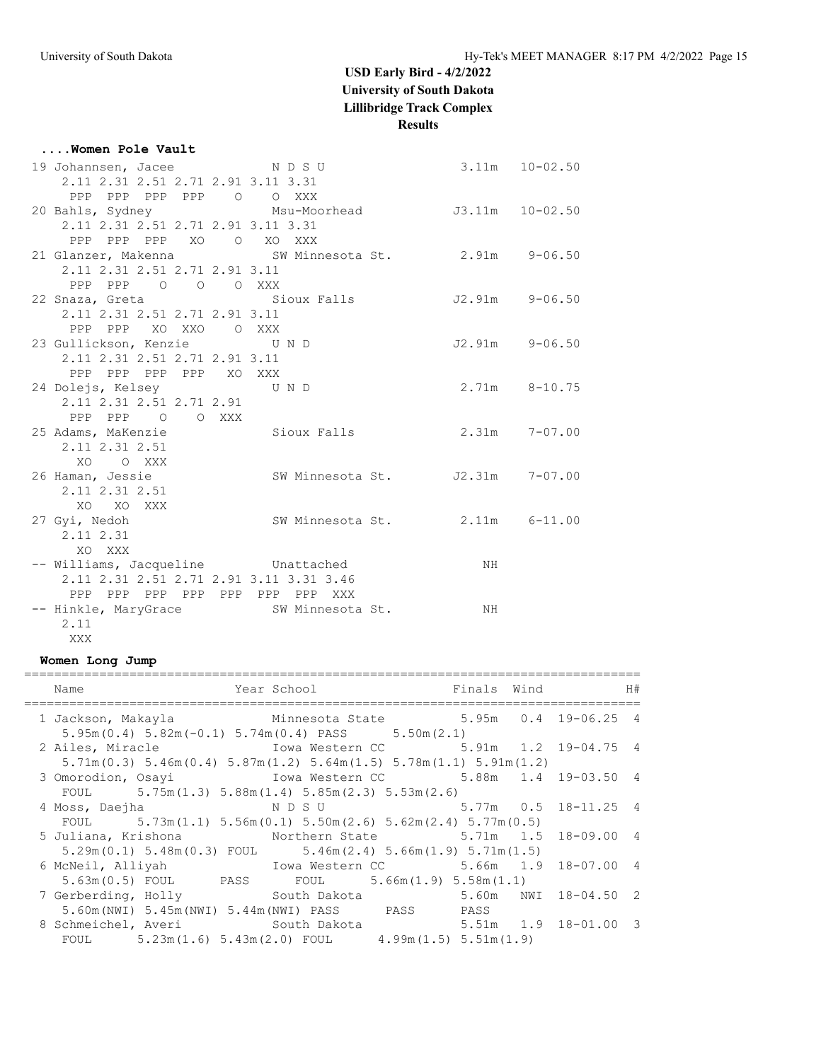| Women Pole Vault                                        |                                 |                    |                |
|---------------------------------------------------------|---------------------------------|--------------------|----------------|
| 19 Johannsen, Jacee NDSU                                |                                 | $3.11m$ $10-02.50$ |                |
| 2.11 2.31 2.51 2.71 2.91 3.11 3.31                      |                                 |                    |                |
| PPP PPP PPP PPP 0 0 XXX                                 |                                 |                    |                |
| 20 Bahls, Sydney Msu-Moorhead J3.11m 10-02.50           |                                 |                    |                |
| 2.11 2.31 2.51 2.71 2.91 3.11 3.31                      |                                 |                    |                |
| PPP PPP PPP XO O XO XXX                                 |                                 |                    |                |
| 21 Glanzer, Makenna Mark SW Minnesota St. 2.91m 9-06.50 |                                 |                    |                |
| 2.11 2.31 2.51 2.71 2.91 3.11                           |                                 |                    |                |
| PPP PPP 0 0 0 XXX                                       |                                 |                    |                |
| 22 Snaza, Greta (Sioux Falls 52.91m 9-06.50             |                                 |                    |                |
| 2.11 2.31 2.51 2.71 2.91 3.11                           |                                 |                    |                |
| PPP PPP XO XXO O XXX                                    |                                 |                    |                |
| 23 Gullickson, Kenzie UND                               |                                 |                    | J2.91m 9-06.50 |
| 2.11 2.31 2.51 2.71 2.91 3.11                           |                                 |                    |                |
| PPP PPP PPP PPP XO XXX                                  |                                 |                    |                |
| 24 Dolejs, Kelsey UND                                   |                                 | 2.71m 8-10.75      |                |
| 2.11 2.31 2.51 2.71 2.91                                |                                 |                    |                |
| PPP PPP 0 0 XXX                                         |                                 |                    |                |
| 25 Adams, MaKenzie Contract Sioux Falls                 |                                 | $2.31m$ $7-07.00$  |                |
| 2.11 2.31 2.51                                          |                                 |                    |                |
| XO OXXX                                                 |                                 |                    |                |
| 26 Haman, Jessie                                        | SW Minnesota St. J2.31m 7-07.00 |                    |                |
| 2.11 2.31 2.51                                          |                                 |                    |                |
| XO XO XXX                                               |                                 |                    |                |
| 27 Gyi, Nedoh                                           | SW Minnesota St. 2.11m 6-11.00  |                    |                |
| 2.11 2.31                                               |                                 |                    |                |
| XO XXX                                                  |                                 |                    |                |
| -- Williams, Jacqueline Unattached                      |                                 | NH                 |                |
| 2.11 2.31 2.51 2.71 2.91 3.11 3.31 3.46                 |                                 |                    |                |
| PPP PPP PPP PPP PPP PPP PPP XXX                         |                                 |                    |                |
| -- Hinkle, MaryGrace SW Minnesota St.                   |                                 | NH                 |                |
| 2.11                                                    |                                 |                    |                |
| XXX                                                     |                                 |                    |                |

#### **Women Long Jump**

| Name                                                                                                                                                                           | Year School is a more finals wind if the H |  |  |
|--------------------------------------------------------------------------------------------------------------------------------------------------------------------------------|--------------------------------------------|--|--|
| 1 Jackson, Makayla Minnesota State 5.95m 0.4 19-06.25 4<br>$5.95m(0.4)$ $5.82m(-0.1)$ $5.74m(0.4)$ PASS $5.50m(2.1)$                                                           |                                            |  |  |
| 2 Ailes, Miracle                         Iowa Western CC           5.91m   1.2   19-04.75   4<br>$5.71m(0.3)$ $5.46m(0.4)$ $5.87m(1.2)$ $5.64m(1.5)$ $5.78m(1.1)$ $5.91m(1.2)$ |                                            |  |  |
| 3 Omorodion, Osayi Mowa Western CC 5.88m 1.4 19-03.50 4<br>FOUL $5.75m(1.3) 5.88m(1.4) 5.85m(2.3) 5.53m(2.6)$                                                                  |                                            |  |  |
| 4 Moss, Daejha<br>FOUL $5.73m(1.1) 5.56m(0.1) 5.50m(2.6) 5.62m(2.4) 5.77m(0.5)$                                                                                                | N D S U 3.77m 0.5 18-11.25 4               |  |  |
| 5 Juliana, Krishona 6 Northern State 5.71m 1.5 18-09.00 4<br>$5.29$ m $(0.1)$ $5.48$ m $(0.3)$ FOUL $5.46$ m $(2.4)$ $5.66$ m $(1.9)$ $5.71$ m $(1.5)$                         |                                            |  |  |
| 5.63m (0.5) FOUL PASS FOUL 5.66m (1.9) 5.58m (1.1)                                                                                                                             |                                            |  |  |
| 7 Gerberding, Holly South Dakota 5.60m NWI 18-04.50 2<br>5.60m(NWI) 5.45m(NWI) 5.44m(NWI) PASS PASS PASS                                                                       |                                            |  |  |
| 8 Schmeichel, Averi South Dakota 5.51m 1.9 18-01.00 3<br>FOUL $5.23m(1.6) 5.43m(2.0)$ FOUL $4.99m(1.5) 5.51m(1.9)$                                                             |                                            |  |  |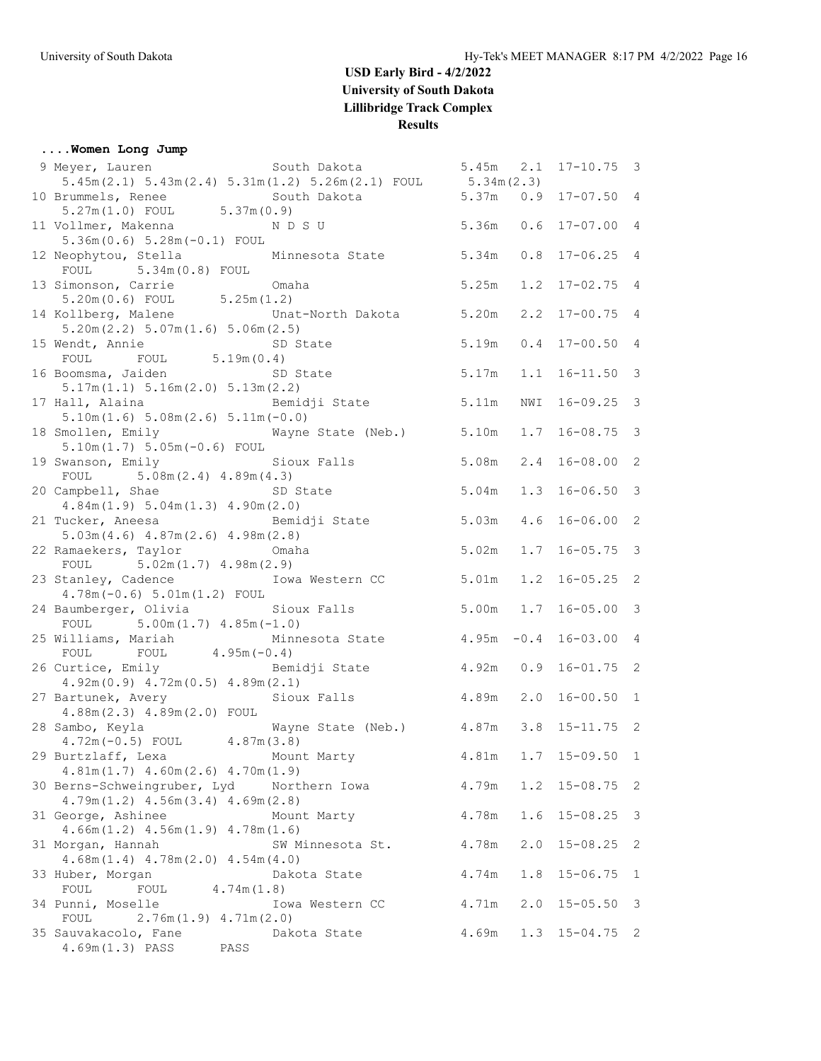#### **....Women Long Jump**

| 9 Meyer, Lauren South Dakota                                                              |                                      | $5.45m$ $2.1$ |     | $17 - 10.75$ 3          |   |
|-------------------------------------------------------------------------------------------|--------------------------------------|---------------|-----|-------------------------|---|
| $5.45m(2.1)$ $5.43m(2.4)$ $5.31m(1.2)$ $5.26m(2.1)$ FOUL $5.34m(2.3)$                     |                                      |               |     |                         |   |
| 10 Brummels, Renee South Dakota<br>5.27m(1.0) FOUL 5.37m(0.9)                             | 5.37m                                |               |     | $0.9$ 17-07.50 4        |   |
|                                                                                           |                                      |               |     |                         |   |
| 11 Vollmer, Makenna NDSU                                                                  |                                      | 5.36m         |     | $0.6$ 17-07.00 4        |   |
| $5.36m(0.6) 5.28m(-0.1) F0UL$                                                             |                                      |               |     |                         |   |
| 12 Neophytou, Stella Minnesota State 5.34m<br>FOUL 5.34m (0.8) FOUL Minnesota State 5.34m |                                      |               | 0.8 | $17 - 06.25$ 4          |   |
|                                                                                           |                                      |               |     |                         |   |
| 13 Simonson, Carrie<br>Omaha                                                              |                                      | 5.25m         |     | $1.2$ $17-02.75$ 4      |   |
| $5.20m(0.6)$ FOUL $5.25m(1.2)$                                                            |                                      |               |     |                         |   |
| 14 Kollberg, Malene<br>5.20m(2.2) 5.07m(1.6) 5.06m(2.5)                                   | Unat-North Dakota 5.20m              |               |     | $2.2$ 17-00.75 4        |   |
| 15 Wendt, Annie SD State                                                                  |                                      | 5.19m         | 0.4 | $17 - 00.50$ 4          |   |
| FOUL FOUL $5.19m(0.4)$                                                                    |                                      |               |     |                         |   |
| 16 Boomsma, Jaiden SD State                                                               |                                      | 5.17m         | 1.1 | $16 - 11.50$ 3          |   |
| 5.17m(1.1) 5.16m(2.0) 5.13m(2.2)                                                          |                                      |               |     |                         |   |
| 17 Hall, Alaina (17) Bemidji State                                                        |                                      | 5.11m         | NWI | $16 - 09.25$ 3          |   |
| $5.10m(1.6) 5.08m(2.6) 5.11m(-0.0)$                                                       |                                      |               |     |                         |   |
| 18 Smollen, Emily Mayne State (Neb.) 5.10m                                                |                                      |               |     | $1.7$ 16-08.75 3        |   |
| $5.10m(1.7) 5.05m(-0.6) F0UL$                                                             |                                      |               |     |                         |   |
| 19 Swanson, Emily                                                                         | Sioux Falls                          | 5.08m         |     | $2.4$ 16-08.00 2        |   |
| FOUL $5.08m(2.4) 4.89m(4.3)$                                                              |                                      |               |     |                         |   |
| 20 Campbell, Shae                                                                         | SD State                             | 5.04m         |     | $1.3$ 16-06.50 3        |   |
| 4.84m(1.9) 5.04m(1.3) 4.90m(2.0)                                                          |                                      |               |     |                         |   |
| 21 Tucker, Aneesa Bemidji State                                                           |                                      | 5.03m         | 4.6 | $16 - 06.00$ 2          |   |
| $5.03m(4.6)$ $4.87m(2.6)$ $4.98m(2.8)$                                                    |                                      |               |     |                         |   |
| 22 Ramaekers, Taylor<br><b>Example 20</b> Omaha                                           |                                      | 5.02m         | 1.7 | $16 - 05.75$ 3          |   |
| FOUL $5.02m(1.7) 4.98m(2.9)$                                                              |                                      |               |     |                         |   |
| 23 Stanley, Cadence Towa Western CC                                                       |                                      | 5.01m         |     | $1.2$ 16-05.25 2        |   |
| $4.78m(-0.6) 5.01m(1.2) F0UL$                                                             |                                      |               |     |                         |   |
| 24 Baumberger, Olivia Sioux Falls<br>FOUL $5.00m(1.7) 4.85m(-1.0)$                        |                                      |               |     | 5.00m  1.7  16-05.00  3 |   |
| 25 Williams, Mariah                                                                       | Minnesota State 4.95m -0.4           |               |     | $16 - 03.00$ 4          |   |
| FOUL FOUL $4.95m(-0.4)$                                                                   |                                      |               |     |                         |   |
| 26 Curtice, Emily                                                                         | Bemidji State 5 4.92m 0.9 16-01.75 2 |               |     |                         |   |
| $4.92m(0.9)$ $4.72m(0.5)$ $4.89m(2.1)$                                                    |                                      |               |     |                         |   |
| 27 Bartunek, Avery                                                                        | Sioux Falls                          | 4.89m         | 2.0 | $16 - 00.50$ 1          |   |
| $4.88m(2.3)$ $4.89m(2.0)$ FOUL                                                            |                                      |               |     |                         |   |
| 28 Sambo, Keyla                                                                           | Wayne State (Neb.) 4.87m             |               | 3.8 | $15 - 11.75$ 2          |   |
| $4.72m(-0.5)$ FOUL $4.87m(3.8)$                                                           |                                      |               |     |                         |   |
| 29 Burtzlaff, Lexa                                                                        | Mount Marty                          | 4.81m         |     | $1.7$ 15-09.50 1        |   |
| $4.81m(1.7)$ $4.60m(2.6)$ $4.70m(1.9)$                                                    |                                      |               |     |                         |   |
| 30 Berns-Schweingruber, Lyd Northern Iowa                                                 |                                      | 4.79m         |     | $1.2$ 15-08.75          | 2 |
| $4.79m(1.2)$ $4.56m(3.4)$ $4.69m(2.8)$                                                    |                                      |               |     |                         |   |
| 31 George, Ashinee                                                                        | Mount Marty                          | 4.78m         | 1.6 | $15 - 08.25$            | 3 |
| $4.66m(1.2)$ $4.56m(1.9)$ $4.78m(1.6)$                                                    |                                      |               |     |                         |   |
| 31 Morgan, Hannah                                                                         | SW Minnesota St.                     | 4.78m         | 2.0 | $15 - 08.25$            | 2 |
| $4.68m(1.4)$ $4.78m(2.0)$ $4.54m(4.0)$                                                    |                                      |               |     |                         |   |
| 33 Huber, Morgan                                                                          | Dakota State                         | 4.74m         | 1.8 | $15 - 06.75$            | 1 |
| FOUL<br>FOUL<br>4.74m(1.8)                                                                |                                      | 4.71m         | 2.0 | $15 - 05.50$            | 3 |
| 34 Punni, Moselle<br>FOUL<br>$2.76m(1.9)$ 4.71m(2.0)                                      | Iowa Western CC                      |               |     |                         |   |
| 35 Sauvakacolo, Fane                                                                      | Dakota State                         | 4.69m         |     | $1.3$ $15-04.75$ 2      |   |
| 4.69m (1.3) PASS<br>PASS                                                                  |                                      |               |     |                         |   |
|                                                                                           |                                      |               |     |                         |   |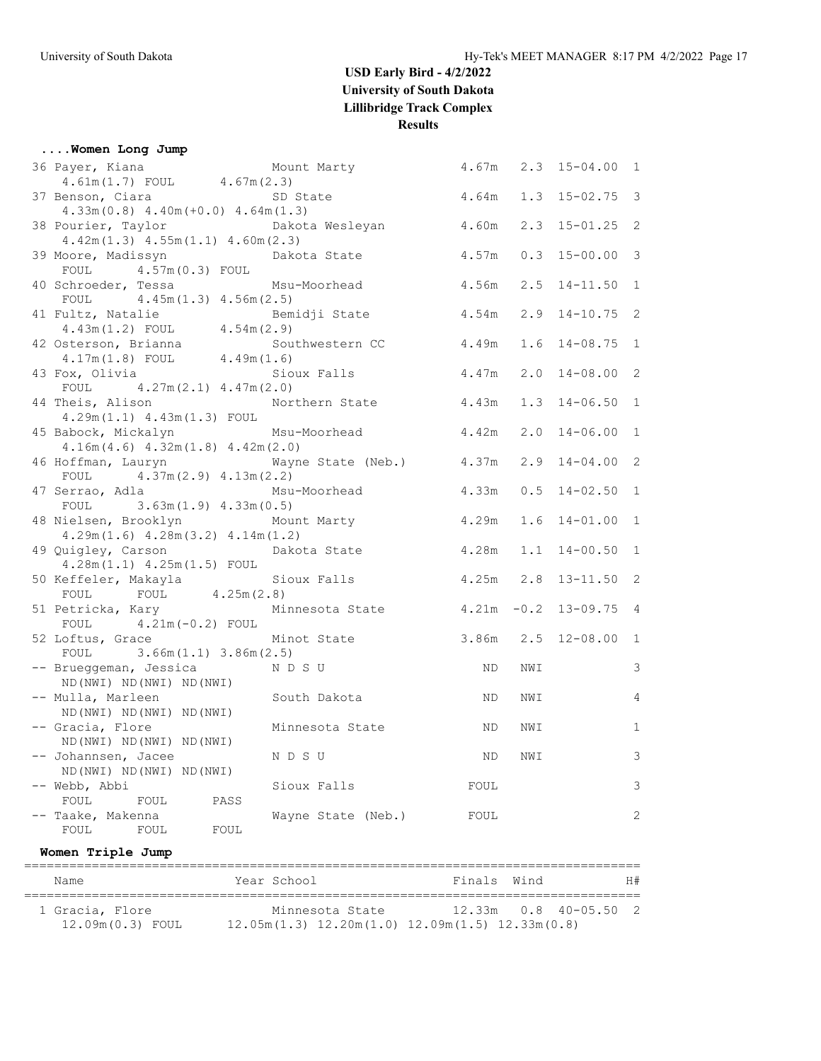| Women Long Jump                                            |                                          |       |     |                      |                |
|------------------------------------------------------------|------------------------------------------|-------|-----|----------------------|----------------|
| 36 Payer, Kiana                                            | Mount Marty 4.67m 2.3 15-04.00 1         |       |     |                      |                |
| $4.61m(1.7)$ FOUL $4.67m(2.3)$                             |                                          |       |     |                      |                |
| 37 Benson, Ciara                                           | SD State                                 | 4.64m |     | $1.3$ $15-02.75$ 3   |                |
| $4.33m(0.8)$ $4.40m(+0.0)$ $4.64m(1.3)$                    |                                          |       |     |                      |                |
| 38 Pourier, Taylor bakota Wesleyan                         |                                          | 4.60m |     | $2.3$ 15-01.25 2     |                |
| $4.42m(1.3)$ $4.55m(1.1)$ $4.60m(2.3)$                     |                                          |       |     |                      |                |
| 39 Moore, Madissyn                                         | Dakota State                             | 4.57m |     | $0.3$ 15-00.00 3     |                |
| FOUL 4.57m (0.3) FOUL                                      |                                          |       |     |                      |                |
| 40 Schroeder, Tessa Msu-Moorhead                           |                                          | 4.56m |     | $2.5$ 14-11.50 1     |                |
| FOUL $4.45m(1.3) 4.56m(2.5)$                               |                                          |       |     |                      |                |
| 41 Fultz, Natalie<br>4.43m(1.2) FOUL $4.54m(2.9)$          | Bemidji State   4.54m   2.9 14-10.75   2 |       |     |                      |                |
|                                                            |                                          |       |     |                      |                |
| 42 Osterson, Brianna                                       | Southwestern CC 4.49m                    |       |     | $1.6$ $14-08.75$ 1   |                |
| $4.17m(1.8)$ FOUL $4.49m(1.6)$                             |                                          |       |     |                      |                |
| 43 Fox, Olivia                                             | Sioux Falls                              |       |     | 4.47m 2.0 14-08.00 2 |                |
| FOUL $4.27m(2.1) 4.47m(2.0)$                               |                                          |       |     |                      |                |
| 44 Theis, Alison                                           | Northern State 4.43m                     |       |     | $1.3$ $14-06.50$ 1   |                |
| $4.29m(1.1)$ $4.43m(1.3)$ FOUL<br>4.42m 2.0                |                                          |       |     | $14 - 06.00$ 1       |                |
| $4.16m(4.6)$ $4.32m(1.8)$ $4.42m(2.0)$                     |                                          |       |     |                      |                |
| 46 Hoffman, Lauryn Mayne State (Neb.) 4.37m 2.9 14-04.00 2 |                                          |       |     |                      |                |
| FOUL $4.37m(2.9) 4.13m(2.2)$                               |                                          |       |     |                      |                |
| 47 Serrao, Adla             Msu-Moorhead           4.33m   |                                          |       |     | $0.5$ 14-02.50 1     |                |
| FOUL $3.63m(1.9) 4.33m(0.5)$                               |                                          |       |     |                      |                |
| 48 Nielsen, Brooklyn                                       | Mount Marty 4.29m                        |       |     | $1.6$ $14-01.00$     | $\mathbf{1}$   |
| $4.29m(1.6)$ $4.28m(3.2)$ $4.14m(1.2)$                     |                                          |       |     |                      |                |
| 49 Quigley, Carson                                         | Dakota State                             | 4.28m |     | $1.1$ $14-00.50$ 1   |                |
| $4.28m(1.1)$ $4.25m(1.5)$ FOUL                             |                                          |       |     |                      |                |
| 50 Keffeler, Makayla (Sioux Falls / 9.25m 2.8 13-11.50 2   |                                          |       |     |                      |                |
| FOUL FOUL $4.25m(2.8)$                                     |                                          |       |     |                      |                |
| 51 Petricka, Kary 61 Minnesota State 4.21m -0.2 13-09.75 4 |                                          |       |     |                      |                |
| FOUL $4.21m(-0.2)$ FOUL                                    |                                          |       |     |                      |                |
| 52 Loftus, Grace Minot State                               |                                          |       |     | 3.86m 2.5 12-08.00 1 |                |
| FOUL $3.66m(1.1) 3.86m(2.5)$                               |                                          |       |     |                      |                |
| -- Brueggeman, Jessica NDSU                                |                                          | ND    | NWI |                      | 3              |
| ND (NWI) ND (NWI) ND (NWI)                                 |                                          |       |     |                      |                |
| -- Mulla, Marleen<br>ND (NWI) ND (NWI) ND (NWI)            | South Dakota                             | ND.   | NWI |                      | $\overline{4}$ |
| -- Gracia, Flore                                           | Minnesota State                          | ND.   | NWI |                      | $1\,$          |
| ND (NWI) ND (NWI) ND (NWI)                                 |                                          |       |     |                      |                |
| -- Johannsen, Jacee                                        | N D S U                                  | ΝD    | NWI |                      | 3              |
| ND (NWI) ND (NWI) ND (NWI)                                 |                                          |       |     |                      |                |
| -- Webb, Abbi                                              | Sioux Falls                              | FOUL  |     |                      | 3              |
| FOUL<br>FOUL<br>PASS                                       |                                          |       |     |                      |                |
| Taake, Makenna                                             | Wayne State (Neb.)                       | FOUL  |     |                      | $\mathbf{2}$   |
| FOUL<br>FOUL<br>FOUL                                       |                                          |       |     |                      |                |
|                                                            |                                          |       |     |                      |                |

**Women Triple Jump**

| Name             | Year School     | H#<br>Finals Wind                                       |
|------------------|-----------------|---------------------------------------------------------|
| 1 Gracia, Flore  | Minnesota State | $12.33m$ 0.8 40-05.50 2                                 |
| 12.09m(0.3) FOUL |                 | $12.05m(1.3)$ $12.20m(1.0)$ $12.09m(1.5)$ $12.33m(0.8)$ |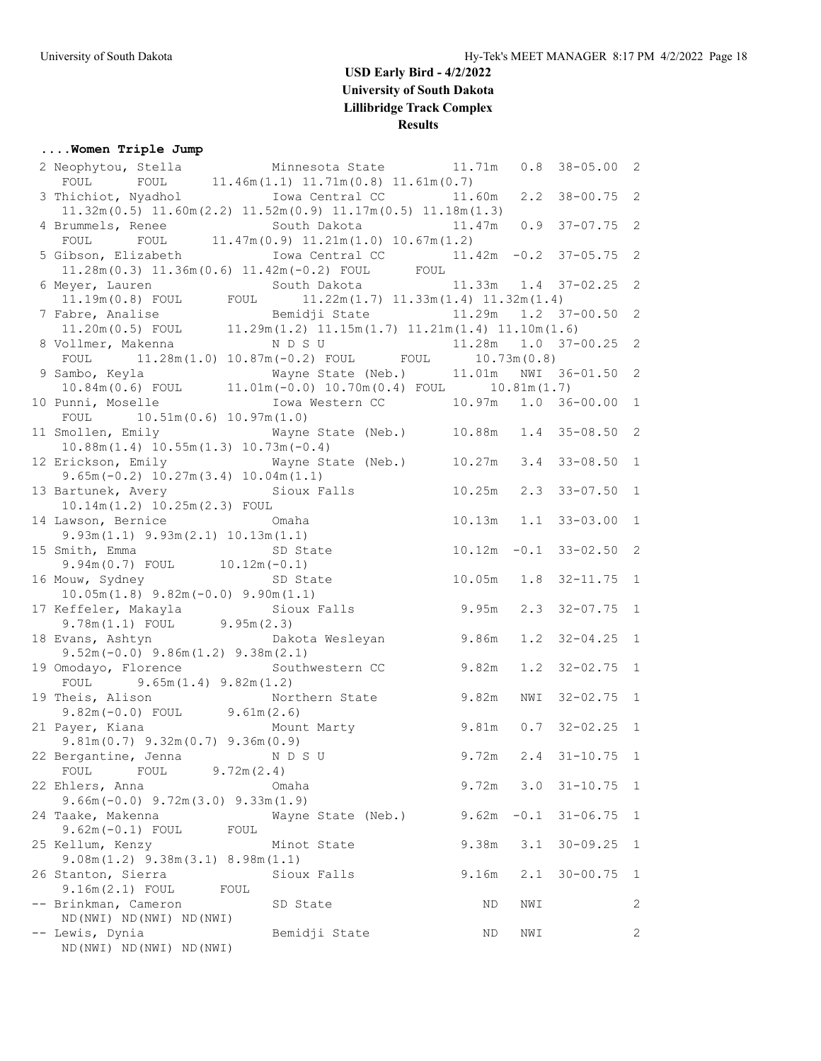### **....Women Triple Jump**

| 2 Neophytou, Stella Minnesota State 11.71m                                                                                                                                                                                               |                                        |        | 0.8    | $38 - 05.00$ 2           |              |
|------------------------------------------------------------------------------------------------------------------------------------------------------------------------------------------------------------------------------------------|----------------------------------------|--------|--------|--------------------------|--------------|
| FOUL FOUL $11.46m(1.1) 11.71m(0.8) 11.61m(0.7)$                                                                                                                                                                                          |                                        |        |        |                          |              |
| 3 Thichiot, Nyadhol Mova Central CC 11.60m                                                                                                                                                                                               |                                        |        |        | $2.2$ 38-00.75 2         |              |
| $11.32m(0.5)$ $11.60m(2.2)$ $11.52m(0.9)$ $11.17m(0.5)$ $11.18m(1.3)$                                                                                                                                                                    |                                        |        |        |                          |              |
| 4 Brummels, Renee                                                                                                                                                                                                                        | South Dakota 11.47m 0.9 37-07.75 2     |        |        |                          |              |
| FOUL FOUL 11.47m (0.9) 11.21m (1.0) 10.67m (1.2)                                                                                                                                                                                         |                                        |        |        |                          |              |
| 5 Gibson, Elizabeth                                                                                                                                                                                                                      | Iowa Central CC 11.42m -0.2 37-05.75 2 |        |        |                          |              |
| $11.28m(0.3)$ $11.36m(0.6)$ $11.42m(-0.2)$ FOUL FOUL                                                                                                                                                                                     |                                        |        |        |                          |              |
|                                                                                                                                                                                                                                          |                                        |        |        |                          |              |
|                                                                                                                                                                                                                                          |                                        |        |        |                          |              |
|                                                                                                                                                                                                                                          |                                        |        |        |                          |              |
|                                                                                                                                                                                                                                          |                                        |        |        |                          |              |
| 6 Meyer, Lauren<br>1.19m(0.8) FOUL FOUL 11.22m(1.7) 11.33m(1.4) 11.32m(1.4)<br>7 Fabre, Analise Bemidji State<br>11.29m 1.29m 1.2 37-00.50 2<br>11.20m(0.5) FOUL 11.29m(1.2) 11.15m(1.7) 11.21m(1.4) 11.10m(1.6)<br>8 Vollmer, Makenna N |                                        |        |        |                          |              |
| FOUL $11.28m(1.0) 10.87m(-0.2)$ FOUL FOUL $10.73m(0.8)$                                                                                                                                                                                  |                                        |        |        |                          |              |
| 9 Sambo, Keyla                                                                                                                                                                                                                           |                                        |        |        |                          |              |
|                                                                                                                                                                                                                                          |                                        |        |        |                          |              |
| 10 Punni, Moselle                                                                                                                                                                                                                        | Iowa Western CC 10.97m 1.0 36-00.00 1  |        |        |                          |              |
| FOUL $10.51m(0.6) 10.97m(1.0)$                                                                                                                                                                                                           |                                        |        |        |                          |              |
| 11 Smollen, Emily 6. Wayne State (Neb.) 10.88m 1.4 35-08.50 2                                                                                                                                                                            |                                        |        |        |                          |              |
| $10.88m(1.4)$ $10.55m(1.3)$ $10.73m(-0.4)$                                                                                                                                                                                               |                                        |        |        |                          |              |
| 12 Erickson, Emily 61 Mayne State (Neb.) 10.27m 3.4 33-08.50 1                                                                                                                                                                           |                                        |        |        |                          |              |
| $9.65m(-0.2)$ 10.27m(3.4) 10.04m(1.1)                                                                                                                                                                                                    |                                        |        |        |                          |              |
| 13 Bartunek, Avery Sioux Falls                                                                                                                                                                                                           |                                        | 10.25m |        | $2.3$ $33-07.50$ 1       |              |
| $10.14m(1.2)$ $10.25m(2.3)$ FOUL                                                                                                                                                                                                         |                                        |        |        |                          |              |
| <b>Example 20</b> Omaha<br>14 Lawson, Bernice                                                                                                                                                                                            |                                        |        |        | 10.13m  1.1  33-03.00  1 |              |
| $9.93m(1.1)$ $9.93m(2.1)$ $10.13m(1.1)$                                                                                                                                                                                                  |                                        |        |        |                          |              |
|                                                                                                                                                                                                                                          |                                        |        |        |                          |              |
| 15 Smith, Emma<br>9.94m(0.7) FOUL 10.12m(-0.1)                                                                                                                                                                                           |                                        |        |        | $10.12m -0.1$ 33-02.50 2 |              |
|                                                                                                                                                                                                                                          |                                        |        |        |                          |              |
| 16 Mouw, Sydney Contract SD State                                                                                                                                                                                                        |                                        |        |        | 10.05m  1.8  32-11.75  1 |              |
| $10.05m(1.8)$ $9.82m(-0.0)$ $9.90m(1.1)$<br>17 Keffeler, Makayla               Sioux Falls           9.95m                                                                                                                               |                                        |        |        |                          |              |
| $9.78m(1.1)$ FOUL $9.95m(2.3)$                                                                                                                                                                                                           |                                        |        |        | $2.3$ $32-07.75$ 1       |              |
|                                                                                                                                                                                                                                          |                                        |        |        |                          |              |
| 18 Evans, Ashtyn                                                                                                                                                                                                                         | Dakota Wesleyan 9.86m                  |        |        | $1.2$ $32-04.25$ 1       |              |
| $9.52m(-0.0)$ $9.86m(1.2)$ $9.38m(2.1)$                                                                                                                                                                                                  |                                        |        |        |                          |              |
| 19 Omodayo, Florence                                                                                                                                                                                                                     | Southwestern CC 9.82m                  |        |        | $1.2$ $32-02.75$ 1       |              |
| FOUL 9.65m $(1.4)$ 9.82m $(1.2)$                                                                                                                                                                                                         |                                        |        |        |                          |              |
| 19 Theis, Alison                                                                                                                                                                                                                         | Northern State 9.82m                   |        | NWI    | $32 - 02.75$ 1           |              |
| $9.82m(-0.0)$ FOUL $9.61m(2.6)$                                                                                                                                                                                                          |                                        |        |        |                          |              |
| 21 Payer, Kiana Mount Marty 9.81m                                                                                                                                                                                                        |                                        |        |        | $0.7$ 32-02.25 1         |              |
| $9.81m(0.7)$ $9.32m(0.7)$ $9.36m(0.9)$                                                                                                                                                                                                   | 9.72m                                  |        |        |                          |              |
| 22 Bergantine, Jenna NDSU                                                                                                                                                                                                                |                                        |        |        | $2.4$ $31-10.75$ 1       |              |
| 9.72m(2.4)<br>FOUL<br>FOUL                                                                                                                                                                                                               |                                        |        |        |                          |              |
| 22 Ehlers, Anna                                                                                                                                                                                                                          | Omaha                                  | 9.72m  |        | $3.0$ $31-10.75$         | $\mathbf{1}$ |
| $9.66m(-0.0)$ $9.72m(3.0)$ $9.33m(1.9)$                                                                                                                                                                                                  |                                        |        |        |                          |              |
| 24 Taake, Makenna                                                                                                                                                                                                                        | Wayne State (Neb.)                     | 9.62m  | $-0.1$ | $31 - 06.75$             | $\mathbf{1}$ |
| $9.62m(-0.1)$ FOUL<br>FOUL                                                                                                                                                                                                               |                                        |        |        |                          |              |
| 25 Kellum, Kenzy                                                                                                                                                                                                                         | Minot State                            | 9.38m  | 3.1    | $30 - 09.25$             | 1            |
| $9.08m(1.2)$ $9.38m(3.1)$ $8.98m(1.1)$                                                                                                                                                                                                   |                                        |        |        |                          |              |
| 26 Stanton, Sierra                                                                                                                                                                                                                       | Sioux Falls                            | 9.16m  | 2.1    | $30 - 00.75$             | 1            |
| $9.16m(2.1)$ FOUL<br>FOUL                                                                                                                                                                                                                |                                        |        |        |                          |              |
| -- Brinkman, Cameron                                                                                                                                                                                                                     | SD State                               | ΝD     | NWI    |                          | 2            |
| ND (NWI) ND (NWI) ND (NWI)                                                                                                                                                                                                               |                                        |        |        |                          |              |
| -- Lewis, Dynia                                                                                                                                                                                                                          | Bemidji State                          | ND     | NWI    |                          | $\mathbf{2}$ |
| ND (NWI) ND (NWI) ND (NWI)                                                                                                                                                                                                               |                                        |        |        |                          |              |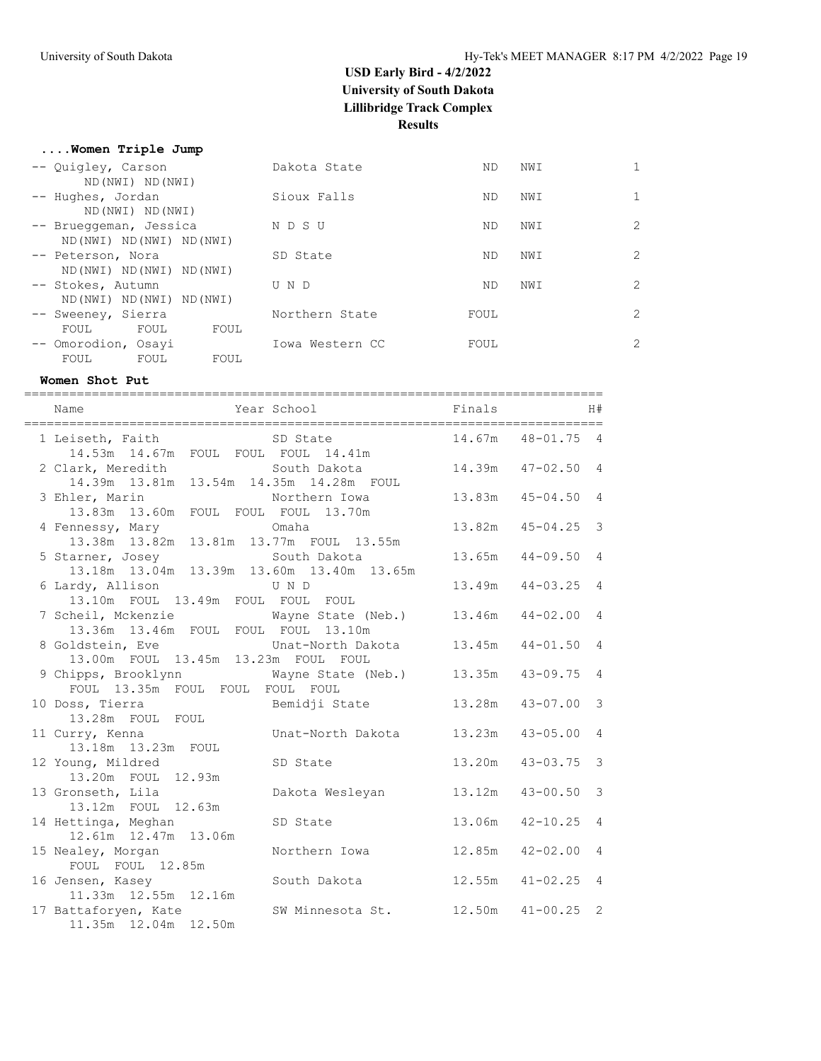#### **....Women Triple Jump**

| -- Quigley, Carson<br>ND (NWI) ND (NWI)          | Dakota State    | ND.  | NWI |                |
|--------------------------------------------------|-----------------|------|-----|----------------|
| -- Hughes, Jordan                                | Sioux Falls     | ND.  | NWI | $\mathbf{1}$   |
| ND (NWI) ND (NWI)<br>-- Brueggeman, Jessica      | N D S U         | ND.  | NWI | $\overline{2}$ |
| ND (NWI) ND (NWI) ND (NWI)<br>-- Peterson, Nora  | SD State        | ND.  | NWI | $\overline{2}$ |
| ND (NWI) ND (NWI) ND (NWI)<br>-- Stokes, Autumn  | U N D           | ND.  | NWI | $\overline{2}$ |
| ND (NWI) ND (NWI) ND (NWI)<br>-- Sweeney, Sierra | Northern State  | FOUL |     | $\overline{2}$ |
| FOUL<br>FOUL<br>FOUL<br>-- Omorodion, Osavi      | Iowa Western CC | FOUL |     | $\overline{2}$ |
| FOUL<br>FOUL<br>FOUL                             |                 |      |     |                |

#### **Women Shot Put**

| Name                                                                         | Year School Finals                 |        |                     | H#             |
|------------------------------------------------------------------------------|------------------------------------|--------|---------------------|----------------|
| 1 Leiseth, Faith<br>14.53m  14.67m  FOUL  FOUL  FOUL  14.41m                 | SD State                           |        | 14.67m 48-01.75 4   |                |
| 2 Clark, Meredith<br>14.39m  13.81m  13.54m  14.35m  14.28m  FOUL            | South Dakota                       |        | 14.39m  47-02.50  4 |                |
| 3 Ehler, Marin<br>13.83m 13.60m FOUL FOUL FOUL 13.70m                        | Northern Iowa                      | 13.83m | $45 - 04.50$ 4      |                |
| 4 Fennessy, Mary<br>13.38m  13.82m  13.81m  13.77m  FOUL  13.55m             | Omaha                              | 13.82m | $45 - 04.25$ 3      |                |
| 5 Starner, Josey<br>13.18m  13.04m  13.39m  13.60m  13.40m  13.65m           | South Dakota                       |        | $13.65m$ $44-09.50$ | $\overline{4}$ |
| 6 Lardy, Allison<br>13.10m FOUL 13.49m FOUL FOUL FOUL                        | U N D                              | 13.49m | $44 - 03.25$ 4      |                |
| 7 Scheil, Mckenzie Mayne State (Neb.)<br>13.36m 13.46m FOUL FOUL FOUL 13.10m |                                    | 13.46m | $44 - 02.00$ 4      |                |
| 8 Goldstein, Eve<br>13.00m FOUL 13.45m 13.23m FOUL FOUL                      | Unat-North Dakota 13.45m           |        | $44 - 01.50$        | $\overline{4}$ |
| 9 Chipps, Brooklynn<br>FOUL 13.35m FOUL FOUL FOUL FOUL                       | Wayne State (Neb.) 13.35m          |        | $43 - 09.75$        | $\overline{4}$ |
| 10 Doss, Tierra<br>13.28m FOUL FOUL                                          | Bemidji State                      | 13.28m | $43 - 07.00$        | $\mathcal{S}$  |
| 11 Curry, Kenna<br>13.18m  13.23m  FOUL                                      | Unat-North Dakota                  | 13.23m | $43 - 05.00$        | $\overline{4}$ |
| 12 Young, Mildred<br>13.20m FOUL 12.93m                                      | SD State                           | 13.20m | $43 - 03.75$        | $\mathcal{S}$  |
| 13 Gronseth, Lila<br>13.12m FOUL 12.63m                                      | Dakota Wesleyan                    | 13.12m | $43 - 00.50$        | $\mathbf{3}$   |
| 14 Hettinga, Meghan<br>12.61m  12.47m  13.06m                                | SD State                           | 13.06m | $42 - 10.25$        | $\overline{4}$ |
| 15 Nealey, Morgan<br>FOUL FOUL 12.85m                                        | Northern Iowa                      |        | $12.85m$ $42-02.00$ | $\overline{4}$ |
| 16 Jensen, Kasey<br>11.33m  12.55m  12.16m                                   | South Dakota                       | 12.55m | $41 - 02.25$ 4      |                |
| 17 Battaforyen, Kate<br>11.35m 12.04m 12.50m                                 | SW Minnesota St. 12.50m 41-00.25 2 |        |                     |                |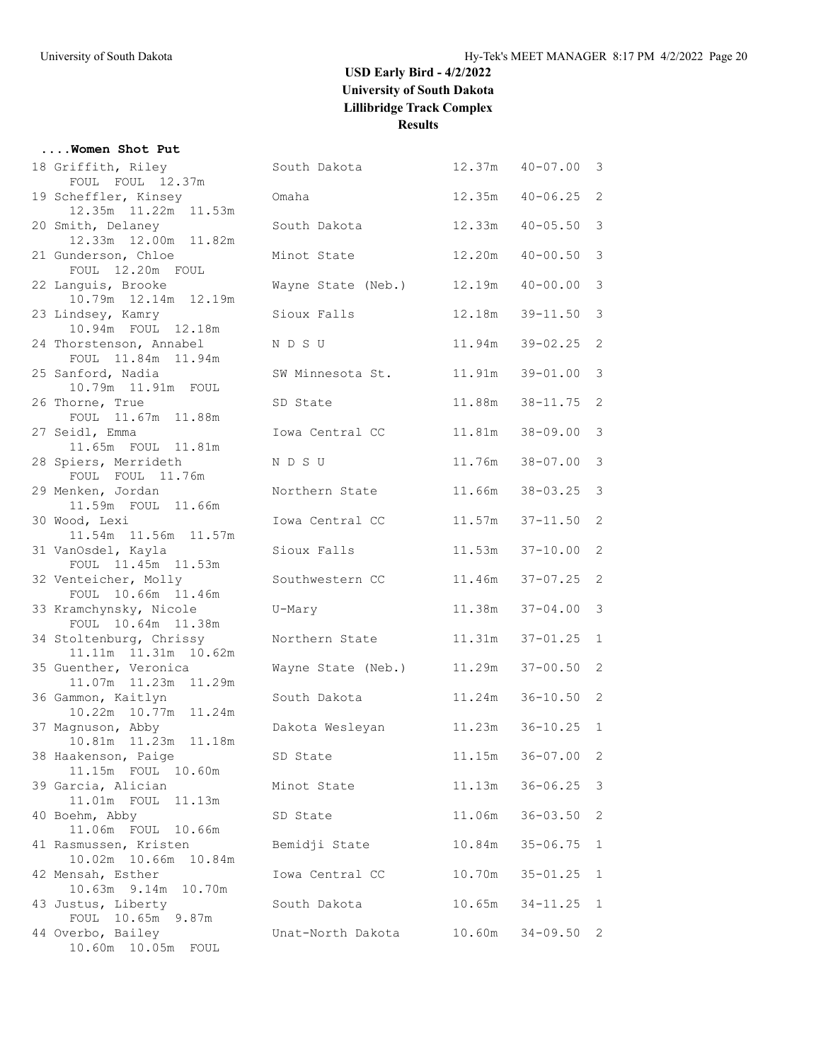### **....Women Shot Put**

| 18 Griffith, Riley                           | South Dakota       |        | $12.37m$ $40-07.00$ | 3              |
|----------------------------------------------|--------------------|--------|---------------------|----------------|
| FOUL FOUL 12.37m<br>19 Scheffler, Kinsey     | Omaha              | 12.35m | $40 - 06.25$        | 2              |
| 12.35m 11.22m 11.53m                         |                    |        |                     |                |
| 20 Smith, Delaney                            | South Dakota       | 12.33m | $40 - 05.50$        | 3              |
| 12.33m  12.00m  11.82m                       |                    |        |                     |                |
| 21 Gunderson, Chloe                          | Minot State        | 12.20m | $40 - 00.50$        | 3              |
| FOUL 12.20m FOUL                             |                    |        | $40 - 00.00$        | 3              |
| 22 Languis, Brooke<br>10.79m  12.14m  12.19m | Wayne State (Neb.) | 12.19m |                     |                |
| 23 Lindsey, Kamry                            | Sioux Falls        | 12.18m | $39 - 11.50$        | 3              |
| 10.94m FOUL 12.18m                           |                    |        |                     |                |
| 24 Thorstenson, Annabel                      | N D S U            | 11.94m | $39 - 02.25$        | 2              |
| FOUL 11.84m 11.94m<br>25 Sanford, Nadia      | SW Minnesota St.   | 11.91m | $39 - 01.00$        | 3              |
| 10.79m  11.91m  FOUL                         |                    |        |                     |                |
| 26 Thorne, True                              | SD State           | 11.88m | $38 - 11.75$        | 2              |
| FOUL 11.67m 11.88m                           |                    |        |                     |                |
| 27 Seidl, Emma                               | Iowa Central CC    | 11.81m | $38 - 09.00$        | 3              |
| 11.65m FOUL 11.81m<br>28 Spiers, Merrideth   | N D S U            | 11.76m | $38 - 07.00$        | 3              |
| FOUL FOUL 11.76m                             |                    |        |                     |                |
| 29 Menken, Jordan                            | Northern State     | 11.66m | $38 - 03.25$        | 3              |
| 11.59m FOUL 11.66m                           |                    |        |                     |                |
| 30 Wood, Lexi<br>11.54m  11.56m  11.57m      | Iowa Central CC    | 11.57m | $37 - 11.50$        | 2              |
| 31 VanOsdel, Kayla                           | Sioux Falls        | 11.53m | $37 - 10.00$        | 2              |
| FOUL 11.45m 11.53m                           |                    |        |                     |                |
| 32 Venteicher, Molly                         | Southwestern CC    | 11.46m | $37 - 07.25$        | 2              |
| FOUL 10.66m 11.46m                           |                    |        |                     |                |
| 33 Kramchynsky, Nicole<br>FOUL 10.64m 11.38m | U-Mary             | 11.38m | $37 - 04.00$        | 3              |
| 34 Stoltenburg, Chrissy                      | Northern State     | 11.31m | $37 - 01.25$        | $\mathbf{1}$   |
| 11.11m  11.31m  10.62m                       |                    |        |                     |                |
| 35 Guenther, Veronica                        | Wayne State (Neb.) | 11.29m | $37 - 00.50$        | 2              |
| 11.07m  11.23m  11.29m                       |                    |        |                     |                |
| 36 Gammon, Kaitlyn<br>10.22m  10.77m  11.24m | South Dakota       | 11.24m | $36 - 10.50$        | 2              |
| 37 Magnuson, Abby                            | Dakota Wesleyan    | 11.23m | $36 - 10.25$        | 1              |
| 10.81m  11.23m  11.18m                       |                    |        |                     |                |
| 38 Haakenson, Paige                          | SD State           | 11.15m | $36 - 07.00$        | $\overline{2}$ |
| 11.15m FOUL 10.60m<br>39 Garcia, Alician     | Minot State        | 11.13m | $36 - 06.25$        | 3              |
| 11.13m<br>11.01m FOUL                        |                    |        |                     |                |
| 40 Boehm, Abby                               | SD State           | 11.06m | $36 - 03.50$        | 2              |
| 11.06m FOUL 10.66m                           |                    |        |                     |                |
| 41 Rasmussen, Kristen                        | Bemidji State      | 10.84m | $35 - 06.75$        | 1              |
| 10.02m 10.66m 10.84m<br>42 Mensah, Esther    | Iowa Central CC    | 10.70m | $35 - 01.25$        | 1              |
| 10.63m 9.14m 10.70m                          |                    |        |                     |                |
| 43 Justus, Liberty                           | South Dakota       | 10.65m | $34 - 11.25$        | $\mathbf{1}$   |
| FOUL 10.65m 9.87m                            |                    |        |                     |                |
| 44 Overbo, Bailey                            | Unat-North Dakota  | 10.60m | $34 - 09.50$        | 2              |
| 10.60m  10.05m  FOUL                         |                    |        |                     |                |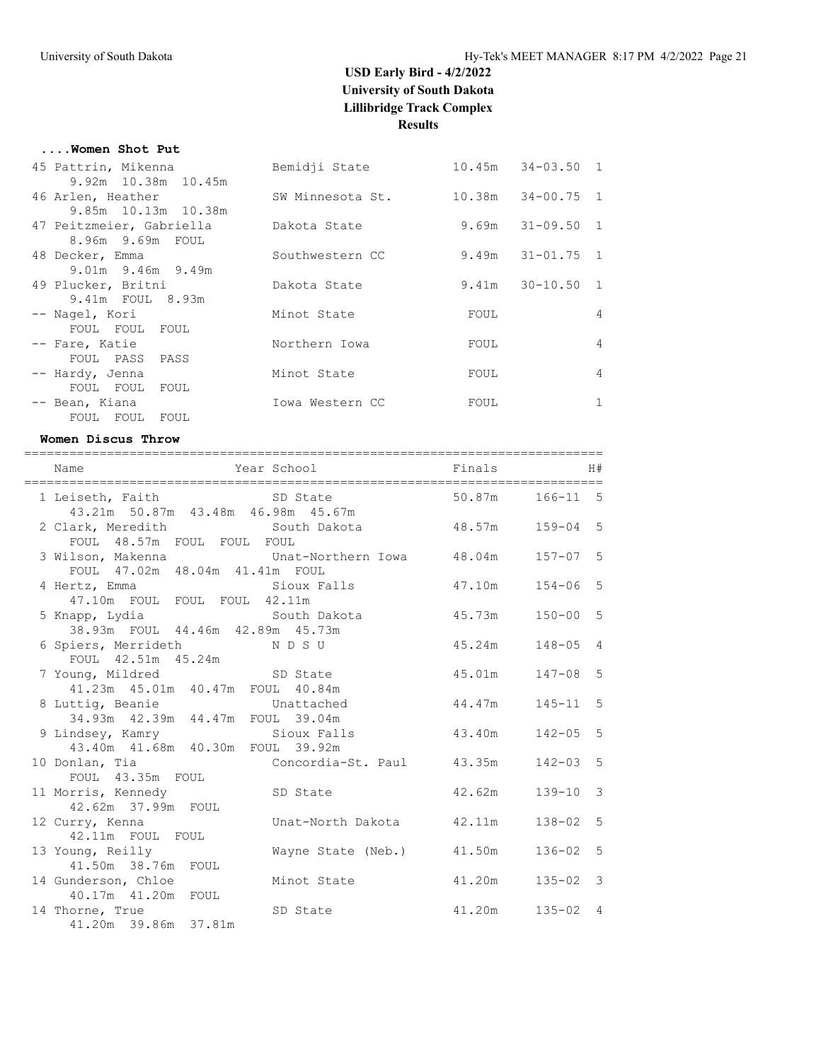#### **....Women Shot Put**

| 45 Pattrin, Mikenna      | Bemidji State    |      | $10.45m$ $34-03.50$ 1 |                |
|--------------------------|------------------|------|-----------------------|----------------|
| 9.92m 10.38m 10.45m      |                  |      |                       |                |
| 46 Arlen, Heather        | SW Minnesota St. |      | 10.38m 34-00.75 1     |                |
| 9.85m 10.13m 10.38m      |                  |      |                       |                |
| 47 Peitzmeier, Gabriella | Dakota State     |      | $9.69m$ $31-09.50$ 1  |                |
| 8.96m 9.69m FOUL         |                  |      |                       |                |
| 48 Decker, Emma          | Southwestern CC  |      | $9.49m$ $31-01.75$ 1  |                |
| $9.01m$ $9.46m$ $9.49m$  |                  |      |                       |                |
| 49 Plucker, Britni       | Dakota State     |      | $9.41m$ $30-10.50$ 1  |                |
| 9.41m FOUL 8.93m         |                  |      |                       |                |
| -- Nagel, Kori           | Minot State      | FOUL |                       | 4              |
| FOUL FOUL FOUL           |                  |      |                       |                |
| -- Fare, Katie           | Northern Iowa    | FOUL |                       | 4              |
| FOUL PASS PASS           |                  |      |                       |                |
| -- Hardy, Jenna          | Minot State      | FOUL |                       | $\overline{4}$ |
| FOUL FOUL FOUL           |                  |      |                       |                |
| -- Bean, Kiana           | Iowa Western CC  | FOUL |                       | $\mathbf{1}$   |
| FOUL FOUL FOUL           |                  |      |                       |                |

#### **Women Discus Throw**

| Year School Finals<br>Name                                                             |                  | H#                          |
|----------------------------------------------------------------------------------------|------------------|-----------------------------|
| 1 Leiseth, Faith SD State<br>43.21m 50.87m 43.48m 46.98m 45.67m                        | 50.87m           | $166 - 11$ 5                |
| 2 Clark, Meredith South Dakota 48.57m 159-04 5<br>FOUL 48.57m FOUL FOUL FOUL           |                  |                             |
| 3 Wilson, Makenna Chat-Northern Iowa 48.04m 157-07 5<br>FOUL 47.02m 48.04m 41.41m FOUL |                  |                             |
| Sioux Falls 5 47.10m 154-06 5<br>4 Hertz, Emma<br>47.10m FOUL FOUL FOUL 42.11m         |                  |                             |
|                                                                                        |                  | $150 - 00$ 5                |
| 6 Spiers, Merrideth NDSU<br>FOUL 42.51m 45.24m                                         | 45.24m           | $148 - 05$ 4                |
| 7 Young, Mildred SD State<br>41.23m  45.01m  40.47m  FOUL  40.84m                      | 45.01m 147-08 5  |                             |
| 8 Luttig, Beanie 6 Unattached<br>34.93m 42.39m 44.47m FOUL 39.04m                      | 44.47m  145-11 5 |                             |
| 9 Lindsey, Kamry Sioux Falls<br>43.40m  41.68m  40.30m  FOUL  39.92m                   | 43.40m           | $142 - 05$ 5                |
| Concordia-St. Paul 43.35m<br>10 Donlan, Tia<br>FOUL 43.35m FOUL                        |                  | $142 - 03$ 5                |
| 11 Morris, Kennedy SD State<br>42.62m 37.99m FOUL                                      | 42.62m           | $\mathcal{E}$<br>$139 - 10$ |
| 12 Curry, Kenna Munat-North Dakota 42.11m<br>42.11m FOUL FOUL                          |                  | $138 - 02$ 5                |
| 13 Young, Reilly<br>Wayne State (Neb.) 41.50m<br>41.50m 38.76m FOUL                    |                  | $136 - 02$ 5                |
| 14 Gunderson, Chloe<br>Minot State<br>41.20m<br>40.17m  41.20m  FOUL                   |                  | $135 - 02$ 3                |
| 14 Thorne, True<br>SD State<br>41.20m 39.86m 37.81m                                    | 41.20m           | $135 - 02$ 4                |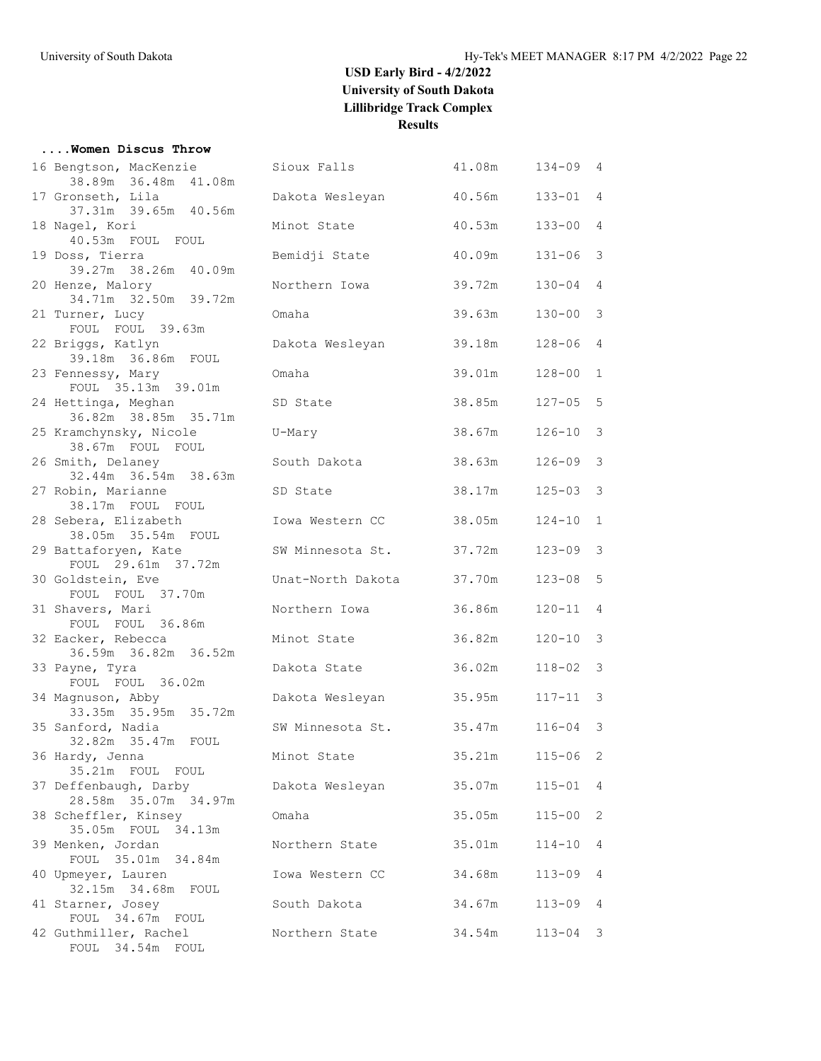#### **....Women Discus Throw**

| 16 Bengtson, MacKenzie<br>38.89m 36.48m 41.08m | Sioux Falls       | 41.08m | $134 - 09$   | 4                       |
|------------------------------------------------|-------------------|--------|--------------|-------------------------|
| 17 Gronseth, Lila                              | Dakota Wesleyan   | 40.56m | $133 - 01$   | $\overline{4}$          |
| 37.31m 39.65m 40.56m                           |                   |        |              |                         |
| 18 Nagel, Kori<br>40.53m FOUL FOUL             | Minot State       | 40.53m | $133 - 00$   | $\overline{4}$          |
| 19 Doss, Tierra<br>39.27m 38.26m 40.09m        | Bemidji State     | 40.09m | $131 - 06$   | $\overline{3}$          |
| 20 Henze, Malory<br>34.71m 32.50m 39.72m       | Northern Iowa     | 39.72m | $130 - 04$   | 4                       |
| 21 Turner, Lucy<br>FOUL FOUL 39.63m            | Omaha             | 39.63m | $130 - 00$   | $\overline{\mathbf{3}}$ |
| 22 Briggs, Katlyn<br>39.18m 36.86m FOUL        | Dakota Wesleyan   | 39.18m | $128 - 06$   | 4                       |
| 23 Fennessy, Mary<br>FOUL 35.13m 39.01m        | Omaha             | 39.01m | $128 - 00$   | 1                       |
| 24 Hettinga, Meghan<br>36.82m 38.85m 35.71m    | SD State          | 38.85m | $127 - 05$   | - 5                     |
| 25 Kramchynsky, Nicole<br>38.67m FOUL FOUL     | U-Mary            | 38.67m | 126-10       | 3                       |
| 26 Smith, Delaney<br>32.44m 36.54m 38.63m      | South Dakota      | 38.63m | 126-09       | -3                      |
| 27 Robin, Marianne<br>38.17m FOUL FOUL         | SD State          | 38.17m | $125 - 03$   | $\overline{\mathbf{3}}$ |
| 28 Sebera, Elizabeth<br>38.05m 35.54m FOUL     | Iowa Western CC   | 38.05m | $124 - 10$   | $\mathbf{1}$            |
| 29 Battaforyen, Kate<br>FOUL 29.61m 37.72m     | SW Minnesota St.  | 37.72m | $123 - 09$   | 3                       |
| 30 Goldstein, Eve<br>FOUL FOUL 37.70m          | Unat-North Dakota | 37.70m | $123 - 08$   | 5                       |
| 31 Shavers, Mari<br>FOUL FOUL 36.86m           | Northern Iowa     | 36.86m | 120-11       | 4                       |
| 32 Eacker, Rebecca<br>36.59m 36.82m 36.52m     | Minot State       | 36.82m | 120-10       | 3                       |
| 33 Payne, Tyra<br>FOUL FOUL 36.02m             | Dakota State      | 36.02m | $118 - 02$   | 3                       |
| 34 Magnuson, Abby<br>33.35m 35.95m 35.72m      | Dakota Wesleyan   | 35.95m | 117-11       | 3                       |
| 35 Sanford, Nadia                              | SW Minnesota St.  | 35.47m | $116 - 04$   | $\overline{\mathbf{3}}$ |
| 32.82m 35.47m FOUL<br>36 Hardy, Jenna          | Minot State       | 35.21m | $115 - 06$ 2 |                         |
| 35.21m FOUL FOUL<br>37 Deffenbaugh, Darby      | Dakota Wesleyan   | 35.07m | 115-01       | 4                       |
| 28.58m 35.07m 34.97m<br>38 Scheffler, Kinsey   | Omaha             | 35.05m | $115 - 00$   | 2                       |
| 35.05m FOUL 34.13m<br>39 Menken, Jordan        | Northern State    | 35.01m | $114 - 10$   | 4                       |
| FOUL 35.01m 34.84m<br>40 Upmeyer, Lauren       | Iowa Western CC   | 34.68m | $113 - 09$   | 4                       |
| 32.15m  34.68m  FOUL<br>41 Starner, Josey      | South Dakota      | 34.67m | $113 - 09$   | 4                       |
| FOUL 34.67m FOUL<br>42 Guthmiller, Rachel      | Northern State    | 34.54m | $113 - 04$   | $\overline{\mathbf{3}}$ |
| FOUL 34.54m FOUL                               |                   |        |              |                         |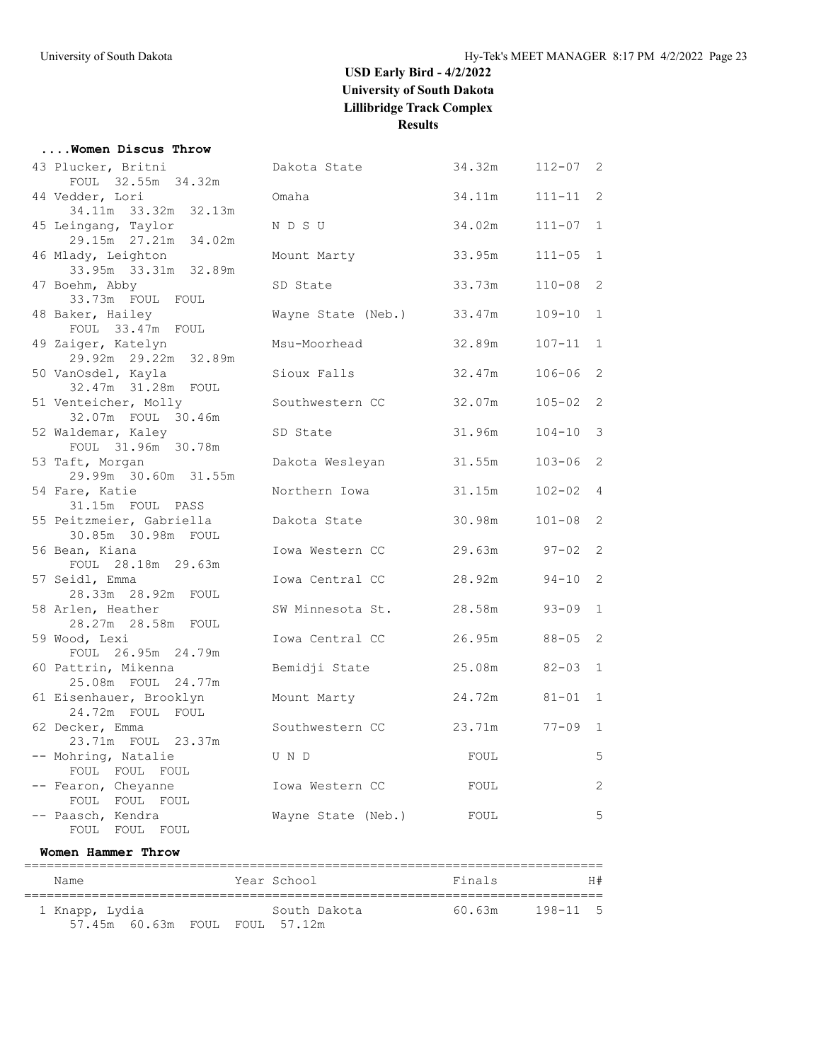|  | Women Discus Throw |  |
|--|--------------------|--|
|  |                    |  |

| 43 Plucker, Britni<br>FOUL 32.55m 34.32m              | Dakota State       | 34.32m         | $112 - 07$ 2 |              |
|-------------------------------------------------------|--------------------|----------------|--------------|--------------|
| 44 Vedder, Lori<br>34.11m 33.32m 32.13m               | Omaha              | 34.11m         | $111 - 11$ 2 |              |
| 45 Leingang, Taylor                                   | N D S U            | 34.02m         | $111 - 07$ 1 |              |
| 29.15m  27.21m  34.02m<br>46 Mlady, Leighton          | Mount Marty        | 33.95m         | $111 - 05$ 1 |              |
| 33.95m 33.31m 32.89m<br>47 Boehm, Abby                | SD State           | 33.73m         | $110 - 08$   | 2            |
| 33.73m FOUL FOUL<br>48 Baker, Hailey                  | Wayne State (Neb.) | 33.47m         | $109 - 10$   | $\mathbf{1}$ |
| FOUL 33.47m FOUL<br>49 Zaiger, Katelyn                | Msu-Moorhead       | 32.89m         | $107 - 11$ 1 |              |
| 29.92m 29.22m 32.89m<br>50 VanOsdel, Kayla            | Sioux Falls        | 32.47m         | $106 - 06$   | 2            |
| 32.47m 31.28m FOUL<br>51 Venteicher, Molly            | Southwestern CC    | 32.07m         | $105 - 02$ 2 |              |
| 32.07m FOUL 30.46m<br>52 Waldemar, Kaley              | SD State           | 31.96m         | $104 - 10$ 3 |              |
| FOUL 31.96m 30.78m<br>53 Taft, Morgan                 | Dakota Wesleyan    | 31.55m         | $103 - 06$ 2 |              |
| 29.99m 30.60m 31.55m<br>54 Fare, Katie                | Northern Iowa      | 31.15m         | $102 - 02$ 4 |              |
| 31.15m FOUL PASS<br>55 Peitzmeier, Gabriella          | Dakota State       | 30.98m         | $101 - 08$   | 2            |
| 30.85m 30.98m FOUL<br>56 Bean, Kiana                  | Iowa Western CC    | 29.63m 97-02 2 |              |              |
| FOUL 28.18m 29.63m<br>57 Seidl, Emma                  | Iowa Central CC    | 28.92m         | $94 - 10$ 2  |              |
| 28.33m  28.92m  FOUL<br>58 Arlen, Heather             | SW Minnesota St.   | 28.58m         | $93 - 09$    | 1            |
| 28.27m 28.58m FOUL<br>59 Wood, Lexi                   | Iowa Central CC    | 26.95m         | $88 - 05$ 2  |              |
| FOUL 26.95m 24.79m<br>60 Pattrin, Mikenna             | Bemidji State      | 25.08m         | $82 - 03$    | $\mathbf{1}$ |
| 25.08m FOUL 24.77m<br>61 Eisenhauer, Brooklyn         | Mount Marty        | 24.72m         | $81 - 01$    | 1            |
| 24.72m FOUL FOUL<br>62 Decker, Emma                   | Southwestern CC    | 23.71m         | $77 - 09$ 1  |              |
| 23.71m FOUL 23.37m<br>-- Mohring, Natalie             | U N D              | FOUL           |              | 5            |
| FOUL FOUL FOUL<br>-- Fearon, Cheyanne                 | Iowa Western CC    | FOUL           |              | $\mathbf{2}$ |
| FOUL FOUL FOUL<br>-- Paasch, Kendra<br>FOUL FOUL FOUL | Wayne State (Neb.) | FOUL           |              | 5            |
|                                                       |                    |                |              |              |

#### **Women Hammer Throw**

| Name                           |  | Year School  | Finals |          | H# |
|--------------------------------|--|--------------|--------|----------|----|
| 1 Knapp, Lydia                 |  | South Dakota | 60.63m | 198-11 5 |    |
| 57.45m 60.63m FOUL FOUL 57.12m |  |              |        |          |    |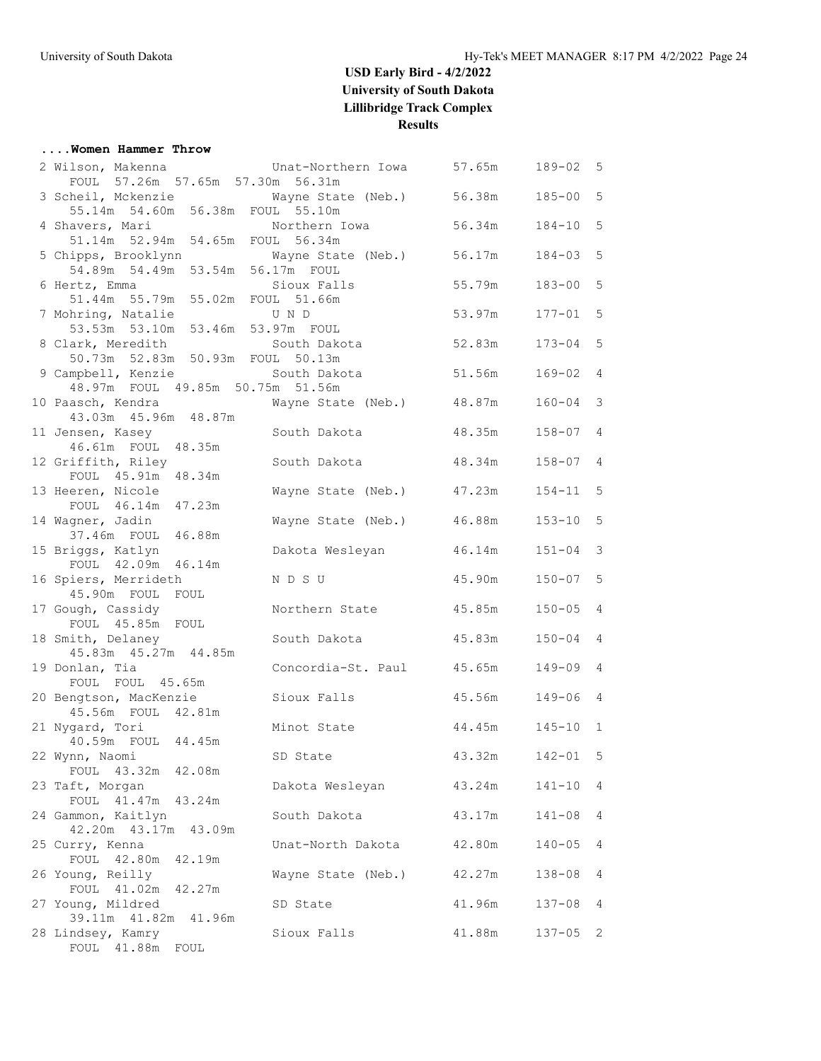#### **....Women Hammer Throw**

| 2 Wilson, Makenna           Unat-Northern Iowa     57.65m                        |                           |        | 189-02       | 5              |
|----------------------------------------------------------------------------------|---------------------------|--------|--------------|----------------|
| FOUL 57.26m 57.65m 57.30m 56.31m                                                 |                           |        |              |                |
| 3 Scheil, Mckenzie Mayne State (Neb.) 56.38m<br>55.14m 54.60m 56.38m FOUL 55.10m |                           |        | $185 - 00$   | 5              |
| 4 Shavers, Mari                                                                  |                           | 56.34m | 184-10       | 5              |
|                                                                                  |                           |        |              |                |
| 5 Chipps, Brooklynn                                                              | Wayne State (Neb.) 56.17m |        | $184 - 03$   | 5              |
| 54.89m 54.49m 53.54m 56.17m FOUL                                                 |                           |        |              |                |
| 6 Hertz, Emma                                                                    | Sioux Falls               | 55.79m | $183 - 00$ 5 |                |
| 51.44m 55.79m 55.02m FOUL 51.66m                                                 |                           |        |              |                |
| 7 Mohring, Natalie                                                               | U N D                     | 53.97m | $177 - 01$ 5 |                |
| 53.53m 53.10m 53.46m 53.97m FOUL                                                 |                           |        |              |                |
| 8 Clark, Meredith South Dakota                                                   |                           | 52.83m | 173-04       | 5              |
| 50.73m 52.83m 50.93m FOUL 50.13m                                                 |                           |        |              |                |
| 9 Campbell, Kenzie South Dakota                                                  |                           | 51.56m | $169 - 02$ 4 |                |
| 48.97m FOUL 49.85m 50.75m 51.56m                                                 |                           |        |              |                |
| 10 Paasch, Kendra<br>43.03m  45.96m  48.87m                                      | Wayne State (Neb.) 48.87m |        | $160 - 04$   | 3              |
|                                                                                  | South Dakota              | 48.35m | $158 - 07$   | $\overline{4}$ |
| 11 Jensen, Kasey<br>46.61m FOUL 48.35m                                           |                           |        |              |                |
| 12 Griffith, Riley                                                               | South Dakota 48.34m       |        | $158 - 07$ 4 |                |
| FOUL 45.91m 48.34m                                                               |                           |        |              |                |
| 13 Heeren, Nicole                                                                | Wayne State (Neb.) 47.23m |        | $154 - 11$ 5 |                |
| FOUL 46.14m 47.23m                                                               |                           |        |              |                |
| 14 Wagner, Jadin                                                                 | Wayne State (Neb.)        | 46.88m | $153 - 10$   | 5              |
| 37.46m FOUL 46.88m                                                               |                           |        |              |                |
| 15 Briggs, Katlyn                                                                | Dakota Wesleyan           | 46.14m | $151 - 04$   | 3              |
| FOUL 42.09m 46.14m                                                               |                           |        |              |                |
| 16 Spiers, Merrideth                                                             | N D S U                   | 45.90m | $150 - 07$   | 5              |
| 45.90m FOUL FOUL                                                                 |                           |        |              |                |
| 17 Gough, Cassidy<br>FOUL 45.85m FOUL                                            | Northern State            | 45.85m | $150 - 05$ 4 |                |
| 18 Smith, Delaney                                                                | South Dakota 45.83m       |        | $150 - 04$ 4 |                |
| 45.83m  45.27m  44.85m                                                           |                           |        |              |                |
| 19 Donlan, Tia                                                                   | Concordia-St. Paul 45.65m |        | $149 - 09$ 4 |                |
| FOUL FOUL 45.65m                                                                 |                           |        |              |                |
| 20 Bengtson, MacKenzie                                                           | Sioux Falls               | 45.56m | $149 - 06$ 4 |                |
| 45.56m FOUL 42.81m                                                               |                           |        |              |                |
| 21 Nygard, Tori                                                                  | Minot State               | 44.45m | $145 - 10$ 1 |                |
| 40.59m FOUL 44.45m                                                               |                           |        |              |                |
| 22 Wynn, Naomi                                                                   | SD State                  | 43.32m | $142 - 01$   | 5              |
| FOUL 43.32m 42.08m                                                               |                           |        |              |                |
| 23 Taft, Morgan                                                                  | Dakota Wesleyan           | 43.24m | $141 - 10$ 4 |                |
| FOUL 41.47m 43.24m<br>24 Gammon, Kaitlyn                                         | South Dakota              | 43.17m | $141 - 08$   | 4              |
| 42.20m  43.17m  43.09m                                                           |                           |        |              |                |
| 25 Curry, Kenna                                                                  | Unat-North Dakota         | 42.80m | $140 - 05$   | 4              |
| FOUL 42.80m 42.19m                                                               |                           |        |              |                |
| 26 Young, Reilly                                                                 | Wayne State (Neb.)        | 42.27m | $138 - 08$   | 4              |
| FOUL 41.02m 42.27m                                                               |                           |        |              |                |
| 27 Young, Mildred                                                                | SD State                  | 41.96m | $137 - 08$   | 4              |
| 39.11m  41.82m  41.96m                                                           |                           |        |              |                |
| 28 Lindsey, Kamry                                                                | Sioux Falls               | 41.88m | $137 - 05$ 2 |                |
| FOUL 41.88m FOUL                                                                 |                           |        |              |                |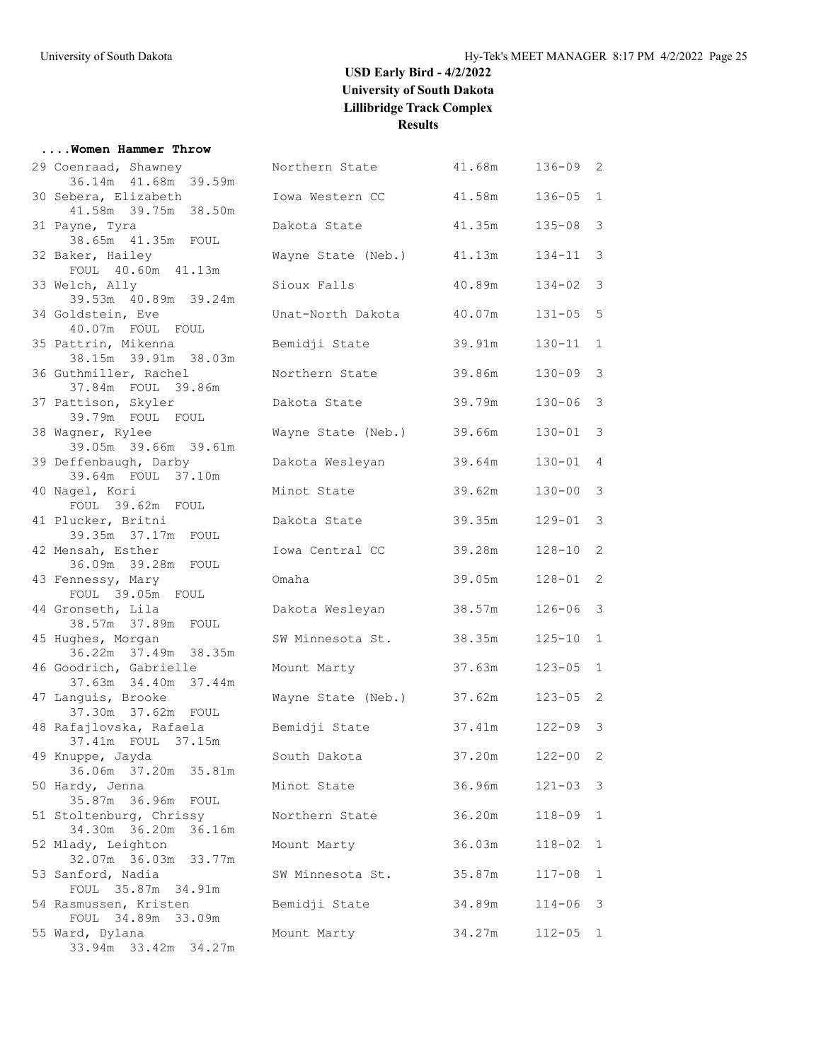#### **....Women Hammer Throw**

| 29 Coenraad, Shawney                           | Northern State     | 41.68m | $136 - 09$ | 2            |
|------------------------------------------------|--------------------|--------|------------|--------------|
| 36.14m  41.68m  39.59m<br>30 Sebera, Elizabeth | Iowa Western CC    | 41.58m | $136 - 05$ | $\mathbf{1}$ |
| 41.58m 39.75m 38.50m                           |                    |        |            |              |
| 31 Payne, Tyra                                 | Dakota State       | 41.35m | $135 - 08$ | 3            |
| 38.65m  41.35m  FOUL                           |                    |        |            |              |
| 32 Baker, Hailey<br>FOUL 40.60m 41.13m         | Wayne State (Neb.) | 41.13m | $134 - 11$ | 3            |
| 33 Welch, Ally                                 | Sioux Falls        | 40.89m | $134 - 02$ | 3            |
| 39.53m 40.89m 39.24m                           |                    |        |            |              |
| 34 Goldstein, Eve                              | Unat-North Dakota  | 40.07m | $131 - 05$ | 5            |
| 40.07m FOUL FOUL                               |                    |        |            |              |
| 35 Pattrin, Mikenna                            | Bemidji State      | 39.91m | $130 - 11$ | $\mathbf{1}$ |
| 38.15m 39.91m 38.03m                           |                    |        |            |              |
| 36 Guthmiller, Rachel                          | Northern State     | 39.86m | $130 - 09$ | 3            |
| 37.84m FOUL 39.86m                             |                    |        |            |              |
| 37 Pattison, Skyler                            | Dakota State       | 39.79m | $130 - 06$ | 3            |
| 39.79m FOUL FOUL                               |                    |        |            |              |
| 38 Wagner, Rylee<br>39.05m 39.66m 39.61m       | Wayne State (Neb.) | 39.66m | $130 - 01$ | 3            |
| 39 Deffenbaugh, Darby                          | Dakota Wesleyan    | 39.64m | $130 - 01$ | 4            |
| 39.64m FOUL 37.10m                             |                    |        |            |              |
| 40 Nagel, Kori                                 | Minot State        | 39.62m | $130 - 00$ | 3            |
| FOUL 39.62m FOUL                               |                    |        |            |              |
| 41 Plucker, Britni                             | Dakota State       | 39.35m | 129-01     | 3            |
| 39.35m 37.17m FOUL                             |                    |        |            |              |
| 42 Mensah, Esther                              | Iowa Central CC    | 39.28m | $128 - 10$ | 2            |
| 36.09m 39.28m FOUL                             |                    |        |            |              |
| 43 Fennessy, Mary                              | Omaha              | 39.05m | $128 - 01$ | 2            |
| FOUL 39.05m FOUL                               |                    |        |            |              |
| 44 Gronseth, Lila<br>38.57m 37.89m FOUL        | Dakota Wesleyan    | 38.57m | $126 - 06$ | 3            |
| 45 Hughes, Morgan                              | SW Minnesota St.   | 38.35m | $125 - 10$ | $\mathbf{1}$ |
| 36.22m 37.49m 38.35m                           |                    |        |            |              |
| 46 Goodrich, Gabrielle                         | Mount Marty        | 37.63m | $123 - 05$ | $\mathbf{1}$ |
| 37.63m 34.40m 37.44m                           |                    |        |            |              |
| 47 Languis, Brooke                             | Wayne State (Neb.) | 37.62m | $123 - 05$ | 2            |
| 37.30m 37.62m FOUL                             |                    |        |            |              |
| 48 Rafajlovska, Rafaela                        | Bemidji State      | 37.41m | $122 - 09$ | 3            |
| 37.41m FOUL 37.15m                             |                    |        |            |              |
| 49 Knuppe, Jayda                               | South Dakota       | 37.20m | $122 - 00$ | 2            |
| 36.06m 37.20m 35.81m<br>50 Hardy, Jenna        | Minot State        | 36.96m | $121 - 03$ |              |
| 35.87m 36.96m FOUL                             |                    |        |            | 3            |
| 51 Stoltenburg, Chrissy                        | Northern State     | 36.20m | $118 - 09$ | $\mathbf{1}$ |
| 34.30m 36.20m 36.16m                           |                    |        |            |              |
| 52 Mlady, Leighton                             | Mount Marty        | 36.03m | $118 - 02$ | $\mathbf{1}$ |
| 32.07m 36.03m 33.77m                           |                    |        |            |              |
| 53 Sanford, Nadia                              | SW Minnesota St.   | 35.87m | $117 - 08$ | $\mathbf{1}$ |
| FOUL 35.87m 34.91m                             |                    |        |            |              |
| 54 Rasmussen, Kristen                          | Bemidji State      | 34.89m | $114 - 06$ | 3            |
| FOUL 34.89m 33.09m                             |                    |        |            |              |
| 55 Ward, Dylana<br>33.94m 33.42m 34.27m        | Mount Marty        | 34.27m | $112 - 05$ | 1            |
|                                                |                    |        |            |              |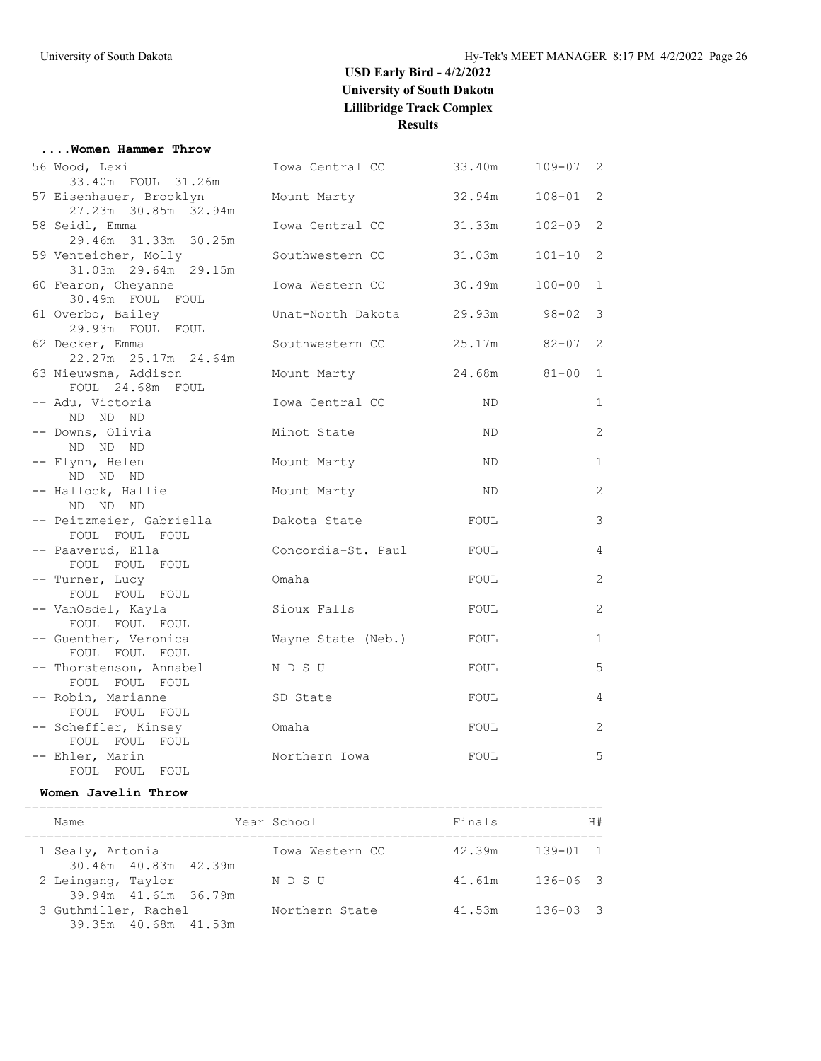| Women Hammer Throw                           |                                  |              |              |                |
|----------------------------------------------|----------------------------------|--------------|--------------|----------------|
| 56 Wood, Lexi                                | Iowa Central CC 33.40m           |              | $109 - 07$ 2 |                |
| 33.40m FOUL 31.26m                           |                                  |              |              |                |
| 57 Eisenhauer, Brooklyn                      | Mount Marty                      | 32.94m       | $108 - 01$ 2 |                |
| 27.23m 30.85m 32.94m                         |                                  |              |              |                |
| 58 Seidl, Emma                               | Iowa Central CC                  | 31.33m       | $102 - 09$ 2 |                |
| 29.46m 31.33m 30.25m<br>59 Venteicher, Molly | Southwestern CC                  | 31.03m       | $101 - 10$ 2 |                |
| 31.03m 29.64m 29.15m                         |                                  |              |              |                |
| 60 Fearon, Cheyanne                          | Iowa Western CC                  | 30.49m       | $100 - 00$ 1 |                |
| 30.49m FOUL FOUL                             |                                  |              |              |                |
| 61 Overbo, Bailey                            | Unat-North Dakota 29.93m 98-02 3 |              |              |                |
| 29.93m FOUL FOUL                             |                                  |              |              |                |
| 62 Decker, Emma                              | Southwestern CC                  | 25.17m 82-07 |              | 2              |
| 22.27m 25.17m 24.64m                         |                                  |              |              |                |
| 63 Nieuwsma, Addison                         | Mount Marty                      |              | 24.68m 81-00 | $\mathbf{1}$   |
| FOUL 24.68m FOUL<br>-- Adu, Victoria         | Iowa Central CC                  | ND.          |              | $\mathbf{1}$   |
| ND ND ND                                     |                                  |              |              |                |
| -- Downs, Olivia                             | Minot State                      | ND.          |              | 2              |
| ND ND ND                                     |                                  |              |              |                |
| -- Flynn, Helen                              | Mount Marty                      | ND.          |              | $\mathbf{1}$   |
| ND ND ND                                     |                                  |              |              |                |
| -- Hallock, Hallie                           | Mount Marty                      | ND.          |              | 2              |
| ND ND ND                                     |                                  |              |              |                |
| -- Peitzmeier, Gabriella<br>FOUL FOUL FOUL   | Dakota State                     | FOUL         |              | 3              |
| -- Paaverud, Ella                            | Concordia-St. Paul               | FOUL         |              | $\overline{4}$ |
| FOUL FOUL FOUL                               |                                  |              |              |                |
| -- Turner, Lucy                              | Omaha                            | FOUL         |              | 2              |
| FOUL FOUL FOUL                               |                                  |              |              |                |
| -- VanOsdel, Kayla                           | Sioux Falls                      | FOUL         |              | 2              |
| FOUL FOUL FOUL                               |                                  |              |              |                |
| -- Guenther, Veronica                        | Wayne State (Neb.)               | FOUL         |              | $\mathbf{1}$   |
| FOUL FOUL FOUL<br>-- Thorstenson, Annabel    | N D S U                          | FOUL         |              | 5              |
| FOUL FOUL FOUL                               |                                  |              |              |                |
| -- Robin, Marianne                           | SD State                         | FOUL         |              | $\overline{4}$ |
| FOUL FOUL FOUL                               |                                  |              |              |                |
| -- Scheffler, Kinsey                         | Omaha                            | FOUL         |              | 2              |
| FOUL FOUL FOUL                               |                                  |              |              |                |
| -- Ehler, Marin                              | Northern Iowa                    | FOUL         |              | 5              |
| FOUL FOUL FOUL                               |                                  |              |              |                |

### **Women Javelin Throw**

| Name                                       |                      | Year School     | Finals | H#           |
|--------------------------------------------|----------------------|-----------------|--------|--------------|
| 1 Sealy, Antonia                           |                      | Iowa Western CC | 42.39m | $139 - 01$ 1 |
| 30.46m 40.83m 42.39m<br>2 Leingang, Taylor |                      | N D S U         | 41.61m | $136 - 06$ 3 |
| 3 Guthmiller, Rachel                       | 39.94m 41.61m 36.79m | Northern State  | 41.53m | $136 - 03$ 3 |
|                                            | 39.35m 40.68m 41.53m |                 |        |              |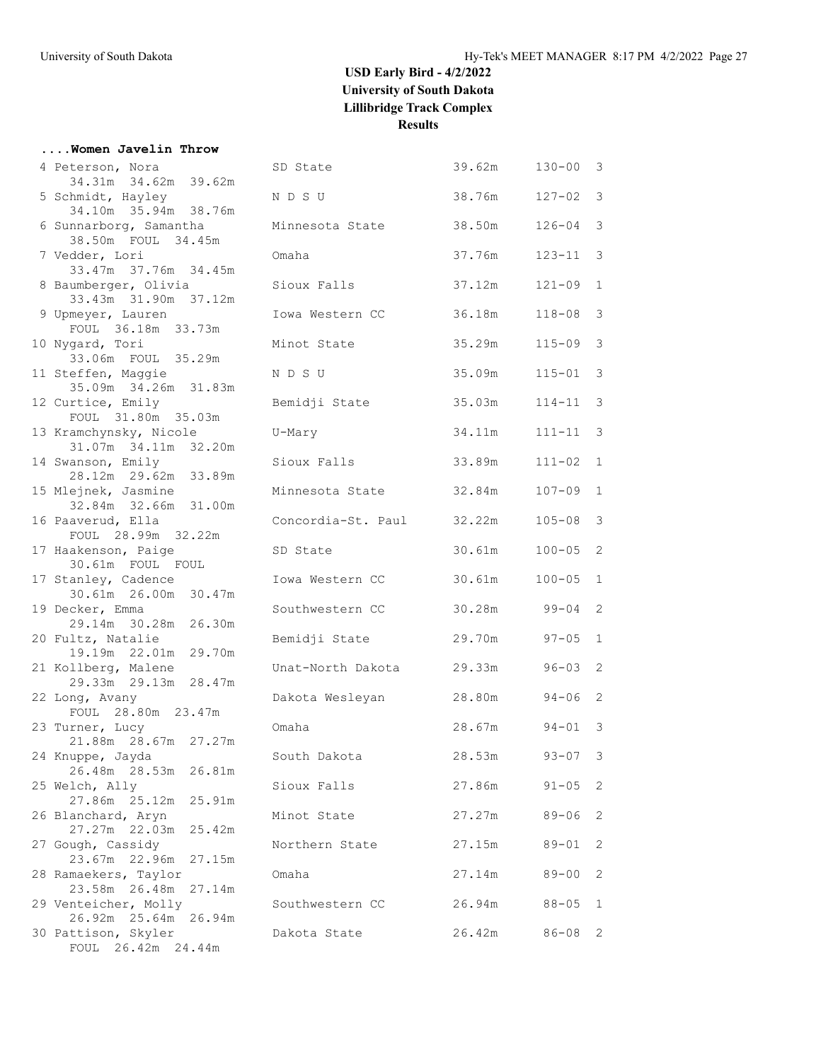#### **....Women Javelin Throw**

| 4 Peterson, Nora                               | SD State                  | 39.62m | $130 - 00$   | 3                          |
|------------------------------------------------|---------------------------|--------|--------------|----------------------------|
| 34.31m 34.62m 39.62m                           |                           |        |              |                            |
| 5 Schmidt, Hayley                              | N D S U                   | 38.76m | $127 - 02$   | 3                          |
| 34.10m 35.94m 38.76m                           |                           |        |              |                            |
| 6 Sunnarborg, Samantha<br>38.50m FOUL 34.45m   | Minnesota State           | 38.50m | $126 - 04$   | 3                          |
| 7 Vedder, Lori                                 | Omaha                     | 37.76m | $123 - 11$   | 3                          |
| 33.47m 37.76m 34.45m                           |                           |        |              |                            |
| 8 Baumberger, Olivia                           | Sioux Falls               | 37.12m | $121 - 09$   | 1                          |
| 33.43m 31.90m 37.12m                           |                           |        |              |                            |
| 9 Upmeyer, Lauren                              | Iowa Western CC           | 36.18m | $118 - 08$ 3 |                            |
| FOUL 36.18m 33.73m                             |                           |        |              |                            |
| 10 Nygard, Tori                                | Minot State               | 35.29m | $115 - 09$   | $\mathbf{3}$               |
| 33.06m FOUL 35.29m                             |                           |        |              |                            |
| 11 Steffen, Maggie                             | N D S U                   | 35.09m | $115 - 01$   | $\mathcal{S}$              |
| 35.09m 34.26m 31.83m                           |                           |        |              |                            |
| 12 Curtice, Emily                              | Bemidji State             | 35.03m | 114-11       | 3                          |
| FOUL 31.80m 35.03m                             |                           |        |              |                            |
| 13 Kramchynsky, Nicole<br>31.07m 34.11m 32.20m | U-Mary                    | 34.11m | 111-11       | 3                          |
| 14 Swanson, Emily                              | Sioux Falls               | 33.89m | $111 - 02$ 1 |                            |
| 28.12m 29.62m 33.89m                           |                           |        |              |                            |
| 15 Mlejnek, Jasmine                            | Minnesota State           | 32.84m | $107 - 09$ 1 |                            |
| 32.84m 32.66m 31.00m                           |                           |        |              |                            |
| 16 Paaverud, Ella                              | Concordia-St. Paul 32.22m |        | $105 - 08$   | $\mathbf{3}$               |
| FOUL 28.99m 32.22m                             |                           |        |              |                            |
| 17 Haakenson, Paige                            | SD State                  | 30.61m | $100 - 05$   | $\overline{2}$             |
| 30.61m FOUL FOUL                               |                           |        |              |                            |
| 17 Stanley, Cadence                            | Iowa Western CC           | 30.61m | $100 - 05$   | 1                          |
| 30.61m 26.00m 30.47m                           |                           |        |              |                            |
| 19 Decker, Emma                                | Southwestern CC           | 30.28m | 99-04        | 2                          |
| 29.14m 30.28m 26.30m                           |                           | 29.70m | $97 - 05$    | $\mathbf{1}$               |
| 20 Fultz, Natalie<br>19.19m 22.01m 29.70m      | Bemidji State             |        |              |                            |
| 21 Kollberg, Malene                            | Unat-North Dakota         | 29.33m | $96 - 03$ 2  |                            |
| 29.33m 29.13m 28.47m                           |                           |        |              |                            |
| 22 Long, Avany                                 | Dakota Wesleyan           | 28.80m | $94 - 06$    | 2                          |
| FOUL 28.80m 23.47m                             |                           |        |              |                            |
| 23 Turner, Lucy                                | Omaha                     | 28.67m | $94 - 01$ 3  |                            |
| 21.88m 28.67m 27.27m                           |                           |        |              |                            |
| 24 Knuppe, Jayda                               | South Dakota              | 28.53m | $93 - 07$    | $\mathcal{E}$              |
| 26.48m 28.53m 26.81m                           |                           |        |              |                            |
| 25 Welch, Ally                                 | Sioux Falls               | 27.86m | $91 - 05$ 2  |                            |
| 27.86m  25.12m  25.91m                         |                           |        |              |                            |
| 26 Blanchard, Aryn<br>27.27m 22.03m 25.42m     | Minot State               | 27.27m | $89 - 06$    | 2                          |
| 27 Gough, Cassidy                              | Northern State            | 27.15m | $89 - 01$    | 2                          |
| 23.67m 22.96m 27.15m                           |                           |        |              |                            |
| 28 Ramaekers, Taylor                           | Omaha                     | 27.14m | $89 - 00$    | 2                          |
| 23.58m 26.48m 27.14m                           |                           |        |              |                            |
| 29 Venteicher, Molly                           | Southwestern CC           | 26.94m | $88 - 05$    | 1                          |
| 26.92m 25.64m 26.94m                           |                           |        |              |                            |
| 30 Pattison, Skyler                            | Dakota State              | 26.42m | $86 - 08$    | $\overline{\phantom{0}}^2$ |
| FOUL 26.42m 24.44m                             |                           |        |              |                            |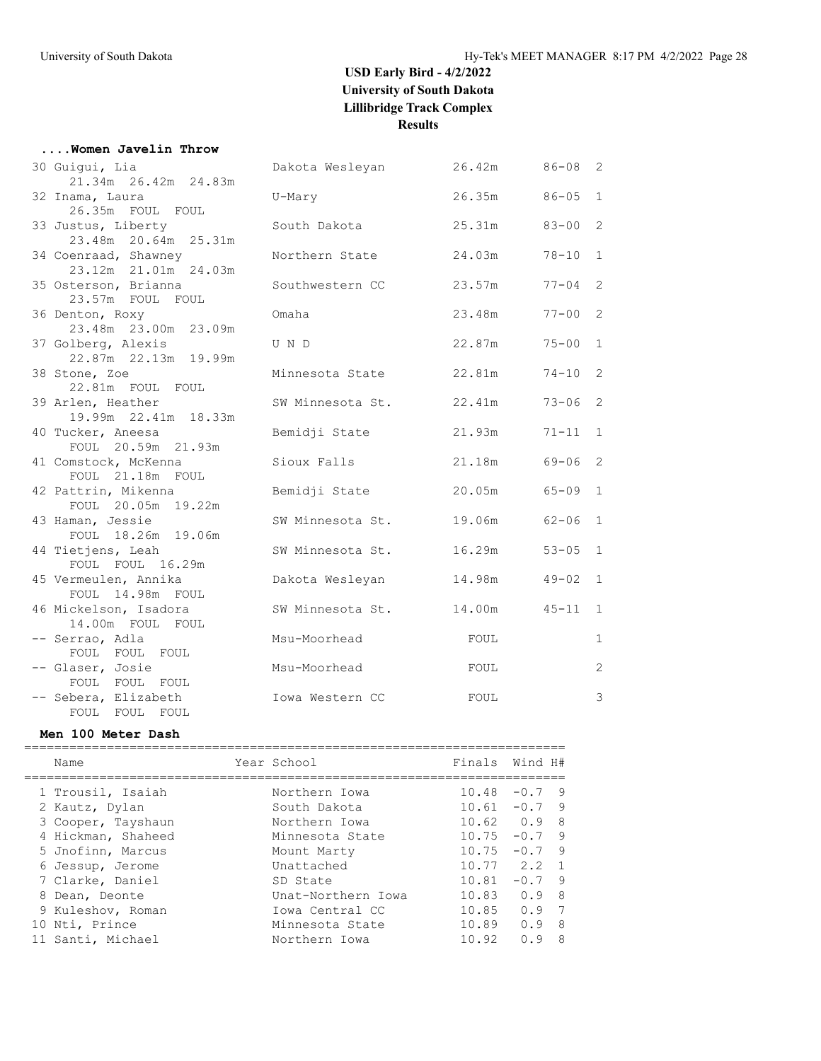# **....Women Javelin Throw**<br>20 Guigui Lia

| 30 Guigui, Lia<br>21.34m  26.42m  24.83m     | Dakota Wesleyan  | 26.42m | 86-08     | 2            |
|----------------------------------------------|------------------|--------|-----------|--------------|
| 32 Inama, Laura<br>26.35m FOUL FOUL          | U-Mary           | 26.35m | $86 - 05$ | 1            |
| 33 Justus, Liberty<br>23.48m 20.64m 25.31m   | South Dakota     | 25.31m | $83 - 00$ | 2            |
| 34 Coenraad, Shawney<br>23.12m 21.01m 24.03m | Northern State   | 24.03m | $78 - 10$ | $\mathbf{1}$ |
| 35 Osterson, Brianna<br>23.57m FOUL FOUL     | Southwestern CC  | 23.57m | $77 - 04$ | 2            |
| 36 Denton, Roxy<br>23.48m 23.00m 23.09m      | Omaha            | 23.48m | $77 - 00$ | 2            |
| 37 Golberg, Alexis<br>22.87m  22.13m  19.99m | U N D            | 22.87m | $75 - 00$ | $\mathbf{1}$ |
| 38 Stone, Zoe<br>22.81m FOUL FOUL            | Minnesota State  | 22.81m | $74 - 10$ | 2            |
| 39 Arlen, Heather<br>19.99m 22.41m 18.33m    | SW Minnesota St. | 22.41m | $73 - 06$ | 2            |
| 40 Tucker, Aneesa<br>FOUL 20.59m 21.93m      | Bemidji State    | 21.93m | $71 - 11$ | 1            |
| 41 Comstock, McKenna<br>FOUL 21.18m FOUL     | Sioux Falls      | 21.18m | 69-06     | 2            |
| 42 Pattrin, Mikenna<br>FOUL 20.05m 19.22m    | Bemidji State    | 20.05m | $65 - 09$ | $\mathbf{1}$ |
| 43 Haman, Jessie<br>FOUL 18.26m 19.06m       | SW Minnesota St. | 19.06m | $62 - 06$ | $\mathbf{1}$ |
| 44 Tietjens, Leah<br>FOUL FOUL 16.29m        | SW Minnesota St. | 16.29m | $53 - 05$ | $\mathbf{1}$ |
| 45 Vermeulen, Annika<br>FOUL 14.98m FOUL     | Dakota Wesleyan  | 14.98m | $49 - 02$ | $\mathbf{1}$ |
| 46 Mickelson, Isadora<br>14.00m FOUL FOUL    | SW Minnesota St. | 14.00m | $45 - 11$ | $\mathbf{1}$ |
| -- Serrao, Adla<br>FOUL FOUL FOUL            | Msu-Moorhead     | FOUL   |           | $\mathbf{1}$ |
| -- Glaser, Josie<br>FOUL FOUL FOUL           | Msu-Moorhead     | FOUL   |           | 2            |
| -- Sebera, Elizabeth<br>FOUL FOUL FOUL       | Iowa Western CC  | FOUL   |           | 3            |

#### **Men 100 Meter Dash**

|  | Name               | Year School        | Finals Wind H#  |          |                |
|--|--------------------|--------------------|-----------------|----------|----------------|
|  | 1 Trousil, Isaiah  | Northern Iowa      | $10.48 - 0.7$ 9 |          |                |
|  | 2 Kautz, Dylan     | South Dakota       | $10.61 - 0.7$ 9 |          |                |
|  | 3 Cooper, Tayshaun | Northern Iowa      | $10.62 \t 0.9$  |          | - 8            |
|  | 4 Hickman, Shaheed | Minnesota State    | 10.75           | $-0.7$ 9 |                |
|  | 5 Jnofinn, Marcus  | Mount Marty        | 10.75           | $-0.7$ 9 |                |
|  | 6 Jessup, Jerome   | Unattached         | $10.77$ $2.2$   |          | $\overline{1}$ |
|  | 7 Clarke, Daniel   | SD State           | 10.81           | $-0.7$ 9 |                |
|  | 8 Dean, Deonte     | Unat-Northern Iowa | 10.83           | 0.98     |                |
|  | 9 Kuleshov, Roman  | Iowa Central CC    | 10.85           | 0.9      | 7              |
|  | 10 Nti, Prince     | Minnesota State    | 10.89           | 0.9      | - 8            |
|  | . Santi, Michael   | Northern Iowa      | 10.92           | 0.9      | -8             |
|  |                    |                    |                 |          |                |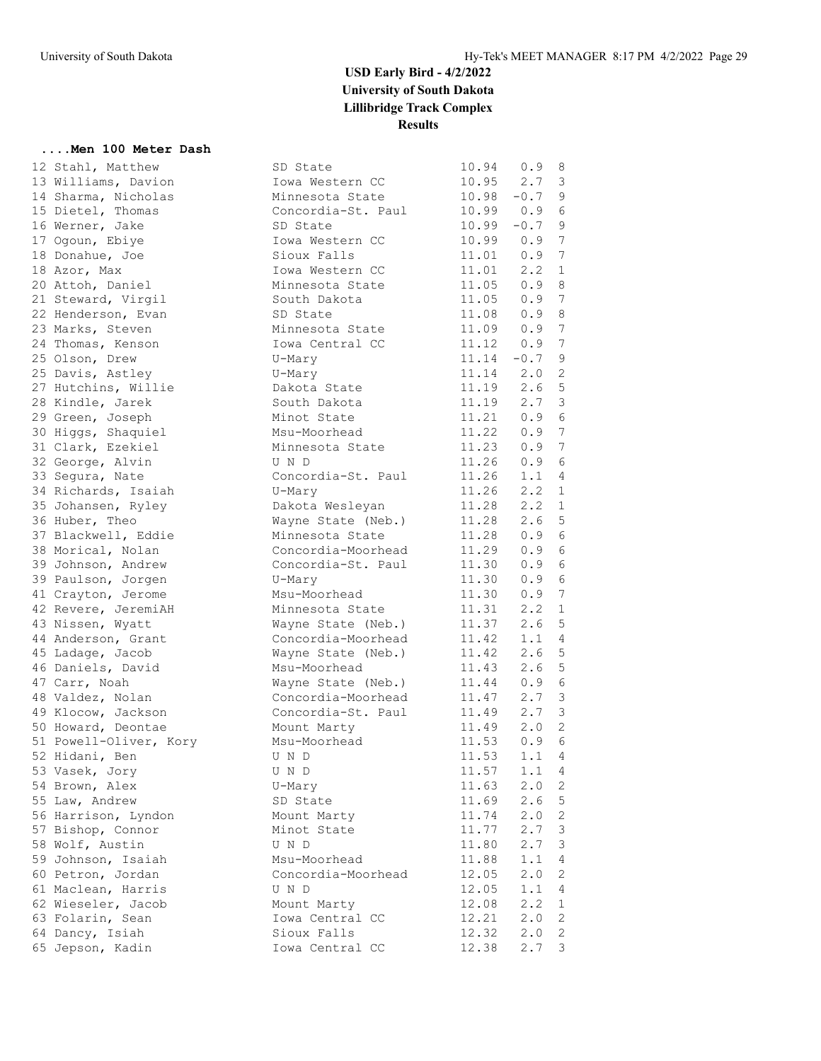#### **....Men 100 Meter Dash**

| 12 Stahl, Matthew      | SD State                                 | 10.94                                                                | 0.9                  | 8                              |
|------------------------|------------------------------------------|----------------------------------------------------------------------|----------------------|--------------------------------|
| 13 Williams, Davion    | Iowa Western CC                          | 10.95                                                                | $2.7 \quad 3$        |                                |
| 14 Sharma, Nicholas    | Minnesota State                          | $10.98 - 0.7$ 9                                                      |                      |                                |
| 15 Dietel, Thomas      | Concordia-St. Paul                       | 10.99  0.9  6                                                        |                      |                                |
| 16 Werner, Jake        | SD State                                 | $10.99 - 0.7$ 9                                                      |                      |                                |
| 17 Ogoun, Ebiye        | Iowa Western CC                          | 10.99 0.9                                                            |                      | $\overline{7}$                 |
| 18 Donahue, Joe        | Sioux Falls                              | 11.01  0.9  7                                                        |                      |                                |
| 18 Azor, Max           | Iowa Western CC                          | 11.01                                                                | $2 \cdot 2$          | 1                              |
| 20 Attoh, Daniel       | Minnesota State                          | 11.05 0.9                                                            |                      | - 8                            |
| 21 Steward, Virgil     | South Dakota                             |                                                                      |                      |                                |
| 22 Henderson, Evan     | SD State                                 | $\begin{array}{cccc} 11.05 & 0.9 & 7 \\ 11.08 & 0.9 & 8 \end{array}$ |                      |                                |
| 23 Marks, Steven       | Minnesota State                          | $11.09$ 0.9                                                          |                      | 7                              |
| 24 Thomas, Kenson      | Iowa Central CC                          | 11.12                                                                | 0.9                  | 7                              |
| 25 Olson, Drew         | U-Mary                                   |                                                                      | $11.14 - 0.7$        | - 9                            |
| 25 Davis, Astley       | U-Mary                                   | 11.14                                                                | $2.0$ 2              |                                |
| 27 Hutchins, Willie    | Dakota State                             | 11.19                                                                | 2.6 <sub>5</sub>     |                                |
| 28 Kindle, Jarek       | South Dakota                             |                                                                      |                      |                                |
| 29 Green, Joseph       | Minot State                              | $\begin{array}{cccc} 11.19 & 2.7 & 3 \\ 11.21 & 0.9 & 6 \end{array}$ |                      |                                |
| 30 Higgs, Shaquiel     | Msu-Moorhead                             | 11.22 0.9                                                            |                      | $\overline{7}$                 |
| 31 Clark, Ezekiel      | Minnesota State                          | 11.23 0.9                                                            |                      | - 7                            |
| 32 George, Alvin       | U N D                                    | 11.26                                                                | 0.9                  | - 6                            |
| 33 Segura, Nate        | Concordia-St. Paul                       | 11.26                                                                | 1.1                  | 4                              |
| 34 Richards, Isaiah    | U-Mary                                   | 11.26                                                                | $2.2 \quad 1$        |                                |
| 35 Johansen, Ryley     | Dakota Wesleyan                          | 11.28                                                                | 2.2                  | 1                              |
| 36 Huber, Theo         | Wayne State (Neb.)                       | 11.28                                                                | 2.6                  | 5                              |
| 37 Blackwell, Eddie    | Minnesota State                          | 11.28                                                                | 0.96                 |                                |
| 38 Morical, Nolan      | Concordia-Moorhead                       | 11.29                                                                | 0.9                  | - 6                            |
| 39 Johnson, Andrew     | Concordia-St. Paul                       | 11.30                                                                | 0.9                  | 6                              |
| 39 Paulson, Jorgen     | U-Mary                                   | 11.30                                                                | 0.9                  | 6                              |
| 41 Crayton, Jerome     | Msu-Moorhead                             | 11.30                                                                | 0.9                  | $\overline{7}$                 |
| 42 Revere, JeremiAH    | Minnesota State                          | 11.31                                                                | 2.2                  | $\mathbf{1}$                   |
| 43 Nissen, Wyatt       | Wayne State (Neb.)                       | 11.37                                                                | 2.6 <sub>5</sub>     |                                |
| 44 Anderson, Grant     | Concordia-Moorhead                       | 11.42                                                                | $1.1 \quad 4$        |                                |
|                        |                                          |                                                                      | 2.6 <sub>5</sub>     |                                |
| 45 Ladage, Jacob       | Wayne State (Neb.)<br>Msu-Moorhead       | 11.42<br>11.43                                                       | 2.6 <sub>5</sub>     |                                |
| 46 Daniels, David      |                                          | 11.44                                                                |                      |                                |
| 47 Carr, Noah          | Wayne State (Neb.)<br>Concordia-Moorhead | 11.47                                                                | 0.9                  | - 6<br>$\overline{\mathbf{3}}$ |
| 48 Valdez, Nolan       |                                          |                                                                      | 2.7                  |                                |
| 49 Klocow, Jackson     | Concordia-St. Paul                       | 11.49                                                                | $2.7-3$<br>$2.0 \t2$ |                                |
| 50 Howard, Deontae     | Mount Marty<br>Msu-Moorhead              | 11.49                                                                | 0.96                 |                                |
| 51 Powell-Oliver, Kory |                                          | 11.53                                                                | 1.1                  | $\overline{4}$                 |
| 52 Hidani, Ben         | U N D                                    | 11.53                                                                |                      |                                |
| 53 Vasek, Jory         | U N D                                    | 11.57                                                                | 1.1                  | 4                              |
| 54 Brown, Alex         | U-Mary                                   | 11.63                                                                | 2.0                  | 2                              |
| 55 Law, Andrew         | SD State                                 | 11.69                                                                | 2.6                  | 5                              |
| 56 Harrison, Lyndon    | Mount Marty                              | 11.74                                                                | 2.0                  | 2                              |
| 57 Bishop, Connor      | Minot State                              | 11.77                                                                | 2.7                  | 3                              |
| 58 Wolf, Austin        | U N D                                    | 11.80                                                                | 2.7                  | 3                              |
| 59 Johnson, Isaiah     | Msu-Moorhead                             | 11.88                                                                | 1.1                  | 4                              |
| 60 Petron, Jordan      | Concordia-Moorhead                       | 12.05                                                                | 2.0                  | 2                              |
| 61 Maclean, Harris     | U N D                                    | 12.05                                                                | 1.1                  | 4                              |
| 62 Wieseler, Jacob     | Mount Marty                              | 12.08                                                                | 2.2                  | 1                              |
| 63 Folarin, Sean       | Iowa Central CC                          | 12.21                                                                | 2.0                  | 2                              |
| 64 Dancy, Isiah        | Sioux Falls                              | 12.32                                                                | 2.0                  | $\overline{2}$                 |
| 65 Jepson, Kadin       | Iowa Central CC                          | 12.38                                                                | 2.7                  | 3                              |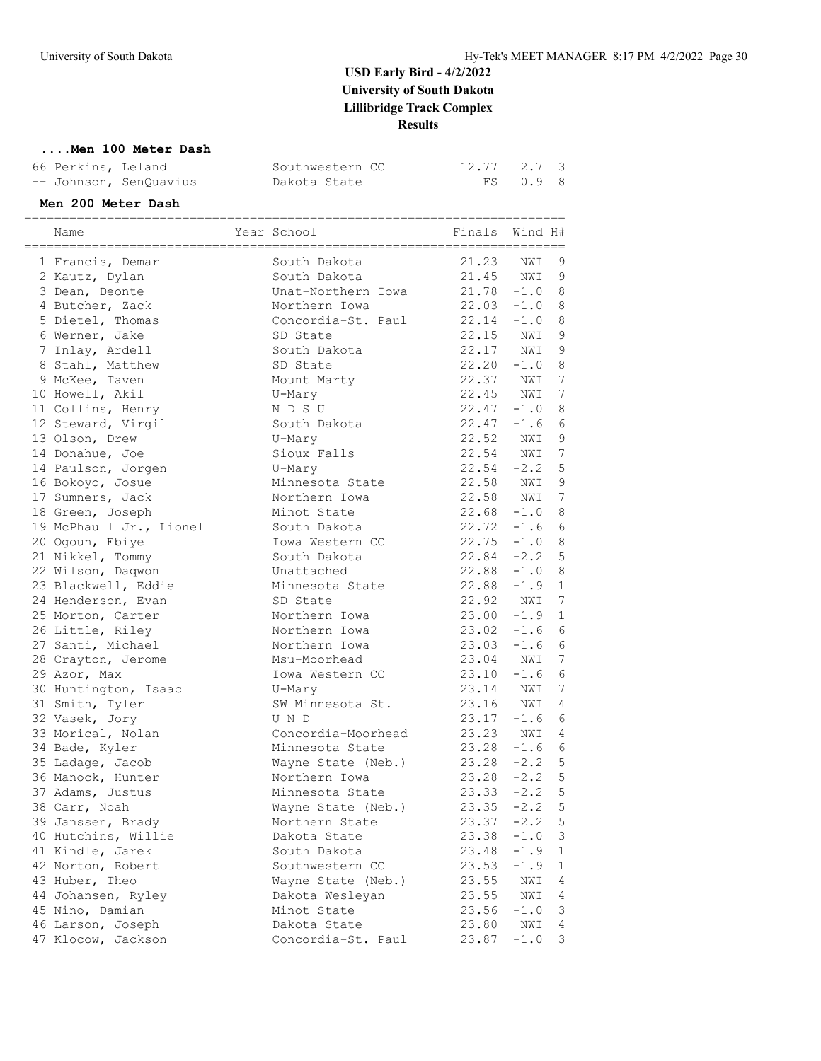#### **....Men 100 Meter Dash**

| 66 Perkins, Leland     | Southwestern CC | 12.77 2.7 3 |          |  |
|------------------------|-----------------|-------------|----------|--|
| -- Johnson, SenQuavius | Dakota State    |             | FS 0.9 8 |  |

#### **Men 200 Meter Dash**

| Name                    | Year School        | Finals        | Wind H# |              |
|-------------------------|--------------------|---------------|---------|--------------|
| 1 Francis, Demar        | South Dakota       | 21.23         | NWI     | 9            |
| 2 Kautz, Dylan          | South Dakota       | 21.45 NWI     |         | $\mathsf 9$  |
| 3 Dean, Deonte          | Unat-Northern Iowa | $21.78 - 1.0$ |         | 8            |
| 4 Butcher, Zack         | Northern Iowa      | $22.03 -1.0$  |         | 8            |
| 5 Dietel, Thomas        | Concordia-St. Paul | 22.14         | $-1.0$  | 8            |
| 6 Werner, Jake          | SD State           | 22.15         | NWI     | 9            |
| 7 Inlay, Ardell         | South Dakota       | 22.17         | NWI     | $\mathsf 9$  |
| 8 Stahl, Matthew        | SD State           | 22.20         | $-1.0$  | 8            |
| 9 McKee, Taven          | Mount Marty        | 22.37         | NWI     | 7            |
| 10 Howell, Akil         | U-Mary             | 22.45 NWI     |         | 7            |
| 11 Collins, Henry       | N D S U            | $22.47 - 1.0$ |         | 8            |
| 12 Steward, Virgil      | South Dakota       | 22.47         | $-1.6$  | 6            |
| 13 Olson, Drew          | U-Mary             | 22.52         | NWI     | 9            |
| 14 Donahue, Joe         | Sioux Falls        | 22.54         | NWI     | 7            |
| 14 Paulson, Jorgen      | U-Mary             | $22.54 -2.2$  |         | 5            |
| 16 Bokoyo, Josue        | Minnesota State    | 22.58 NWI     |         | 9            |
| 17 Sumners, Jack        | Northern Iowa      | 22.58 NWI     |         | 7            |
| 18 Green, Joseph        | Minot State        | $22.68 - 1.0$ |         | 8            |
| 19 McPhaull Jr., Lionel | South Dakota       | $22.72 - 1.6$ |         | $6\,$        |
| 20 Ogoun, Ebiye         | Iowa Western CC    | 22.75         | $-1.0$  | 8            |
| 21 Nikkel, Tommy        | South Dakota       | $22.84 - 2.2$ |         | 5            |
| 22 Wilson, Daqwon       | Unattached         | $22.88 - 1.0$ |         | 8            |
| 23 Blackwell, Eddie     | Minnesota State    | 22.88         | $-1.9$  | $\mathbf{1}$ |
| 24 Henderson, Evan      | SD State           | 22.92 NWI     |         | 7            |
| 25 Morton, Carter       | Northern Iowa      | $23.00 -1.9$  |         | $\mathbf{1}$ |
| 26 Little, Riley        | Northern Iowa      | $23.02 -1.6$  |         | $6\,$        |
| 27 Santi, Michael       | Northern Iowa      | $23.03 - 1.6$ |         | 6            |
| 28 Crayton, Jerome      | Msu-Moorhead       | 23.04         | NWI     | 7            |
| 29 Azor, Max            | Iowa Western CC    | 23.10         | $-1.6$  | 6            |
| 30 Huntington, Isaac    | U-Mary             | 23.14         | NWI     | 7            |
| 31 Smith, Tyler         | SW Minnesota St.   | 23.16         | NWI     | 4            |
| 32 Vasek, Jory          | U N D              | 23.17         | $-1.6$  | $\epsilon$   |
| 33 Morical, Nolan       | Concordia-Moorhead | 23.23         | NWI     | 4            |
| 34 Bade, Kyler          | Minnesota State    | $23.28 - 1.6$ |         | 6            |
| 35 Ladage, Jacob        | Wayne State (Neb.) | 23.28         | $-2.2$  | 5            |
| 36 Manock, Hunter       | Northern Iowa      | 23.28         | $-2.2$  | 5            |
| 37 Adams, Justus        | Minnesota State    | $23.33 -2.2$  |         | 5            |
| 38 Carr, Noah           | Wayne State (Neb.) | 23.35         | $-2.2$  | 5            |
| 39 Janssen, Brady       | Northern State     | 23.37         | $-2.2$  | 5            |
| 40 Hutchins, Willie     | Dakota State       | 23.38         | $-1.0$  | 3            |
| 41 Kindle, Jarek        | South Dakota       | 23.48         | $-1.9$  | $\mathbf{1}$ |
| 42 Norton, Robert       | Southwestern CC    | 23.53         | $-1.9$  | 1            |
| 43 Huber, Theo          | Wayne State (Neb.) | 23.55         | NWI     | 4            |
| 44 Johansen, Ryley      | Dakota Wesleyan    | 23.55         | NWI     | 4            |
| 45 Nino, Damian         | Minot State        | 23.56         | $-1.0$  | 3            |
| 46 Larson, Joseph       | Dakota State       | 23.80         | NWI     | 4            |
| 47 Klocow, Jackson      | Concordia-St. Paul | 23.87         | $-1.0$  | 3            |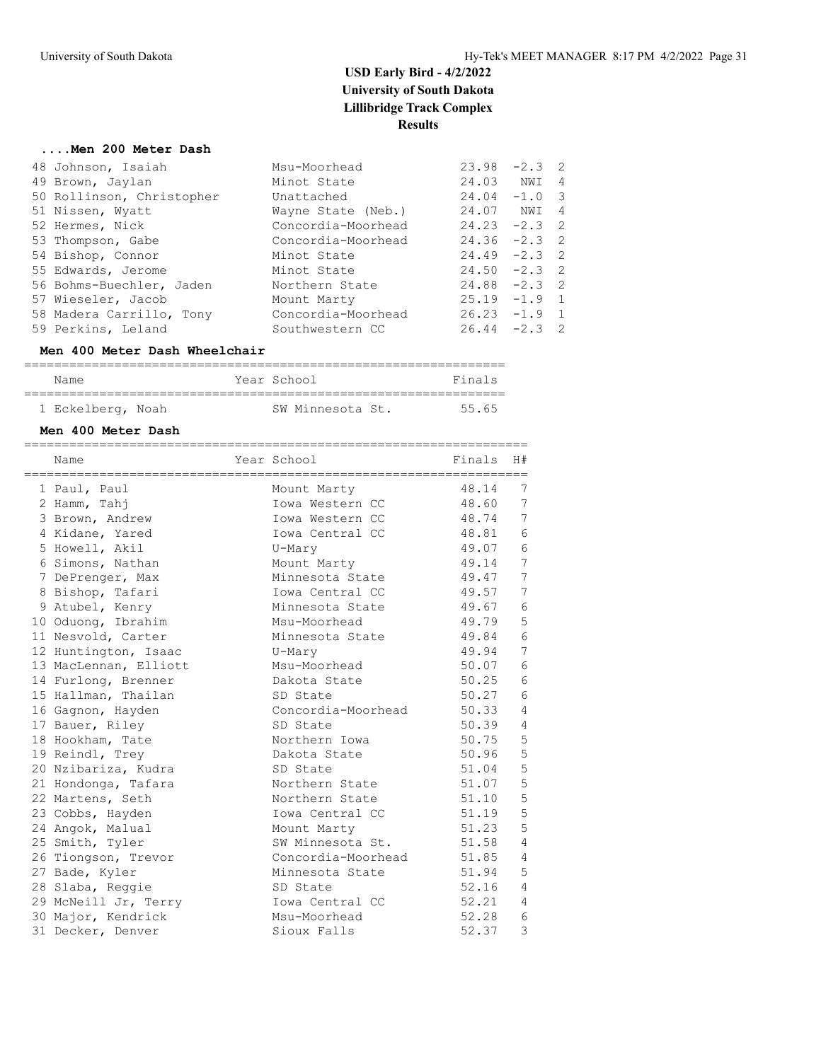#### **....Men 200 Meter Dash**

| 48 Johnson, Isaiah        | Msu-Moorhead       | 23.98           | $-2.3$ 2 |                          |
|---------------------------|--------------------|-----------------|----------|--------------------------|
| 49 Brown, Jaylan          | Minot State        | 24.03 NWI       |          | 4                        |
| 50 Rollinson, Christopher | Unattached         | $24.04 -1.0$    |          | $\overline{\phantom{a}}$ |
| 51 Nissen, Wyatt          | Wayne State (Neb.) | 24.07 NWI 4     |          |                          |
| 52 Hermes, Nick           | Concordia-Moorhead | $24.23 -2.3$ 2  |          |                          |
| 53 Thompson, Gabe         | Concordia-Moorhead | $24.36 -2.3$ 2  |          |                          |
| 54 Bishop, Connor         | Minot State        | $24.49 - 2.3$ 2 |          |                          |
| 55 Edwards, Jerome        | Minot State        | $24.50 -2.3$ 2  |          |                          |
| 56 Bohms-Buechler, Jaden  | Northern State     | $24.88 - 2.3$ 2 |          |                          |
| 57 Wieseler, Jacob        | Mount Marty        | $25.19 - 1.9 1$ |          |                          |
| 58 Madera Carrillo, Tony  | Concordia-Moorhead | $26.23 -1.9$ 1  |          |                          |
| 59 Perkins, Leland        | Southwestern CC    | $26.44 -2.3$ 2  |          |                          |

#### **Men 400 Meter Dash Wheelchair**

| Name              |  | Year School      | Finals |
|-------------------|--|------------------|--------|
|                   |  |                  |        |
| 1 Eckelberg, Noah |  | SW Minnesota St. | 55.65  |

#### **Men 400 Meter Dash**

| =============<br>Name | ===================================<br>Year School | Finals | H#              |
|-----------------------|----------------------------------------------------|--------|-----------------|
| 1 Paul, Paul          | Mount Marty                                        | 48.14  | 7               |
| 2 Hamm, Tahj          | Iowa Western CC                                    | 48.60  | 7               |
| 3 Brown, Andrew       | Iowa Western CC                                    | 48.74  | 7               |
| 4 Kidane, Yared       | Iowa Central CC                                    | 48.81  | 6               |
| 5 Howell, Akil        | U-Mary                                             | 49.07  | $\epsilon$      |
| 6 Simons, Nathan      | Mount Marty                                        | 49.14  | 7               |
| 7 DePrenger, Max      | Minnesota State                                    | 49.47  | 7               |
| 8 Bishop, Tafari      | Iowa Central CC                                    | 49.57  | 7               |
| 9 Atubel, Kenry       | Minnesota State                                    | 49.67  | 6               |
| 10 Oduong, Ibrahim    | Msu-Moorhead                                       | 49.79  | 5               |
| 11 Nesvold, Carter    | Minnesota State                                    | 49.84  | $6\phantom{.}6$ |
| 12 Huntington, Isaac  | U-Mary                                             | 49.94  | 7               |
| 13 MacLennan, Elliott | Msu-Moorhead                                       | 50.07  | 6               |
| 14 Furlong, Brenner   | Dakota State                                       | 50.25  | 6               |
| 15 Hallman, Thailan   | SD State                                           | 50.27  | 6               |
| 16 Gagnon, Hayden     | Concordia-Moorhead                                 | 50.33  | $\overline{4}$  |
| 17 Bauer, Riley       | SD State                                           | 50.39  | $\overline{4}$  |
| 18 Hookham, Tate      | Northern Iowa                                      | 50.75  | 5               |
| 19 Reindl, Trey       | Dakota State                                       | 50.96  | 5               |
| 20 Nzibariza, Kudra   | SD State                                           | 51.04  | 5               |
| 21 Hondonga, Tafara   | Northern State                                     | 51.07  | 5               |
| 22 Martens, Seth      | Northern State                                     | 51.10  | 5               |
| 23 Cobbs, Hayden      | Iowa Central CC                                    | 51.19  | 5               |
| 24 Angok, Malual      | Mount Marty                                        | 51.23  | 5               |
| 25 Smith, Tyler       | SW Minnesota St.                                   | 51.58  | $\overline{4}$  |
| 26 Tiongson, Trevor   | Concordia-Moorhead                                 | 51.85  | $\overline{4}$  |
| 27 Bade, Kyler        | Minnesota State                                    | 51.94  | 5               |
| 28 Slaba, Reggie      | SD State                                           | 52.16  | 4               |
| 29 McNeill Jr, Terry  | Iowa Central CC                                    | 52.21  | $\overline{4}$  |
| 30 Major, Kendrick    | Msu-Moorhead                                       | 52.28  | 6               |
| 31 Decker, Denver     | Sioux Falls                                        | 52.37  | 3               |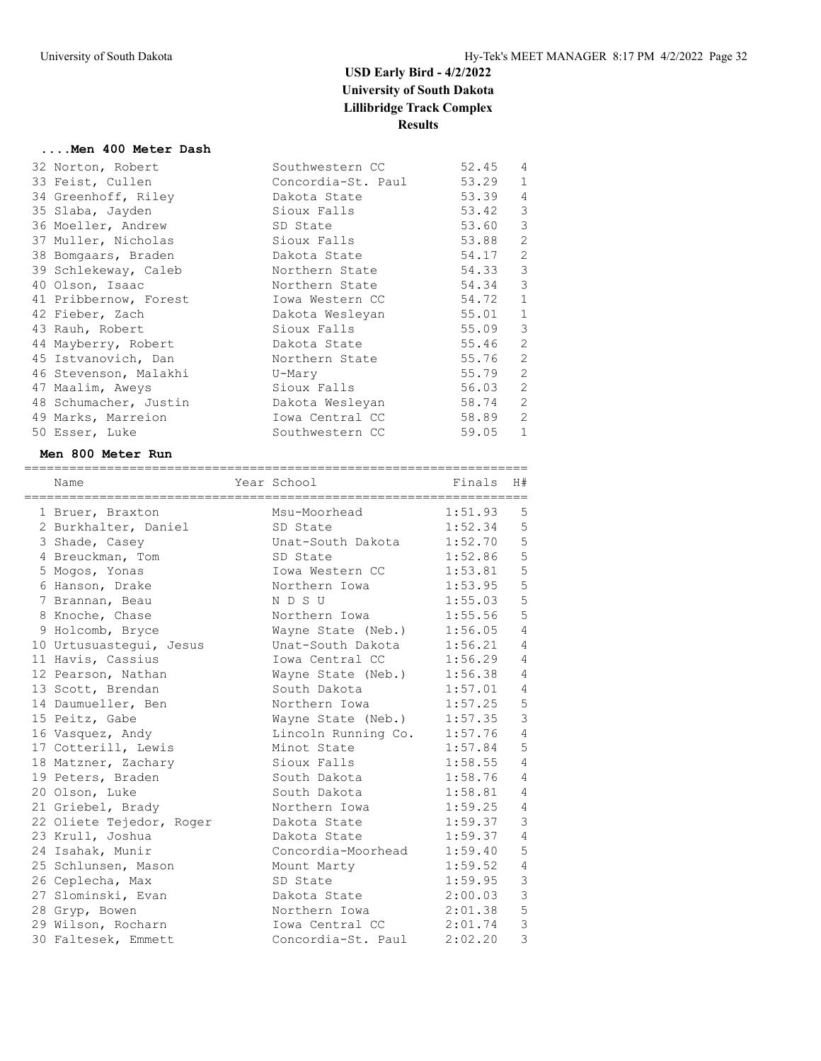#### **....Men 400 Meter Dash**

|  | 32 Norton, Robert     | Southwestern CC    | 52.45 | $\overline{4}$ |
|--|-----------------------|--------------------|-------|----------------|
|  | 33 Feist, Cullen      | Concordia-St. Paul | 53.29 | $\mathbf{1}$   |
|  | 34 Greenhoff, Riley   | Dakota State       | 53.39 | $\overline{4}$ |
|  | 35 Slaba, Jayden      | Sioux Falls        | 53.42 | $\mathcal{E}$  |
|  | 36 Moeller, Andrew    | SD State           | 53.60 | 3              |
|  | 37 Muller, Nicholas   | Sioux Falls        | 53.88 | $\mathbf{2}$   |
|  | 38 Bomgaars, Braden   | Dakota State       | 54.17 | $\overline{c}$ |
|  | 39 Schlekeway, Caleb  | Northern State     | 54.33 | 3              |
|  | 40 Olson, Isaac       | Northern State     | 54.34 | 3              |
|  | 41 Pribbernow, Forest | Iowa Western CC    | 54.72 | $\mathbf{1}$   |
|  | 42 Fieber, Zach       | Dakota Wesleyan    | 55.01 | $\mathbf{1}$   |
|  | 43 Rauh, Robert       | Sioux Falls        | 55.09 | 3              |
|  | 44 Mayberry, Robert   | Dakota State       | 55.46 | 2              |
|  | 45 Istvanovich, Dan   | Northern State     | 55.76 | 2              |
|  | 46 Stevenson, Malakhi | U-Mary             | 55.79 | 2              |
|  | 47 Maalim, Aweys      | Sioux Falls        | 56.03 | 2              |
|  | 48 Schumacher, Justin | Dakota Wesleyan    | 58.74 | 2              |
|  | 49 Marks, Marreion    | Iowa Central CC    | 58.89 | 2              |
|  | 50 Esser, Luke        | Southwestern CC    | 59.05 | $\mathbf{1}$   |
|  |                       |                    |       |                |

#### **Men 800 Meter Run**

| Name                     | Year School           | e de Finals | H#             |
|--------------------------|-----------------------|-------------|----------------|
| 1 Bruer, Braxton         | Msu-Moorhead          | 1:51.93     | 5              |
| 2 Burkhalter, Daniel     | SD State              | 1:52.34     | 5              |
| 3 Shade, Casey           | Unat-South Dakota     | 1:52.70     | 5              |
| 4 Breuckman, Tom         | SD State              | 1:52.86     | 5              |
| 5 Mogos, Yonas           | Iowa Western CC       | 1:53.81     | 5              |
| 6 Hanson, Drake          | Northern Iowa         | 1:53.95     | 5              |
| 7 Brannan, Beau          | N D S U               | 1:55.03     | 5              |
| 8 Knoche, Chase          | Northern Iowa         | 1:55.56     | 5              |
| 9 Holcomb, Bryce         | Wayne State (Neb.)    | 1:56.05     | $\overline{4}$ |
| 10 Urtusuastegui, Jesus  | Unat-South Dakota     | 1:56.21     | $\overline{4}$ |
| 11 Havis, Cassius        | Iowa Central CC       | 1:56.29     | $\overline{4}$ |
| 12 Pearson, Nathan       | Wayne State (Neb.)    | 1:56.38     | $\overline{4}$ |
| 13 Scott, Brendan        | South Dakota          | 1:57.01     | $\overline{4}$ |
| 14 Daumueller, Ben       | Northern Iowa         | 1:57.25     | 5              |
| 15 Peitz, Gabe           | Wayne State (Neb.)    | 1:57.35     | $\mathbf{3}$   |
| 16 Vasquez, Andy         | Lincoln Running Co.   | 1:57.76     | $\overline{4}$ |
| 17 Cotterill, Lewis      | Minot State           | 1:57.84     | 5              |
| 18 Matzner, Zachary      | Sioux Falls           | 1:58.55     | $\overline{4}$ |
| 19 Peters, Braden        | South Dakota          | 1:58.76     | $\overline{4}$ |
| 20 Olson, Luke           | South Dakota          | 1:58.81     | $\overline{4}$ |
| 21 Griebel, Brady        | Northern Iowa         | 1:59.25     | $\overline{4}$ |
| 22 Oliete Tejedor, Roger | Dakota State          | 1:59.37     | $\mathfrak{Z}$ |
| 23 Krull, Joshua         | Dakota State          | 1:59.37     | $\overline{4}$ |
| 24 Isahak, Munir         | Concordia-Moorhead    | 1:59.40     | 5              |
| 25 Schlunsen, Mason      | Mount Marty           | 1:59.52     | $\overline{4}$ |
| 26 Ceplecha, Max         | SD State              | 1:59.95     | 3              |
| 27 Slominski, Evan       | Dakota State          | 2:00.03     | $\mathfrak{Z}$ |
| 28 Gryp, Bowen           | Northern Iowa 2:01.38 |             | 5              |
| 29 Wilson, Rocharn       | Iowa Central CC       | 2:01.74     | 3              |
| 30 Faltesek, Emmett      | Concordia-St. Paul    | 2:02.20     | $\overline{3}$ |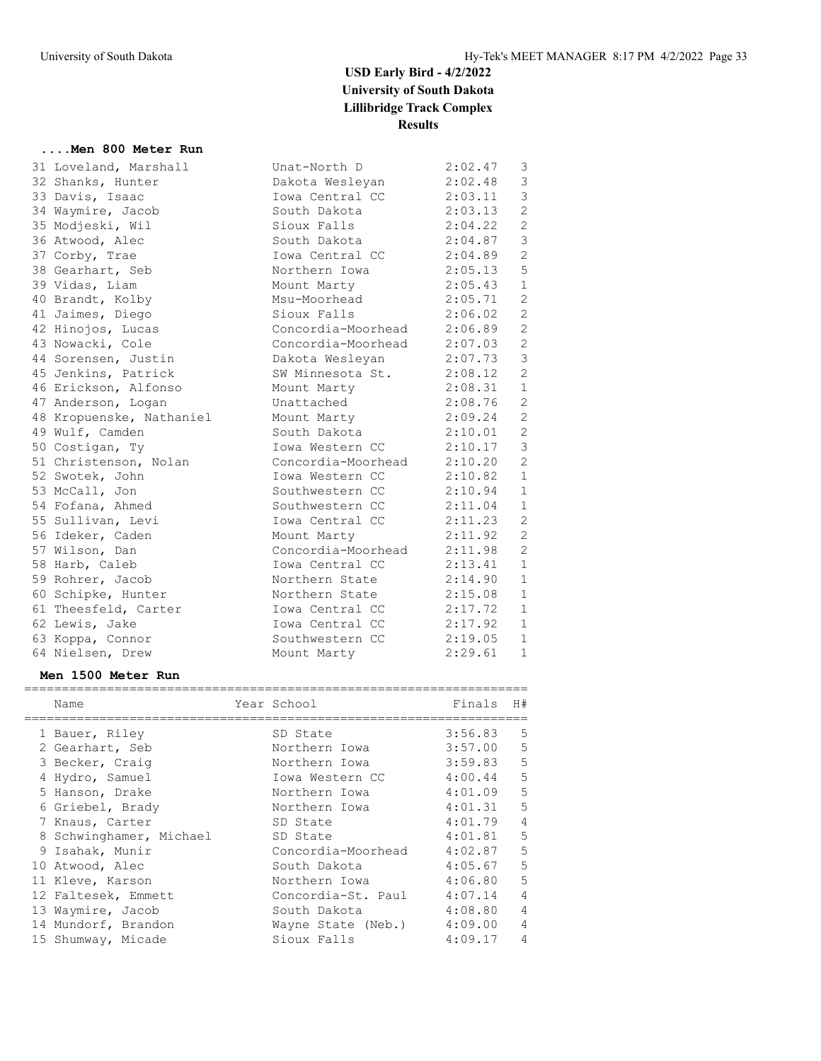#### **....Men 800 Meter Run**

| 31 Loveland, Marshall              | Unat-North D               | 2:02.47                             | 3              |
|------------------------------------|----------------------------|-------------------------------------|----------------|
| 32 Shanks, Hunter                  | Dakota Wesleyan            | 2:02.48                             | 3              |
| 33 Davis, Isaac                    | Iowa Central CC            | 2:03.11                             | $\mathfrak{Z}$ |
| 34 Waymire, Jacob                  | South Dakota               | 2:03.13                             | $\overline{2}$ |
| 35 Modjeski, Wil                   | Sioux Falls                | 2:04.22                             | 2              |
| 36 Atwood, Alec                    | South Dakota               | 2:04.87                             | $\mathcal{S}$  |
| 37 Corby, Trae                     | Iowa Central CC            | 2:04.89                             | $\mathbf{2}$   |
| 38 Gearhart, Seb                   | Northern Iowa              | 2:05.13                             | 5              |
| 39 Vidas, Liam                     | Mount Marty                | 2:05.43                             | $\mathbf{1}$   |
| 40 Brandt, Kolby                   | Msu-Moorhead               | 2:05.71                             | $\overline{c}$ |
| 41 Jaimes, Diego                   | Sioux Falls                | 2:06.02                             | $\overline{c}$ |
| 42 Hinojos, Lucas                  | Concordia-Moorhead         | 2:06.89                             | $\mathbf{2}$   |
| 43 Nowacki, Cole                   | Concordia-Moorhead         | 2:07.03                             | $\overline{c}$ |
| 44 Sorensen, Justin                | Dakota Wesleyan            | 2:07.73                             | $\mathfrak{Z}$ |
| 45 Jenkins, Patrick                | SW Minnesota St.           | 2:08.12                             | $\overline{2}$ |
| 46 Erickson, Alfonso               | Mount Marty                | 2:08.31                             | $\mathbf{1}$   |
| 47 Anderson, Logan                 | Unattached                 | 2:08.76                             | $\overline{2}$ |
| 48 Kropuenske, Nathaniel           | Mount Marty                | 2:09.24                             | 2              |
| 49 Wulf, Camden                    | South Dakota               | 2:10.01                             | $\overline{c}$ |
| 50 Costigan, Ty                    | Iowa Western CC            | 2:10.17                             | $\mathfrak{Z}$ |
| 51 Christenson, Nolan              | Concordia-Moorhead         | 2:10.20                             | 2              |
| 52 Swotek, John                    | Iowa Western CC            | 2:10.82                             | $\mathbf{1}$   |
| 53 McCall, Jon                     | Southwestern CC            | 2:10.94                             | $\mathbf{1}$   |
| 54 Fofana, Ahmed                   | Southwestern CC            | 2:11.04                             | $\mathbf{1}$   |
| 55 Sullivan, Levi                  | Iowa Central CC            | 2:11.23                             | 2              |
| 56 Ideker, Caden                   | Mount Marty                | 2:11.92                             | 2              |
| 57 Wilson, Dan                     | Concordia-Moorhead 2:11.98 |                                     | $\overline{2}$ |
| 58 Harb, Caleb                     | Iowa Central CC            | 2:13.41                             | $\mathbf{1}$   |
| 59 Rohrer, Jacob                   | Northern State             | 2:14.90                             | $\mathbf{1}$   |
| 60 Schipke, Hunter                 | Northern State             | 2:15.08                             | $\mathbf{1}$   |
| 61 Theesfeld, Carter               | Iowa Central CC            | 2:17.72                             | $\mathbf{1}$   |
| 62 Lewis, Jake                     | Iowa Central CC            | 2:17.92                             | $\mathbf{1}$   |
| 63 Koppa, Connor                   | Southwestern CC            | 2:19.05                             | $\mathbf{1}$   |
| 64 Nielsen, Drew                   | Mount Marty                | 2:29.61                             | $\mathbf{1}$   |
| Men 1500 Meter Run                 |                            |                                     |                |
| _____________________________      |                            |                                     |                |
| Name                               | Year School                | Finals                              | H#             |
| 1 Bauer, Riley                     | SD State                   | 3:56.83                             | 5              |
|                                    |                            |                                     |                |
| 2 Gearhart, Seb                    | Northern Iowa              | $3:57.00$ 5                         |                |
|                                    | Northern Iowa              |                                     |                |
| 3 Becker, Craig                    | Iowa Western CC            | $3:59.83$ 5<br>4:00.44 5<br>4:00.44 | 5              |
| 4 Hydro, Samuel<br>5 Hanson, Drake | Northern Iowa              | 4:01.09                             | 5              |

7 Knaus, Carter SD State 4:01.79 4 8 Schwinghamer, Michael SD State 4:01.81 5 9 Isahak, Munir Concordia-Moorhead 4:02.87 5 10 Atwood, Alec South Dakota 4:05.67 5 11 Kleve, Karson Northern Iowa 4:06.80 5 12 Faltesek, Emmett Concordia-St. Paul 4:07.14 4 13 Waymire, Jacob South Dakota 4:08.80 4 14 Mundorf, Brandon Wayne State (Neb.) 4:09.00 4 15 Shumway, Micade Sioux Falls 4:09.17 4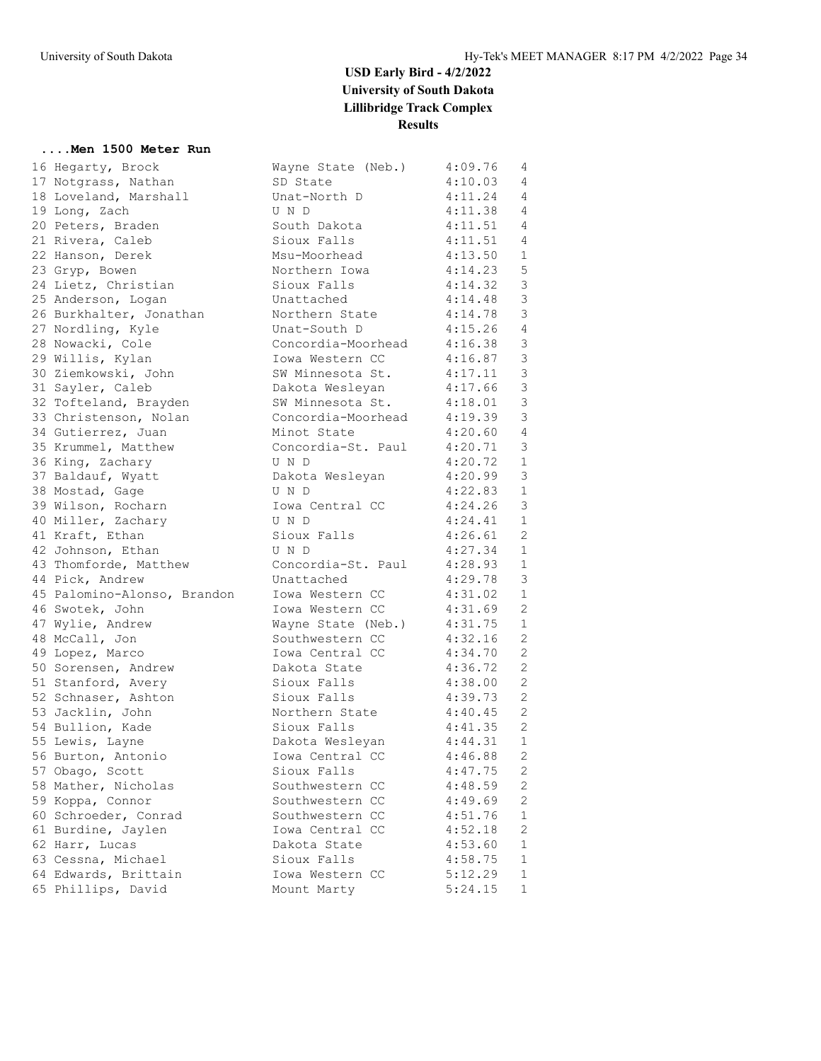#### **....Men 1500 Meter Run**

|          | 16 Hegarty, Brock                          |
|----------|--------------------------------------------|
|          | 17 Notgrass, Nathan                        |
|          | 18 Loveland, Marshall                      |
| 19       | Long, Zach                                 |
| 20       | Peters, Braden                             |
|          | 21 Rivera, Caleb                           |
|          | 22 Hanson, Derek                           |
|          | 23 Gryp, Bowen                             |
| 24       | Lietz, Christian                           |
|          | 25 Anderson, Logan                         |
|          | 26 Burkhalter, Jonathan                    |
|          | 27 Nordling, Kyle                          |
|          | 28 Nowacki, Cole                           |
|          | 29 Willis, Kylan                           |
|          | 30 Ziemkowski, John                        |
|          | 31 Sayler, Caleb                           |
|          | 32 Tofteland, Brayden                      |
|          | 33 Christenson, Nolan                      |
|          | 34 Gutierrez, Juan                         |
|          | 35 Krummel, Matthew                        |
|          | 36 King, Zachary                           |
|          | 37 Baldauf, Wyatt                          |
|          | 38 Mostad, Gage                            |
|          | 39 Wilson, Rocharn                         |
|          | 40 Miller, Zachary                         |
|          | 41 Kraft, Ethan                            |
|          | 42 Johnson, Ethan                          |
|          | 43 Thomforde, Matthew                      |
|          | 44 Pick, Andrew                            |
|          | 45 Palomino-Alonso, Brandon                |
|          | 46 Swotek, John                            |
|          | 47 Wylie, Andrew                           |
|          | 48 McCall, Jon                             |
| 49       | Lopez, Marco                               |
|          | 50 Sorensen, Andrew                        |
|          | 51 Stanford, Avery                         |
|          | 52 Schnaser, Ashton                        |
|          | 53 Jacklin, John                           |
|          | 54 Bullion, Kade<br>55 Lewis, Layne        |
|          |                                            |
|          | 56 Burton, Antonio                         |
|          | 57 Obago, Scott                            |
| 58       | Mather, Nicholas                           |
| 59<br>60 | Koppa, Connor                              |
|          | Schroeder, Conrad                          |
| 61       | Burdine, Jaylen<br>Harr, Lucas             |
| 62       |                                            |
|          | 63 Cessna, Michael                         |
|          | 64 Edwards, Brittain<br>65 Phillips, David |
|          |                                            |

| 16 Hegarty, Brock           | Wayne State (Neb.)        | 4:09.76     | 4              |
|-----------------------------|---------------------------|-------------|----------------|
| 17 Notgrass, Nathan         | SD State                  | 4:10.03     | $\overline{4}$ |
| 18 Loveland, Marshall       | Unat-North D              | 4:11.24     | $\overline{4}$ |
| 19 Long, Zach               | U N D                     | 4:11.38     | $\overline{4}$ |
| 20 Peters, Braden           | South Dakota              | 4:11.51 4   |                |
| 21 Rivera, Caleb            | Sioux Falls               | 4:11.51 4   |                |
| 22 Hanson, Derek            | Msu-Moorhead              | 4:13.50     | 1              |
| 23 Gryp, Bowen              | Northern Iowa             | 4:14.23     | 5              |
| 24 Lietz, Christian         | Sioux Falls               | 4:14.32     | $\mathcal{S}$  |
| 25 Anderson, Logan          | Unattached                | 4:14.48     | $\mathcal{E}$  |
| 26 Burkhalter, Jonathan     | Northern State            | 4:14.78     | $\mathfrak{Z}$ |
| 27 Nordling, Kyle           | Unat-South D              | $4:15.26$ 4 |                |
| 28 Nowacki, Cole            | Concordia-Moorhead        | 4:16.38     | $\mathcal{S}$  |
| 29 Willis, Kylan            | Iowa Western CC           | 4:16.87     | $\mathfrak{Z}$ |
| 30 Ziemkowski, John         | SW Minnesota St.          | 4:17.11     | $\mathfrak{Z}$ |
| 31 Sayler, Caleb            | Dakota Wesleyan           | 4:17.66     | $\mathsf 3$    |
| 32 Tofteland, Brayden       | SW Minnesota St.          | 4:18.01     | $\mathfrak{Z}$ |
| 33 Christenson, Nolan       | Concordia-Moorhead        | 4:19.39     | $\mathfrak{Z}$ |
| 34 Gutierrez, Juan          | Minot State               | 4:20.60     | $\overline{4}$ |
| 35 Krummel, Matthew         | Concordia-St. Paul        | 4:20.71     | $\mathcal{S}$  |
| 36 King, Zachary            | U N D                     | 4:20.72     | 1              |
| 37 Baldauf, Wyatt           | Dakota Wesleyan           | 4:20.99     | $\mathcal{S}$  |
| 38 Mostad, Gage             | U N D                     | 4:22.83     | 1              |
| 39 Wilson, Rocharn          | Iowa Central CC           | 4:24.26     | 3              |
| 40 Miller, Zachary          | U N D                     | 4:24.41     | 1              |
| 41 Kraft, Ethan             | Sioux Falls               | 4:26.61     | 2              |
| 42 Johnson, Ethan           | U N D                     | 4:27.34     | 1              |
| 43 Thomforde, Matthew       | Concordia-St. Paul        | 4:28.93     | 1              |
| 44 Pick, Andrew             | Unattached                | 4:29.78     | 3              |
| 45 Palomino-Alonso, Brandon | Iowa Western CC           | 4:31.02     | 1              |
| 46 Swotek, John             | Iowa Western CC           | 4:31.69     | $\mathbf{2}$   |
| 47 Wylie, Andrew            | Wayne State (Neb.)        | 4:31.75     | 1              |
| 48 McCall, Jon              | Southwestern CC           | 4:32.16     | 2              |
| 49 Lopez, Marco             | Iowa Central CC           | 4:34.70     | 2              |
| 50 Sorensen, Andrew         | Dakota State              | 4:36.72     | 2              |
| 51 Stanford, Avery          | Sioux Falls               | 4:38.00     | 2              |
|                             | Sioux Falls               | 4:39.73     | 2              |
| 52 Schnaser, Ashton         | Northern State            |             | 2              |
| 53 Jacklin, John            | Sioux Falls               | 4:40.45     | 2              |
| 54 Bullion, Kade            | Dakota Wesleyan 4:44.31 1 | 4:41.35     |                |
| 55 Lewis, Layne             |                           |             |                |
| 56 Burton, Antonio          | Iowa Central CC           | 4:46.88     | $\overline{2}$ |
| 57 Obago, Scott             | Sioux Falls               | 4:47.75     | 2              |
| 58 Mather, Nicholas         | Southwestern CC           | 4:48.59     | $\mathbf{2}$   |
| 59 Koppa, Connor            | Southwestern CC           | 4:49.69     | $\mathbf{2}$   |
| 60 Schroeder, Conrad        | Southwestern CC           | 4:51.76     | $\mathbf{1}$   |
| 61 Burdine, Jaylen          | Iowa Central CC           | 4:52.18     | 2              |
| 62 Harr, Lucas              | Dakota State              | 4:53.60     | 1              |
| 63 Cessna, Michael          | Sioux Falls               | 4:58.75     | 1              |
| 64 Edwards, Brittain        | Iowa Western CC           | 5:12.29     | $\mathbf 1$    |
| 65 Phillips, David          | Mount Marty               | 5:24.15     | 1              |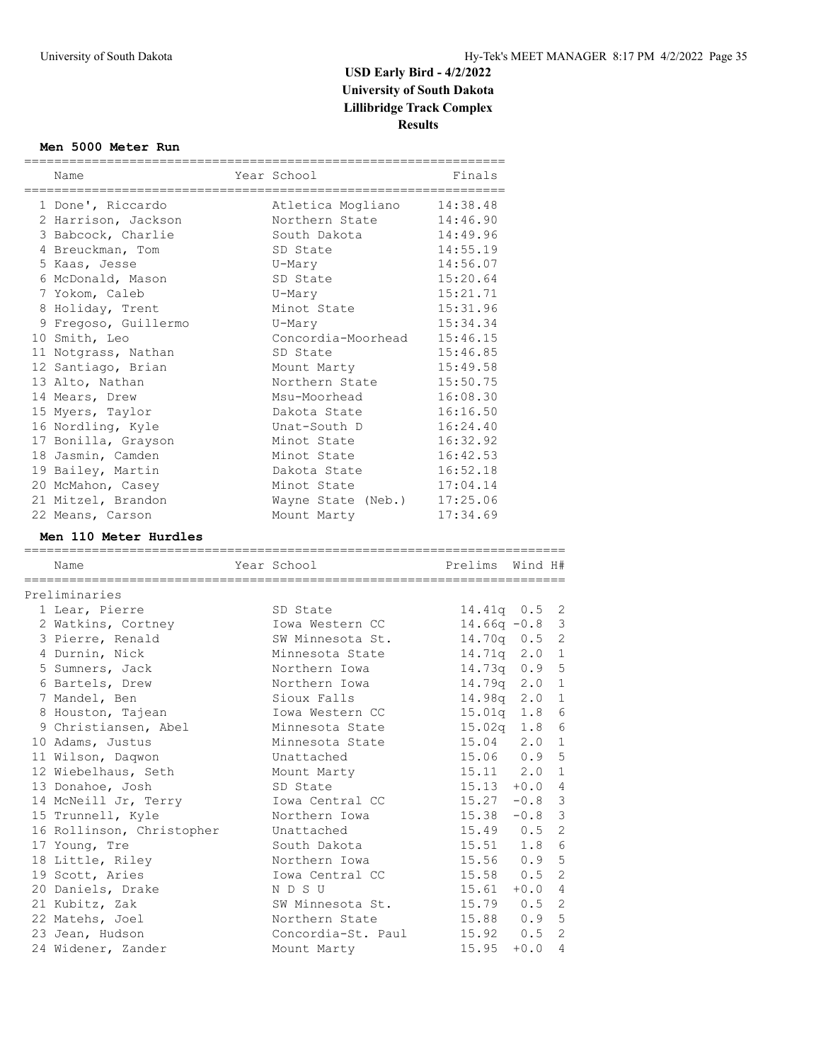#### **Men 5000 Meter Run**

| Name                 | Year School<br>================ | Finals   |
|----------------------|---------------------------------|----------|
| 1 Done', Riccardo    | Atletica Mogliano               | 14:38.48 |
| 2 Harrison, Jackson  | Northern State 14:46.90         |          |
| 3 Babcock, Charlie   | South Dakota                    | 14:49.96 |
| 4 Breuckman, Tom     | SD State                        | 14:55.19 |
| 5 Kaas, Jesse        | U-Mary                          | 14:56.07 |
| 6 McDonald, Mason    | SD State                        | 15:20.64 |
| 7 Yokom, Caleb       | U-Mary                          | 15:21.71 |
| 8 Holiday, Trent     | Minot State                     | 15:31.96 |
| 9 Fregoso, Guillermo | U-Mary                          | 15:34.34 |
| 10 Smith, Leo        | Concordia-Moorhead              | 15:46.15 |
| 11 Notgrass, Nathan  | SD State                        | 15:46.85 |
| 12 Santiago, Brian   | Mount Marty                     | 15:49.58 |
| 13 Alto, Nathan      | Northern State                  | 15:50.75 |
| 14 Mears, Drew       | Msu-Moorhead                    | 16:08.30 |
| 15 Myers, Taylor     | Dakota State                    | 16:16.50 |
| 16 Nordling, Kyle    | Unat-South D                    | 16:24.40 |
| 17 Bonilla, Grayson  | Minot State                     | 16:32.92 |
| 18 Jasmin, Camden    | Minot State                     | 16:42.53 |
| 19 Bailey, Martin    | Dakota State                    | 16:52.18 |
| 20 McMahon, Casey    | Minot State the Minor State     | 17:04.14 |
| 21 Mitzel, Brandon   | Wayne State (Neb.)              | 17:25.06 |
| 22 Means, Carson     | Mount Marty                     | 17:34.69 |

#### **Men 110 Meter Hurdles**

| Name                      | Year School                    | Prelims Wind H#  |                |
|---------------------------|--------------------------------|------------------|----------------|
| Preliminaries             |                                |                  |                |
| 1 Lear, Pierre            | SD State                       | 14.41q $0.5$ 2   |                |
| 2 Watkins, Cortney        | Iowa Western CC                | $14.66q - 0.8$ 3 |                |
| 3 Pierre, Renald          | SW Minnesota St.               | $14.70q$ 0.5 2   |                |
| 4 Durnin, Nick            | Minnesota State                | 14.71q 2.0 1     |                |
| 5 Sumners, Jack           | Northern Iowa                  | 14.73q 0.9 5     |                |
| 6 Bartels, Drew           | Northern Iowa                  | $14.79q$ 2.0 1   |                |
| 7 Mandel, Ben             | Sioux Falls                    | 14.98q 2.0 1     |                |
| 8 Houston, Tajean         | Iowa Western CC                | $15.01q$ $1.8$   | $\sqrt{6}$     |
| 9 Christiansen, Abel      | Minnesota State                | $15.02q$ $1.8$   | 6              |
| 10 Adams, Justus          | Minnesota State                | 15.04 2.0 1      |                |
| 11 Wilson, Daqwon         | Unattached                     | $15.06$ 0.9 5    |                |
| 12 Wiebelhaus, Seth       | Mount Marty                    | $15.11$ $2.0$ 1  |                |
| 13 Donahoe, Josh          | SD State                       | $15.13 + 0.04$   |                |
| 14 McNeill Jr, Terry      | Iowa Central CC                | $15.27 - 0.8$    | $\mathbf{3}$   |
| 15 Trunnell, Kyle         | Northern Iowa                  | $15.38 - 0.8$ 3  |                |
| 16 Rollinson, Christopher | Unattached                     | $15.49$ 0.5 2    |                |
| 17 Young, Tre             | South Dakota                   | $15.51$ $1.8$    | 6              |
| 18 Little, Riley          | Northern Iowa                  | 15.56 0.9 5      |                |
| 19 Scott, Aries           | Iowa Central CC                | $15.58$ 0.5      | 2              |
| 20 Daniels, Drake         | N D S U                        | $15.61 + 0.0 4$  |                |
| 21 Kubitz, Zak            | SW Minnesota St.               | $15.79$ 0.5 2    |                |
| 22 Matehs, Joel           | Northern State                 | 15.88 0.9 5      |                |
| 23 Jean, Hudson           | Concordia-St. Paul 15.92 0.5 2 |                  |                |
| 24 Widener, Zander        | Mount Marty                    | $15.95 + 0.0$    | $\overline{4}$ |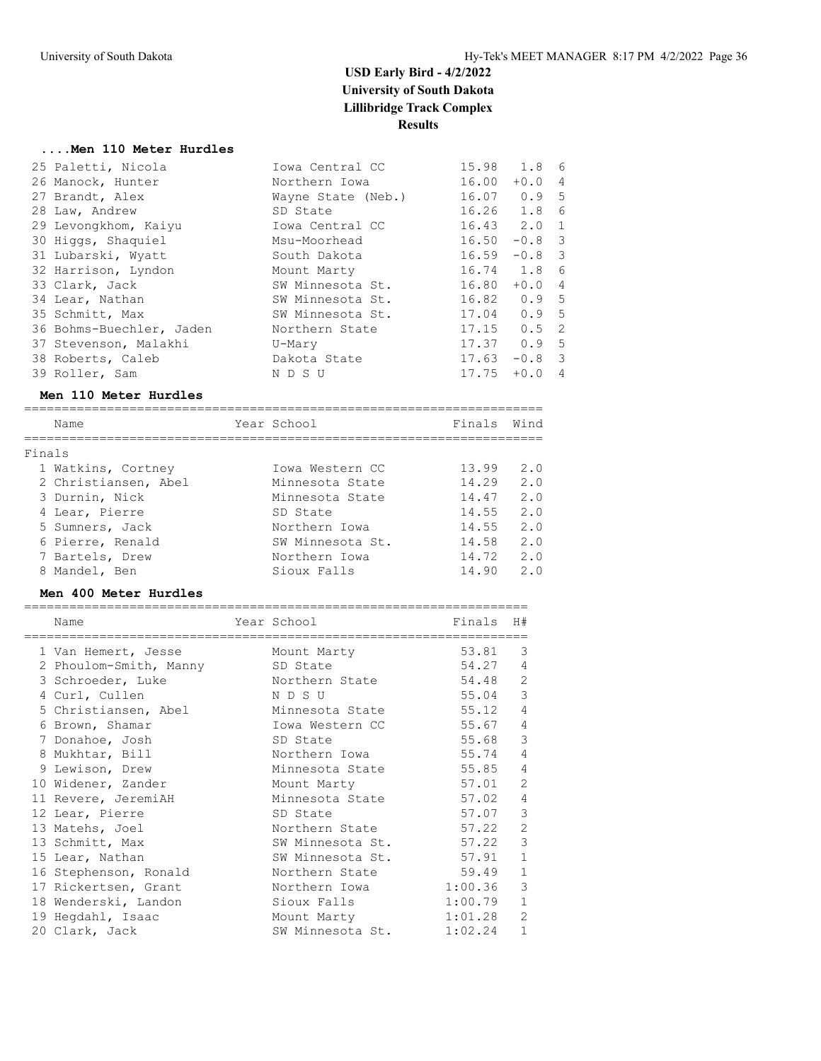#### **....Men 110 Meter Hurdles**

| 25 Paletti, Nicola       | Iowa Central CC    | 15.98 1.8 6     |          |                |
|--------------------------|--------------------|-----------------|----------|----------------|
| 26 Manock, Hunter        | Northern Iowa      | 16.00           | $+0.0$   | $\overline{4}$ |
| 27 Brandt, Alex          | Wayne State (Neb.) | $16.07$ 0.9 5   |          |                |
| 28 Law, Andrew           | SD State           | $16.26$ $1.8$   |          | 6              |
| 29 Levongkhom, Kaiyu     | Iowa Central CC    | $16.43$ $2.0$ 1 |          |                |
| 30 Higgs, Shaquiel       | Msu-Moorhead       | 16.50           | $-0.8$ 3 |                |
| 31 Lubarski, Wyatt       | South Dakota       | 16.59           | $-0.8$ 3 |                |
| 32 Harrison, Lyndon      | Mount Marty        | 16.74 1.8       |          | 6              |
| 33 Clark, Jack           | SW Minnesota St.   | 16.80           | $+0.04$  |                |
| 34 Lear, Nathan          | SW Minnesota St.   | $16.82$ 0.9 5   |          |                |
| 35 Schmitt, Max          | SW Minnesota St.   | $17.04$ 0.9 5   |          |                |
| 36 Bohms-Buechler, Jaden | Northern State     | $17.15$ 0.5 2   |          |                |
| 37 Stevenson, Malakhi    | U-Mary             | $17.37$ 0.9 5   |          |                |
| 38 Roberts, Caleb        | Dakota State       | 17.63           | $-0.8$ 3 |                |
| 39 Roller, Sam           | N D S U            | 17.75           | $+0.0$   | 4              |

#### **Men 110 Meter Hurdles**

|        | Name                 | Year School      | Finals | Wind |
|--------|----------------------|------------------|--------|------|
| Finals |                      |                  |        |      |
|        |                      |                  |        |      |
|        | 1 Watkins, Cortney   | Iowa Western CC  | 13.99  | 2.0  |
|        | 2 Christiansen, Abel | Minnesota State  | 14.29  | 2.0  |
|        | 3 Durnin, Nick       | Minnesota State  | 14.47  | 2.0  |
|        | 4 Lear, Pierre       | SD State         | 14.55  | 2.0  |
|        | 5 Sumners, Jack      | Northern Iowa    | 14.55  | 2.0  |
|        | 6 Pierre, Renald     | SW Minnesota St. | 14.58  | 2.0  |
|        | 7 Bartels, Drew      | Northern Iowa    | 14.72  | 2.0  |
|        | 8 Mandel, Ben        | Sioux Falls      | 14.90  | 2.0  |

#### **Men 400 Meter Hurdles**

| Name                   | Year School      | Finals  | H#             |
|------------------------|------------------|---------|----------------|
| 1 Van Hemert, Jesse    | Mount Marty      | 53.81   | 3              |
| 2 Phoulom-Smith, Manny | SD State         | 54.27   | $\overline{4}$ |
| 3 Schroeder, Luke      | Northern State   | 54.48   | 2              |
| 4 Curl, Cullen         | N D S U          | 55.04   | 3              |
| 5 Christiansen, Abel   | Minnesota State  | 55.12   | 4              |
| 6 Brown, Shamar        | Iowa Western CC  | 55.67   | 4              |
| 7 Donahoe, Josh        | SD State         | 55.68   | $\mathcal{E}$  |
| 8 Mukhtar, Bill        | Northern Iowa    | 55.74   | 4              |
| 9 Lewison, Drew        | Minnesota State  | 55.85   | 4              |
| 10 Widener, Zander     | Mount Marty      | 57.01   | 2              |
| 11 Revere, JeremiAH    | Minnesota State  | 57.02   | $\overline{4}$ |
| 12 Lear, Pierre        | SD State         | 57.07   | 3              |
| 13 Matehs, Joel        | Northern State   | 57.22   | $\overline{2}$ |
| 13 Schmitt, Max        | SW Minnesota St. | 57.22   | 3              |
| 15 Lear, Nathan        | SW Minnesota St. | 57.91   | $\mathbf{1}$   |
| 16 Stephenson, Ronald  | Northern State   | 59.49   | $\mathbf{1}$   |
| 17 Rickertsen, Grant   | Northern Iowa    | 1:00.36 | 3              |
| 18 Wenderski, Landon   | Sioux Falls      | 1:00.79 | $\mathbf{1}$   |
| 19 Hegdahl, Isaac      | Mount Marty      | 1:01.28 | $\overline{2}$ |
| 20 Clark, Jack         | SW Minnesota St. | 1:02.24 | $\mathbf{1}$   |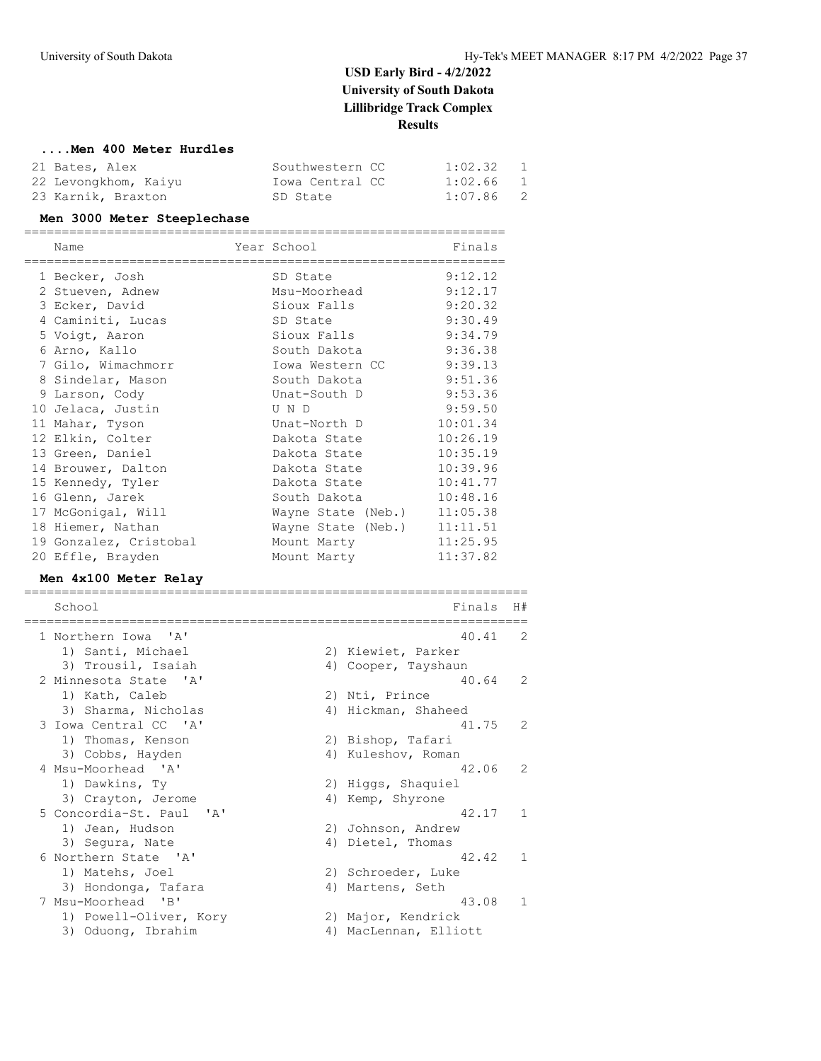#### **....Men 400 Meter Hurdles**

| 21 Bates, Alex       | Southwestern CC | 1:02.32                   |  |
|----------------------|-----------------|---------------------------|--|
| 22 Levongkhom, Kaiyu | Iowa Central CC | $\overline{1}$<br>1:02.66 |  |
| 23 Karnik, Braxton   | SD State        | $\overline{2}$<br>1:07.86 |  |

#### **Men 3000 Meter Steeplechase**

| Name                   | Year School<br>-------------------- | Finals   |
|------------------------|-------------------------------------|----------|
| 1 Becker, Josh         | SD State                            | 9:12.12  |
| 2 Stueven, Adnew       | Msu-Moorhead                        | 9:12.17  |
| 3 Ecker, David         | Sioux Falls                         | 9:20.32  |
| 4 Caminiti, Lucas      | SD State                            | 9:30.49  |
| 5 Voigt, Aaron         | Sioux Falls                         | 9:34.79  |
| 6 Arno, Kallo          | South Dakota                        | 9:36.38  |
| 7 Gilo, Wimachmorr     | Iowa Western CC                     | 9:39.13  |
| 8 Sindelar, Mason      | South Dakota                        | 9:51.36  |
| 9 Larson, Cody         | Unat-South D                        | 9:53.36  |
| 10 Jelaca, Justin      | U N D                               | 9:59.50  |
| 11 Mahar, Tyson        | Unat-North D                        | 10:01.34 |
| 12 Elkin, Colter       | Dakota State                        | 10:26.19 |
| 13 Green, Daniel       | Dakota State                        | 10:35.19 |
| 14 Brouwer, Dalton     | Dakota State                        | 10:39.96 |
| 15 Kennedy, Tyler      | Dakota State                        | 10:41.77 |
| 16 Glenn, Jarek        | South Dakota                        | 10:48.16 |
| 17 McGonigal, Will     | Wayne State (Neb.)                  | 11:05.38 |
| 18 Hiemer, Nathan      | Wayne State (Neb.)                  | 11:11.51 |
| 19 Gonzalez, Cristobal | Mount Marty                         | 11:25.95 |
| 20 Effle, Brayden      | Mount Marty                         | 11:37.82 |

#### **Men 4x100 Meter Relay**

| School                   | Finals                | H#             |
|--------------------------|-----------------------|----------------|
| 1 Northern Iowa 'A'      | 40.41                 | 2              |
| 1) Santi, Michael        | 2) Kiewiet, Parker    |                |
| 3) Trousil, Isaiah       | 4) Cooper, Tayshaun   |                |
| 2 Minnesota State 'A'    | 40.64                 | 2              |
| 1) Kath, Caleb           | 2) Nti, Prince        |                |
| 3) Sharma, Nicholas      | 4) Hickman, Shaheed   |                |
| 3 Iowa Central CC 'A'    | 41.75                 | 2              |
| 1) Thomas, Kenson        | 2) Bishop, Tafari     |                |
| 3) Cobbs, Hayden         | 4) Kuleshov, Roman    |                |
| 4 Msu-Moorhead 'A'       | 42.06                 | $\overline{2}$ |
| 1) Dawkins, Ty           | 2) Higgs, Shaquiel    |                |
| 3) Crayton, Jerome       | 4) Kemp, Shyrone      |                |
| 5 Concordia-St. Paul 'A' | 42.17                 | $\mathbf{1}$   |
| 1) Jean, Hudson          | 2) Johnson, Andrew    |                |
| 3) Sequra, Nate          | 4) Dietel, Thomas     |                |
| 6 Northern State 'A'     | 42.42                 | $\mathbf{1}$   |
| 1) Matehs, Joel          | 2) Schroeder, Luke    |                |
| 3) Hondonga, Tafara      | 4) Martens, Seth      |                |
| 7 Msu-Moorhead 'B'       | 43.08                 | $\mathbf{1}$   |
| 1) Powell-Oliver, Kory   | 2) Major, Kendrick    |                |
| 3) Oduong, Ibrahim       | 4) MacLennan, Elliott |                |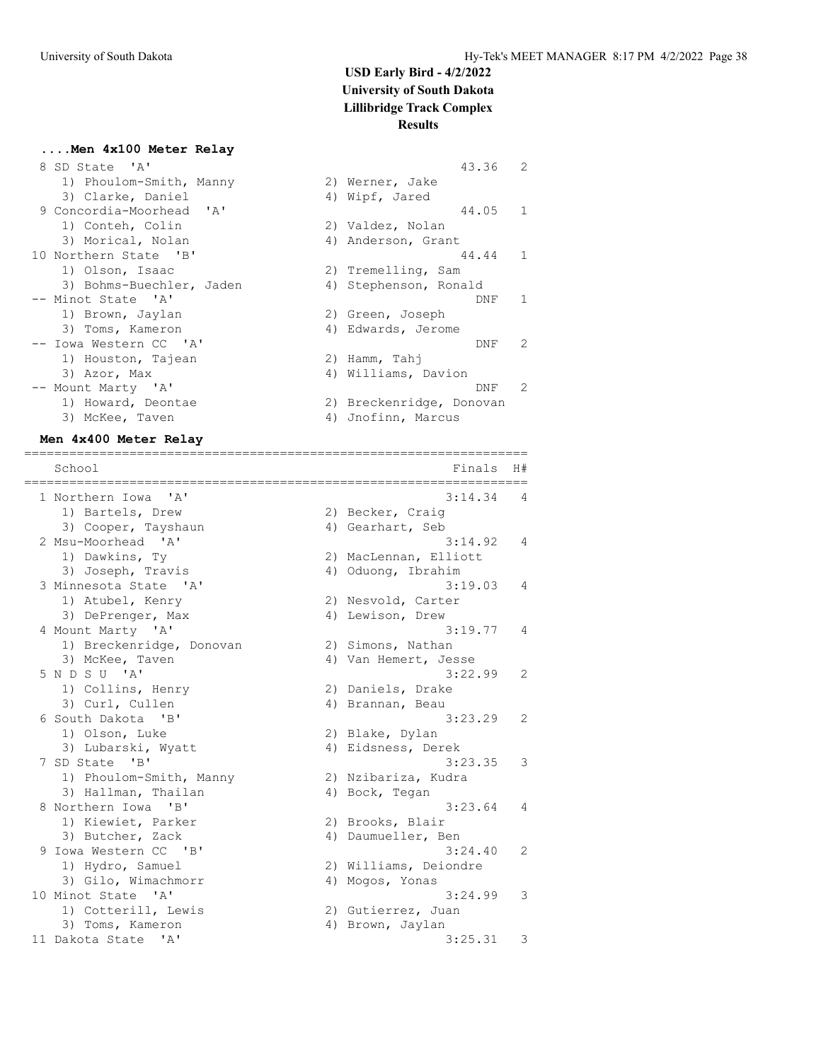2) Werner, Jake 4) Wipf, Jared

2) Valdez, Nolan 4) Anderson, Grant

2) Tremelling, Sam 4) Stephenson, Ronald

2) Green, Joseph 4) Edwards, Jerome

4) Williams, Davion

4) Jnofinn, Marcus

2) Breckenridge, Donovan

2) Hamm, Tahj

 $43.36$  2

44.05 1

44.44 1

 $DNF$  1

DNF 2

DNF 2

#### **....Men 4x100 Meter Relay**

| 8 SD State 'A'           |
|--------------------------|
| 1) Phoulom-Smith, Manny  |
| 3) Clarke, Daniel        |
| 9 Concordia-Moorhead 'A' |
| 1) Conteh, Colin         |
| 3) Morical, Nolan        |
| 10 Northern State 'B'    |
| 1) Olson, Isaac          |
| 3) Bohms-Buechler, Jaden |
| -- Minot State 'A'       |
| 1) Brown, Jaylan         |
| 3) Toms, Kameron         |
| -- Iowa Western CC 'A'   |
| 1) Houston, Tajean       |
| 3) Azor, Max             |
| -- Mount Marty 'A'       |
| 1) Howard, Deontae       |
| 3) McKee, Taven          |
|                          |

#### **Men 4x400 Meter Relay**

| 3) Cooper, Tayshaun      | 4) Gearhart, Seb      |
|--------------------------|-----------------------|
| 2 Msu-Moorhead 'A'       | 3:14.                 |
| 1) Dawkins, Ty           | 2) MacLennan, Elliott |
| 3) Joseph, Travis        | 4) Oduong, Ibrahim    |
| 3 Minnesota State 'A'    | 3:19.                 |
| 1) Atubel, Kenry         | 2) Nesvold, Carter    |
| 3) DePrenger, Max        | 4) Lewison, Drew      |
| 4 Mount Marty 'A'        | 3:19.                 |
| 1) Breckenridge, Donovan | 2) Simons, Nathan     |
| 3) McKee, Taven          | 4) Van Hemert, Jesse  |
| 5 N D S U 'A'            | 3:22.                 |
| 1) Collins, Henry        | 2) Daniels, Drake     |
| 3) Curl, Cullen          | 4) Brannan, Beau      |
| 6 South Dakota 'B'       | 3:23.                 |
| 1) Olson, Luke           | 2) Blake, Dylan       |
| 3) Lubarski, Wyatt       | 4) Eidsness, Derek    |
| 7 SD State 'B'           | 3:23.                 |
| 1) Phoulom-Smith, Manny  | 2) Nzibariza, Kudra   |
| 3) Hallman, Thailan      | 4) Bock, Tegan        |
| 8 Northern Iowa 'B'      | 3:23.                 |
| 1) Kiewiet, Parker       | 2) Brooks, Blair      |
| 3) Butcher, Zack         | 4) Daumueller, Ben    |
| 9 Iowa Western CC 'B'    | 3:24.                 |
| 1) Hydro, Samuel         | 2) Williams, Deiondre |
| 3) Gilo, Wimachmorr      | 4) Mogos, Yonas       |
| 10 Minot State 'A'       | 3:24.                 |
| 1) Cotterill, Lewis      | 2) Gutierrez, Juan    |
| 3) Toms, Kameron         | 4) Brown, Jaylan      |
| 11 Dakota State 'A'      | 3:25.                 |
|                          |                       |

| Men axann merer rergy                                         |    |                       |                |
|---------------------------------------------------------------|----|-----------------------|----------------|
| School                                                        |    | Finals                | H#             |
| 1 Northern Iowa<br>' A'                                       |    | 3:14.34               | 4              |
| 1) Bartels, Drew                                              |    | 2) Becker, Craiq      |                |
| 3) Cooper, Tayshaun                                           |    | 4) Gearhart, Seb      |                |
| 2 Msu-Moorhead 'A'                                            |    | 3:14.92               | 4              |
| 1) Dawkins, Ty                                                |    | 2) MacLennan, Elliott |                |
| 3) Joseph, Travis                                             |    | 4) Oduong, Ibrahim    |                |
| 3 Minnesota State<br>$^{\prime}$ A $^{\prime}$                |    | 3:19.03               | 4              |
| 1) Atubel, Kenry                                              |    | 2) Nesvold, Carter    |                |
| 3) DePrenger, Max                                             |    | 4) Lewison, Drew      |                |
| 4 Mount Marty 'A'                                             |    | 3:19.77               | 4              |
| 1) Breckenridge, Donovan                                      |    | 2) Simons, Nathan     |                |
| 3) McKee, Taven                                               |    | 4) Van Hemert, Jesse  |                |
| 5 N D S U 'A'                                                 |    | 3:22.99               | 2              |
| 1) Collins, Henry                                             |    | 2) Daniels, Drake     |                |
| 3) Curl, Cullen                                               |    | 4) Brannan, Beau      |                |
| 6 South Dakota 'B'                                            |    | 3:23.29               | 2              |
| 1) Olson, Luke                                                |    | 2) Blake, Dylan       |                |
| 3) Lubarski, Wyatt                                            |    | 4) Eidsness, Derek    |                |
| 7 SD State<br>$^{\prime}$ B <sup><math>^{\prime}</math></sup> |    | 3:23.35               | 3              |
| 1) Phoulom-Smith, Manny                                       |    | 2) Nzibariza, Kudra   |                |
| 3) Hallman, Thailan                                           |    | 4) Bock, Tegan        |                |
| 8 Northern Iowa 'B'                                           |    | 3:23.64               | 4              |
| 1) Kiewiet, Parker                                            |    | 2) Brooks, Blair      |                |
| 3) Butcher, Zack                                              |    | 4) Daumueller, Ben    |                |
| 9 Iowa Western CC 'B'                                         |    | 3:24.40               | $\overline{2}$ |
| 1) Hydro, Samuel                                              |    | 2) Williams, Deiondre |                |
| 3) Gilo, Wimachmorr                                           | 4) | Mogos, Yonas          |                |
| 10 Minot State 'A'                                            |    | 3:24.99               | 3              |
| 1) Cotterill, Lewis                                           |    | 2) Gutierrez, Juan    |                |
| 3) Toms, Kameron                                              | 4) | Brown, Jaylan         |                |
| 11 Dakota State 'A'                                           |    | 3:25.31               | 3              |
|                                                               |    |                       |                |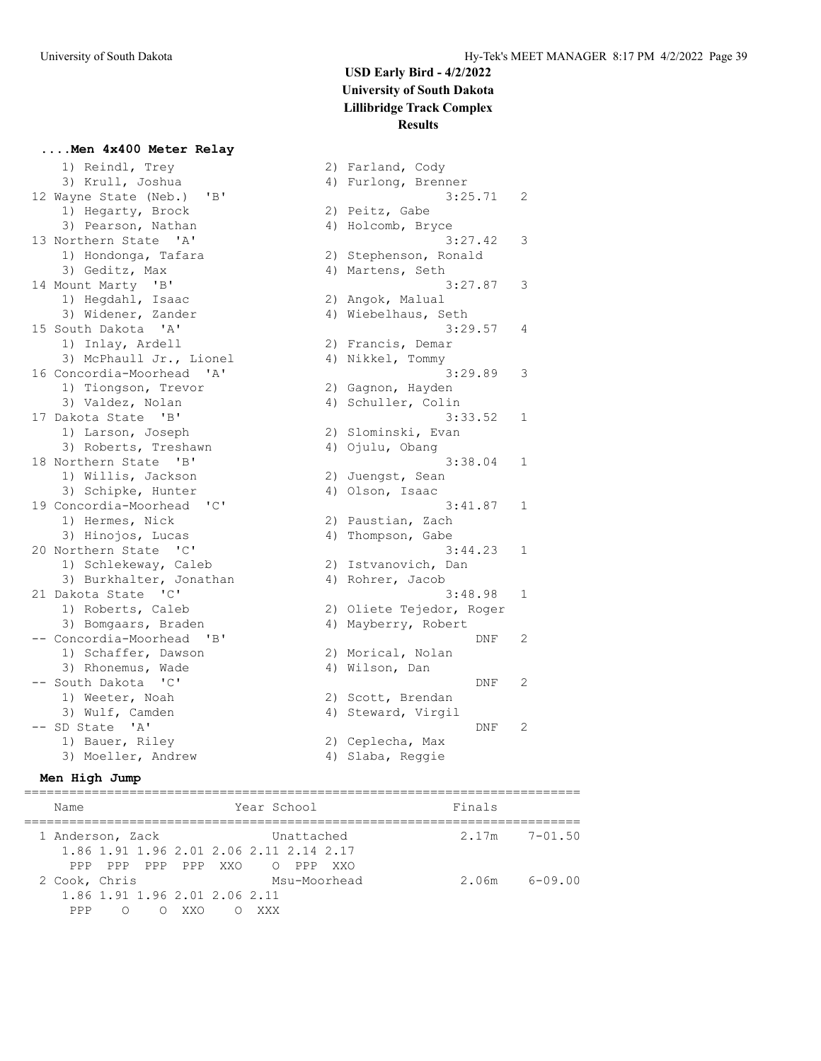**....Men 4x400 Meter Relay**

### **USD Early Bird - 4/2/2022 University of South Dakota Lillibridge Track Complex Results**

1) Reindl, Trey 2) Farland, Cody 3) Krull, Joshua (1992) 4) Furlong, Brenner<br>Jayne State (Neb.) 'B' (1993) 3:25.71 12 Wayne State (Neb.) 'B'<br>1) Hegarty, Brock 1) Hegarty, Brock 2) Peitz, Gabe 3) Pearson, Nathan 4) Holcomb, Bryce 13 Northern State 'A' 3:27.42 3 1) Hondonga, Tafara 2) Stephenson, Ronald 3) Geditz, Max (4) Martens, Seth 14 Mount Marty 'B' 3:27.87 3 1) Hegdahl, Isaac 2) Angok, Malual 3) Widener, Zander (4) Wiebelhaus, Seth 15 South Dakota 'A' 3:29.57 4 1) Inlay, Ardell 2) Francis, Demar 3) McPhaull Jr., Lionel 4) Nikkel, Tommy 16 Concordia-Moorhead 'A' 3:29.89 3 1) Tiongson, Trevor and 2) Gagnon, Hayden 3) Valdez, Nolan (4) Schuller, Colin 3) value2, Norman<br>
17 Dakota State 'B' 3:33.52 1<br>
17 Darson, Joseph 2) Slominski, Evan<br>
3) Roberts, Treshawn 4) Ojulu, Obang<br>
3:38.04 1 1) Larson, Joseph 2) Slominski, Evan 3) Roberts, Treshawn (4) Ojulu, Obang 18 Northern State 'B' 3:38.04 1 1) Willis, Jackson 2) Juengst, Sean 3) Schipke, Hunter (4) Olson, Isaac 19 Concordia-Moorhead 'C' 3:41.87 1 1) Hermes, Nick 2) Paustian, Zach 3) Hinojos, Lucas (4) Thompson, Gabe 20 Northern State 'C' 3:44.23 1 1) Schlekeway, Caleb 2) Istvanovich, Dan 3) Burkhalter, Jonathan (4) Rohrer, Jacob 21 Dakota State 'C' 3:48.98 1 1) Roberts, Caleb 2) Oliete Tejedor, Roger 3) Bomgaars, Braden 1988 (4) Mayberry, Robert -- Concordia-Moorhead 'B' DNF 2 1) Schaffer, Dawson 2) Morical, Nolan 3) Rhonemus, Wade 4) Wilson, Dan -- South Dakota 'C' DNF 2 1) Weeter, Noah 2) Scott, Brendan SOULT DAKOLA (C)<br>
1) Weeter, Noah (2) Scott, Brendan<br>
3) Wulf, Camden (4) Steward, Virgil -- SD State 'A' DNF 2 1) Bauer, Riley (2) Ceplecha, Max 3) Moeller, Andrew (4) Slaba, Reggie

#### **Men High Jump**

========================================================================== Name Year School Finals ========================================================================== 1 Anderson, Zack Unattached 2.17m 7-01.50 1.86 1.91 1.96 2.01 2.06 2.11 2.14 2.17 PPP PPP PPP PPP XXO O PPP XXO 2 Cook, Chris Msu-Moorhead 2.06m 6-09.00 1.86 1.91 1.96 2.01 2.06 2.11 PPP O O XXO O XXX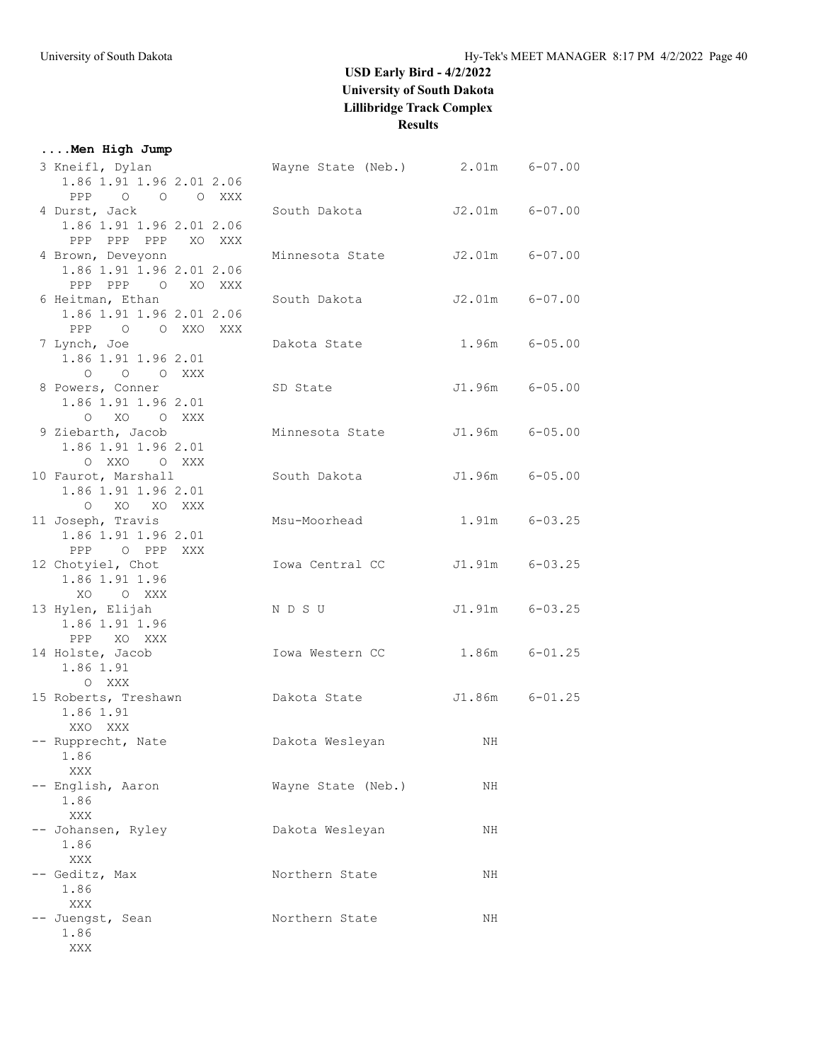### **....Men High Jump**

| 3 Kneifl, Dylan<br>1.86 1.91 1.96 2.01 2.06<br>PPP 0 0 0 XXX                               | Wayne State (Neb.) 2.01m 6-07.00 |                |                   |
|--------------------------------------------------------------------------------------------|----------------------------------|----------------|-------------------|
| 4 Durst, Jack<br>1.86 1.91 1.96 2.01 2.06                                                  | South Dakota                     | J2.01m 6-07.00 |                   |
| PPP PPP XO XXX<br>PPP<br>4 Brown, Deveyonn<br>1.86 1.91 1.96 2.01 2.06<br>PPP PPP 0 XO XXX | Minnesota State                  | J2.01m 6-07.00 |                   |
| 6 Heitman, Ethan<br>1.86 1.91 1.96 2.01 2.06<br>PPP 0 0 XXO XXX                            | South Dakota                     |                | J2.01m 6-07.00    |
| 7 Lynch, Joe<br>1.86 1.91 1.96 2.01<br>O O O XXX                                           | Dakota State                     |                | 1.96m 6-05.00     |
| 8 Powers, Conner<br>1.86 1.91 1.96 2.01<br>O XO O XXX                                      | SD State                         |                | J1.96m 6-05.00    |
| 9 Ziebarth, Jacob<br>1.86 1.91 1.96 2.01<br>O XXO O XXX                                    | Minnesota State                  | J1.96m 6-05.00 |                   |
| 10 Faurot, Marshall<br>1.86 1.91 1.96 2.01<br>O XO XO XXX                                  | South Dakota                     |                | J1.96m 6-05.00    |
| 11 Joseph, Travis<br>1.86 1.91 1.96 2.01<br>PPP O PPP XXX                                  | Msu-Moorhead                     |                | 1.91m 6-03.25     |
| 12 Chotyiel, Chot<br>1.86 1.91 1.96<br>XO OXXX                                             | Iowa Central CC                  |                | J1.91m 6-03.25    |
| 13 Hylen, Elijah<br>1.86 1.91 1.96<br>PPP XO XXX                                           | NDSU                             |                | J1.91m 6-03.25    |
| 14 Holste, Jacob<br>1.86 1.91<br>O XXX                                                     | Iowa Western CC                  |                | $1.86m$ $6-01.25$ |
| 15 Roberts, Treshawn<br>1.86 1.91<br>XXO XXX                                               | Dakota State                     |                | J1.86m 6-01.25    |
| -- Rupprecht, Nate<br>1.86<br>XXX                                                          | Dakota Wesleyan                  | NH             |                   |
| -- English, Aaron<br>1.86<br>XXX                                                           | Wayne State (Neb.)               | ΝH             |                   |
| -- Johansen, Ryley<br>1.86<br>XXX                                                          | Dakota Wesleyan                  | NH             |                   |
| -- Geditz, Max<br>1.86<br>XXX                                                              | Northern State                   | ΝH             |                   |
| -- Juengst, Sean<br>1.86<br>XXX                                                            | Northern State                   | NH             |                   |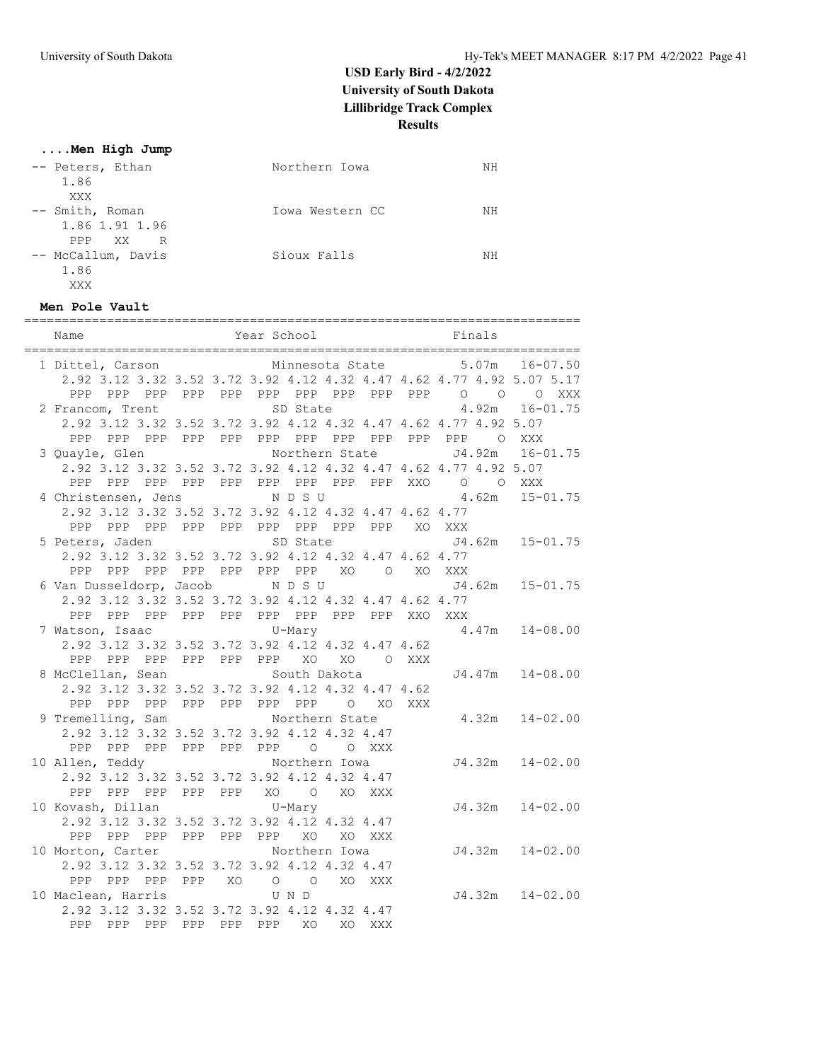#### **....Men High Jump**

| -- Peters, Ethan<br>1.86<br>XXX               | Northern Iowa   | NΗ |
|-----------------------------------------------|-----------------|----|
| -- Smith, Roman<br>1.86 1.91 1.96<br>PPP XX R | Iowa Western CC | NΗ |
| -- McCallum, Davis<br>1.86<br>XXX             | Sioux Falls     | NΗ |

#### **Men Pole Vault**

| Name                                                             |             |                                         | Year School |          |                 |        |                                             | Finals |                                                                       |
|------------------------------------------------------------------|-------------|-----------------------------------------|-------------|----------|-----------------|--------|---------------------------------------------|--------|-----------------------------------------------------------------------|
| 1 Dittel, Carson                                                 |             |                                         |             |          | Minnesota State |        |                                             | 5.07m  | 16-07.50                                                              |
|                                                                  |             |                                         |             |          |                 |        |                                             |        | 2.92 3.12 3.32 3.52 3.72 3.92 4.12 4.32 4.47 4.62 4.77 4.92 5.07 5.17 |
| PPP                                                              |             |                                         |             |          |                 |        | PPP PPP PPP PPP PPP PPP PPP PPP PPP 0 0     |        | XXX<br>$\circ$                                                        |
| 2 Francom, Trent                                                 |             |                                         |             | SD State |                 |        |                                             |        | $4.92m$ $16-01.75$                                                    |
| 2.92 3.12 3.32 3.52 3.72 3.92 4.12 4.32 4.47 4.62 4.77 4.92 5.07 |             |                                         |             |          |                 |        |                                             |        |                                                                       |
|                                                                  |             |                                         |             |          |                 |        |                                             |        |                                                                       |
| 3 Quayle, Glen                                                   |             |                                         |             |          | Northern State  |        |                                             |        | J4.92m 16-01.75                                                       |
| 2.92 3.12 3.32 3.52 3.72 3.92 4.12 4.32 4.47 4.62 4.77 4.92 5.07 |             |                                         |             |          |                 |        |                                             |        |                                                                       |
| PPP                                                              |             |                                         |             |          |                 |        | PPP PPP PPP PPP PPP PPP PPP PPP XXO O O XXX |        |                                                                       |
| 4 Christensen, Jens NDSU                                         |             |                                         |             |          |                 |        | 4.62m                                       |        | $15 - 01.75$                                                          |
| 2.92 3.12 3.32 3.52 3.72 3.92 4.12 4.32 4.47 4.62 4.77           |             |                                         |             |          |                 |        |                                             |        |                                                                       |
| PPP PPP PPP PPP PPP PPP PPP PPP PPP XO XXX                       |             |                                         |             |          |                 |        |                                             |        |                                                                       |
| 5 Peters, Jaden                                                  |             |                                         |             | SD State |                 |        |                                             |        | J4.62m 15-01.75                                                       |
| 2.92 3.12 3.32 3.52 3.72 3.92 4.12 4.32 4.47 4.62 4.77           |             |                                         |             |          |                 |        |                                             |        |                                                                       |
| PPP                                                              |             | PPP PPP PPP PPP PPP PPP XO O XO XXX     |             |          |                 |        |                                             |        |                                                                       |
| 6 Van Dusseldorp, Jacob                                          |             |                                         |             | NDSU     |                 |        |                                             |        | J4.62m 15-01.75                                                       |
| 2.92 3.12 3.32 3.52 3.72 3.92 4.12 4.32 4.47 4.62 4.77           |             |                                         |             |          |                 |        |                                             |        |                                                                       |
| PPP                                                              |             | PPP PPP PPP PPP PPP PPP PPP PPP XXO XXX |             |          |                 |        |                                             |        |                                                                       |
| 7 Watson, Isaac U-Mary                                           |             |                                         |             |          |                 |        |                                             |        | $4.47m$ $14-08.00$                                                    |
| 2.92 3.12 3.32 3.52 3.72 3.92 4.12 4.32 4.47 4.62                |             |                                         |             |          |                 |        |                                             |        |                                                                       |
| PPP PPP PPP PPP PPP PPP XO XO O XXX                              |             |                                         |             |          |                 |        |                                             |        |                                                                       |
| 8 McClellan, Sean                                                |             |                                         |             |          | South Dakota    |        |                                             |        | $J4.47m$ $14-08.00$                                                   |
| 2.92 3.12 3.32 3.52 3.72 3.92 4.12 4.32 4.47 4.62                |             |                                         |             |          |                 |        |                                             |        |                                                                       |
| PPP PPP PPP PPP PPP PPP PPP O XO XXX                             |             |                                         |             |          |                 |        |                                             |        |                                                                       |
| 9 Tremelling, Sam                                                |             |                                         |             |          | Northern State  |        |                                             |        | $4.32m$ $14-02.00$                                                    |
| 2.92 3.12 3.32 3.52 3.72 3.92 4.12 4.32 4.47                     |             |                                         |             |          |                 |        |                                             |        |                                                                       |
| PPP                                                              |             | PPP PPP PPP PPP PPP 0 0 XXX             |             |          |                 |        |                                             |        |                                                                       |
| 10 Allen, Teddy Northern Iowa                                    |             |                                         |             |          |                 |        |                                             |        | $J4.32m$ $14-02.00$                                                   |
| 2.92 3.12 3.32 3.52 3.72 3.92 4.12 4.32 4.47                     |             |                                         |             |          |                 |        |                                             |        |                                                                       |
| PPP                                                              |             | PPP PPP PPP PPP XO O XO XXX             |             |          |                 |        |                                             |        |                                                                       |
| 10 Kovash, Dillan                                                |             | $U-Mary$                                |             |          |                 |        |                                             |        | $J4.32m$ $14-02.00$                                                   |
| 2.92 3.12 3.32 3.52 3.72 3.92 4.12 4.32 4.47                     |             |                                         |             |          |                 |        |                                             |        |                                                                       |
| PPP<br>PPP PPP                                                   |             | PPP PPP PPP XO                          |             |          |                 | XO XXX |                                             |        |                                                                       |
| 10 Morton, Carter                                                |             |                                         |             |          | Northern Iowa   |        |                                             |        | $J4.32m$ $14-02.00$                                                   |
| 2.92 3.12 3.32 3.52 3.72 3.92 4.12 4.32 4.47                     |             |                                         |             |          |                 |        |                                             |        |                                                                       |
| PPP                                                              |             | PPP PPP PPP XO O O XO XXX               |             |          |                 |        |                                             |        |                                                                       |
| 10 Maclean, Harris                                               |             |                                         |             | U N D    |                 |        |                                             |        | $J4.32m$ $14-02.00$                                                   |
| 2.92 3.12 3.32 3.52 3.72 3.92 4.12 4.32 4.47                     |             |                                         |             |          |                 |        |                                             |        |                                                                       |
| PPP                                                              | PPP PPP PPP | PPP                                     |             | PPP XO   |                 | XO XXX |                                             |        |                                                                       |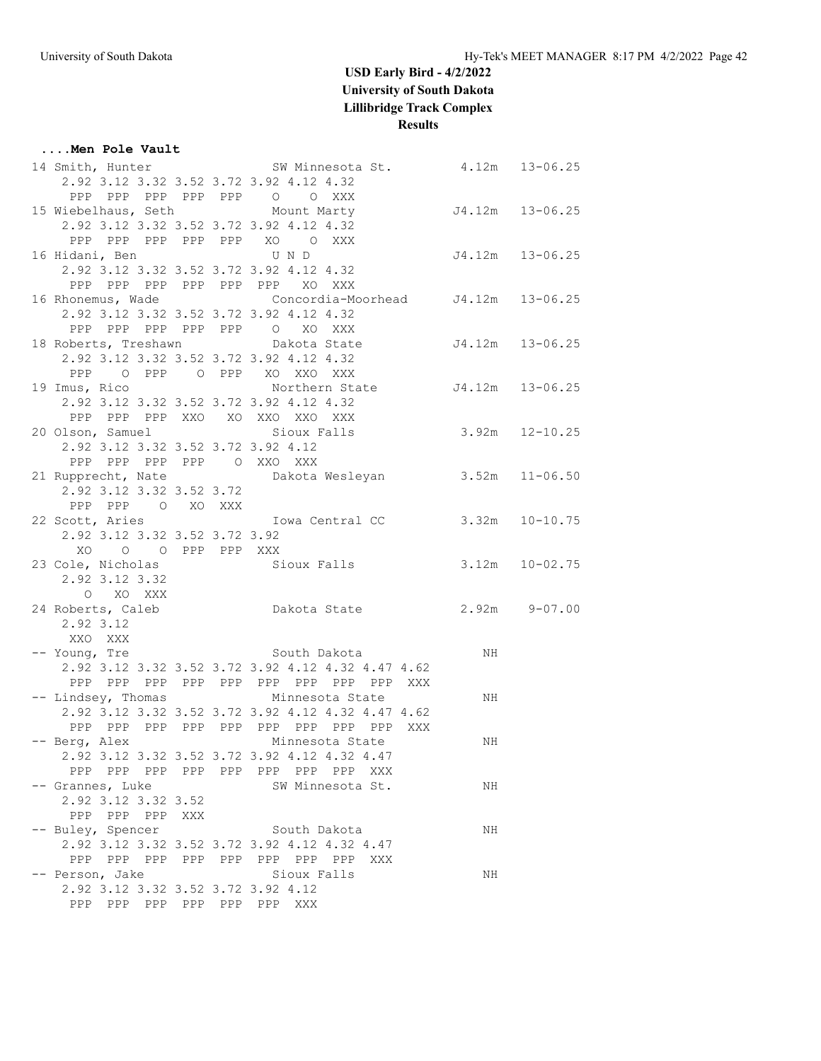#### **....Men Pole Vault** 14 Smith, Hunter SW Minnesota St. 4.12m 13-06.25 2.92 3.12 3.32 3.52 3.72 3.92 4.12 4.32 PPP PPP PPP PPP PPP O O XXX 15 Wiebelhaus, Seth Mount Marty J4.12m 13-06.25 2.92 3.12 3.32 3.52 3.72 3.92 4.12 4.32 PPP PPP PPP PPP PPP XO O XXX 16 Hidani, Ben U N D J4.12m 13-06.25 2.92 3.12 3.32 3.52 3.72 3.92 4.12 4.32 PPP PPP PPP PPP PPP PPP XO XXX 16 Rhonemus, Wade Concordia-Moorhead J4.12m 13-06.25 2.92 3.12 3.32 3.52 3.72 3.92 4.12 4.32 PPP PPP PPP PPP PPP O XO XXX 18 Roberts, Treshawn Dakota State J4.12m 13-06.25 2.92 3.12 3.32 3.52 3.72 3.92 4.12 4.32 PPP O PPP O PPP XO XXO XXX 19 Imus, Rico Northern State J4.12m 13-06.25 2.92 3.12 3.32 3.52 3.72 3.92 4.12 4.32 PPP PPP PPP XXO XO XXO XXO XXX 20 Olson, Samuel Sioux Falls 3.92m 12-10.25 2.92 3.12 3.32 3.52 3.72 3.92 4.12 PPP PPP PPP PPP O XXO XXX 21 Rupprecht, Nate Dakota Wesleyan 3.52m 11-06.50 2.92 3.12 3.32 3.52 3.72 PPP PPP O XO XXX 22 Scott, Aries Iowa Central CC 3.32m 10-10.75 2.92 3.12 3.32 3.52 3.72 3.92 XO O O PPP PPP XXX 23 Cole, Nicholas Sioux Falls 3.12m 10-02.75 2.92 3.12 3.32 O XO XXX 24 Roberts, Caleb Dakota State 2.92m 9-07.00 2.92 3.12 XXO XXX -- Young, Tre South Dakota NH 2.92 3.12 3.32 3.52 3.72 3.92 4.12 4.32 4.47 4.62 PPP PPP PPP PPP PPP PPP PPP PPP PPP XXX -- Lindsey, Thomas Minnesota State NH 2.92 3.12 3.32 3.52 3.72 3.92 4.12 4.32 4.47 4.62 PPP PPP PPP PPP PPP PPP PPP PPP PPP XXX -- Berg, Alex Minnesota State MH 2.92 3.12 3.32 3.52 3.72 3.92 4.12 4.32 4.47 PPP PPP PPP PPP PPP PPP PPP PPP XXX -- Grannes, Luke SW Minnesota St. NH 2.92 3.12 3.32 3.52 PPP PPP PPP XXX -- Buley, Spencer South Dakota NH 2.92 3.12 3.32 3.52 3.72 3.92 4.12 4.32 4.47 PPP PPP PPP PPP PPP PPP PPP PPP XXX -- Person, Jake Sioux Falls NH 2.92 3.12 3.32 3.52 3.72 3.92 4.12 PPP PPP PPP PPP PPP PPP XXX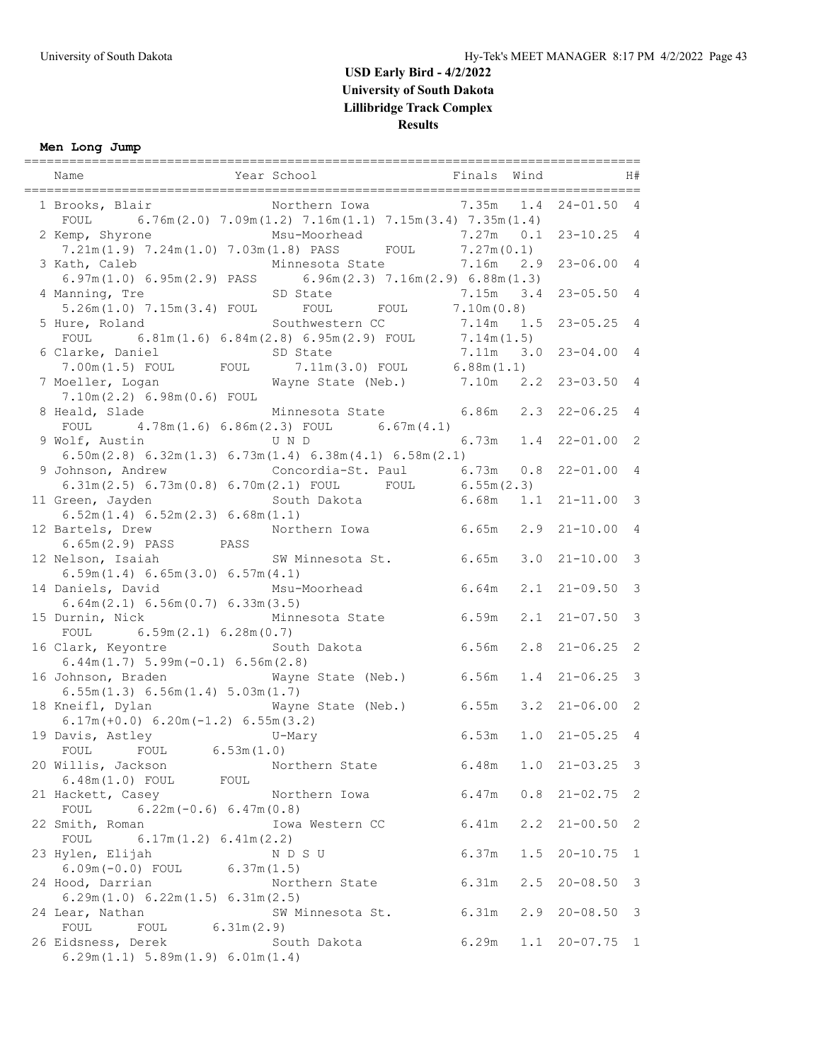### **Men Long Jump**

| Name                                                                                                                                       | Year School                          | Finals Wind |             |                    | H#                      |
|--------------------------------------------------------------------------------------------------------------------------------------------|--------------------------------------|-------------|-------------|--------------------|-------------------------|
| 1 Brooks, Blair Morthern Iowa 7.35m 1.4<br>FOUL 6.76m $(2.0)$ 7.09m $(1.2)$ 7.16m $(1.1)$ 7.15m $(3.4)$ 7.35m $(1.4)$                      |                                      |             |             | $24 - 01.50$ 4     |                         |
| 2 Kemp, Shyrone<br>7.21m(1.9) 7.24m(1.0) 7.03m(1.8) PASS FOUL 7.27m(0.1)                                                                   | Msu-Moorhead                         | $7.27m$ 0.1 |             | $23 - 10.25$ 4     |                         |
| 3 Kath, Caleb                                                                                                                              | Minnesota State                      | 7.16m       | 2.9         | $23 - 06.00$ 4     |                         |
| $6.97m(1.0)$ $6.95m(2.9)$ PASS $6.96m(2.3)$ $7.16m(2.9)$ $6.88m(1.3)$<br>4 Manning, Tre<br>5.26m(1.0) 7.15m(3.4) FOUL FOUL FOUL 7.10m(0.8) | SD State                             | 7.15m 3.4   |             | $23 - 05.50$ 4     |                         |
| 5 Hure, Roland                                                                                                                             | Southwestern CC                      | $7.14m$ 1.5 |             | $23 - 05.25$ 4     |                         |
| FOUL 6.81m (1.6) 6.84m (2.8) 6.95m (2.9) FOUL 7.14m (1.5)<br>6 Clarke, Daniel<br>SD State                                                  |                                      | $7.11m$ 3.0 |             | $23 - 04.004$      |                         |
| 7.00m(1.5) FOUL FOUL 7.11m(3.0) FOUL 6.88m(1.1)<br>7 Moeller, Logan Mayne State (Neb.) 7.10m 2.2 23-03.50 4<br>7.10m(2.2) 6.98m(0.6) F0UL  |                                      |             |             |                    |                         |
| 8 Heald, Slade<br>FOUL $4.78m(1.6) 6.86m(2.3)$ FOUL $6.67m(4.1)$                                                                           | Minnesota State 6.86m 2.3 22-06.25 4 |             |             |                    |                         |
| 9 Wolf, Austin<br>$6.50m(2.8) 6.32m(1.3) 6.73m(1.4) 6.38m(4.1) 6.58m(2.1)$                                                                 | U N D                                | 6.73m       |             | $1.4$ $22-01.00$ 2 |                         |
| 9 Johnson, Andrew                                                                                                                          | Concordia-St. Paul 6.73m 0.8         |             |             | $22 - 01.00$ 4     |                         |
| 6.31m(2.5) 6.73m(0.8) 6.70m(2.1) FOUL FOUL 6.55m(2.3)<br>11 Green, Jayden                                                                  | South Dakota                         | 6.68m       | 1.1         | $21 - 11.00$ 3     |                         |
| 6.52m(1.4) 6.52m(2.3) 6.68m(1.1)<br>12 Bartels, Drew                                                                                       | Northern Iowa 6.65m                  |             |             | $2.9$ $21-10.00$ 4 |                         |
| 6.65m (2.9) PASS PASS<br>12 Nelson, Isaiah                                                                                                 | SW Minnesota St. 6.65m               |             | 3.0         | $21 - 10.00$       | $\mathbf{3}$            |
| 6.59m(1.4) 6.65m(3.0) 6.57m(4.1)<br>14 Daniels, David                                                                                      | Msu-Moorhead                         | 6.64m       | 2.1         | $21 - 09.50$       | $\overline{\mathbf{3}}$ |
| 6.64m(2.1) 6.56m(0.7) 6.33m(3.5)<br>15 Durnin, Nick                                                                                        | Minnesota State 6.59m                |             |             | $2.1$ $21-07.50$ 3 |                         |
| FOUL $6.59m(2.1) 6.28m(0.7)$<br>16 Clark, Keyontre<br>$6.44m(1.7) 5.99m(-0.1) 6.56m(2.8)$                                                  | South Dakota                         | 6.56m       | 2.8         | $21 - 06.25$       | 2                       |
| 16 Johnson, Braden<br>6.55m(1.3) 6.56m(1.4) 5.03m(1.7)                                                                                     | Wayne State (Neb.) 6.56m             |             |             | $1.4$ $21-06.25$   | $\overline{\mathbf{3}}$ |
| 18 Kneifl, Dylan<br>$6.17m (+0.0) 6.20m (-1.2) 6.55m (3.2)$                                                                                | Wayne State (Neb.) 6.55m             |             |             | $3.2$ $21-06.00$ 2 |                         |
| 19 Davis, Astley<br>Navis, Astley U-Mary<br>FOUL FOUL 6.53m(1.0)                                                                           |                                      | 6.53m       |             | $1.0$ $21-05.25$ 4 |                         |
| 20 Willis, Jackson                                                                                                                         | Northern State                       | 6.48m       | 1.0         | $21 - 03.25$ 3     |                         |
| 6.48m (1.0) FOUL FOUL<br>21 Hackett, Casey                                                                                                 | Northern Iowa                        | 6.47m       | 0.8         | $21 - 02.75$ 2     |                         |
| $6.22m(-0.6) 6.47m(0.8)$<br>FOUL<br>22 Smith, Roman                                                                                        | Iowa Western CC                      | 6.41m       | $2 \cdot 2$ | $21 - 00.50$       | 2                       |
| FOUL $6.17m(1.2) 6.41m(2.2)$<br>23 Hylen, Elijah                                                                                           | N D S U                              | 6.37m       | 1.5         | $20 - 10.75$       | $\mathbf{1}$            |
| $6.09m(-0.0)$ FOUL $6.37m(1.5)$<br>24 Hood, Darrian                                                                                        | Northern State                       | 6.31m       | 2.5         | $20 - 08.50$       | $\overline{\mathbf{3}}$ |
| 6.29m(1.0) 6.22m(1.5) 6.31m(2.5)<br>24 Lear, Nathan                                                                                        | SW Minnesota St.                     | 6.31m       | 2.9         | $20 - 08.50$ 3     |                         |
| FOUL<br>FOUL 6.31m(2.9)<br>26 Eidsness, Derek<br>6.29m(1.1) 5.89m(1.9) 6.01m(1.4)                                                          | South Dakota                         | 6.29m       |             | $1.1$ 20-07.75 1   |                         |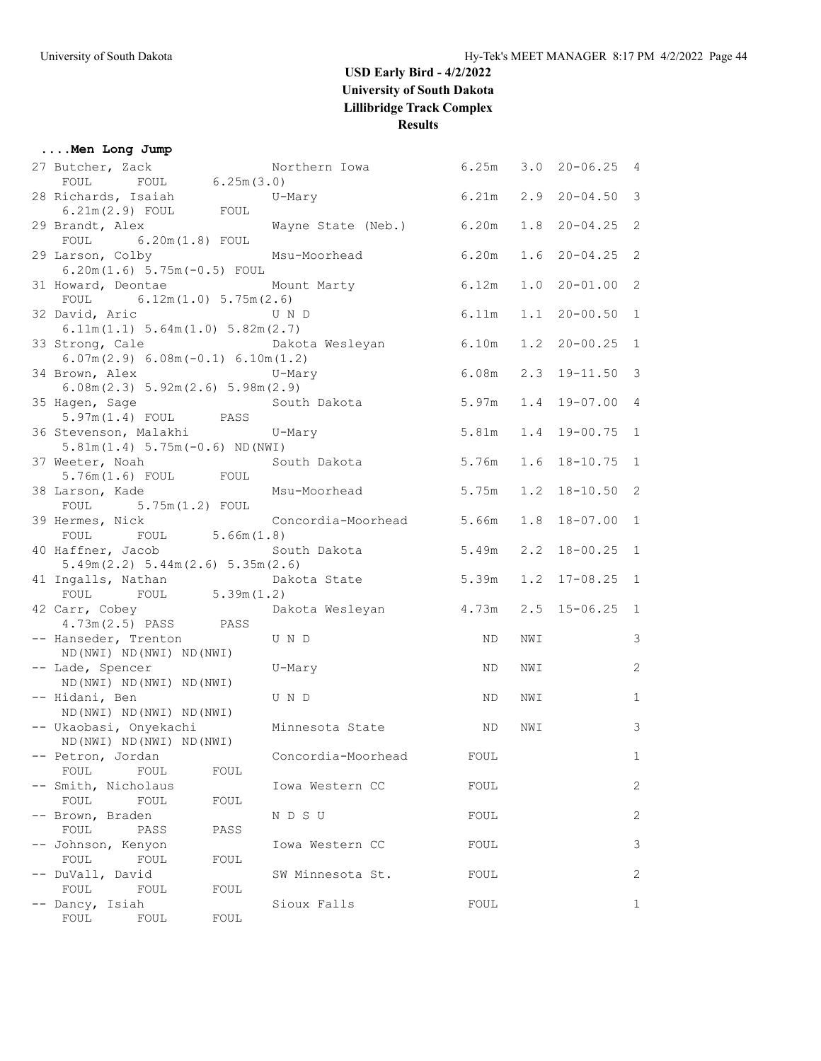#### **....Men Long Jump**

| 27 Butcher, Zack No.<br>FOUL FOUL 6.25m(3.0)                             | Northern Iowa 6.25m      |       | 3.0 | $20 - 06.25$ 4     |              |
|--------------------------------------------------------------------------|--------------------------|-------|-----|--------------------|--------------|
| 28 Richards, Isaiah                                                      | $U-Mary$                 | 6.21m |     | $2.9$ $20-04.50$ 3 |              |
| $6.21m(2.9)$ FOUL FOUL                                                   |                          |       |     |                    |              |
| 29 Brandt, Alex                                                          | Wayne State (Neb.) 6.20m |       |     | $1.8$ 20-04.25 2   |              |
| $FOUL$ 6.20m(1.8) FOUL                                                   |                          |       |     |                    |              |
| 29 Larson, Colby                                                         | Msu-Moorhead             | 6.20m |     | $1.6$ 20-04.25 2   |              |
| $6.20m(1.6) 5.75m(-0.5) F0UL$                                            |                          |       |     |                    |              |
| 31 Howard, Deontae Mount Marty<br>FOUL $6.12m(1.0) 5.75m(2.6)$           | 6.12m                    |       |     | $1.0$ $20-01.00$ 2 |              |
| 32 David, Aric                                                           | U N D                    | 6.11m |     | $1.1$ 20-00.50 1   |              |
| 6.11m(1.1) 5.64m(1.0) 5.82m(2.7)                                         |                          |       |     |                    |              |
| 33 Strong, Cale                                                          | Dakota Wesleyan<br>6.10m |       | 1.2 | $20 - 00.25$ 1     |              |
| $6.07m(2.9) 6.08m(-0.1) 6.10m(1.2)$                                      |                          |       |     |                    |              |
| 34 Brown, Alex<br>U-Mary                                                 |                          | 6.08m |     | $2.3$ 19-11.50 3   |              |
| 6.08m(2.3) 5.92m(2.6) 5.98m(2.9)                                         |                          |       |     |                    |              |
| 35 Hagen, Sage South Dakota<br>5.97m(1.4) FOUL PASS                      |                          | 5.97m |     | $1.4$ 19-07.00 4   |              |
|                                                                          | $U-Mary$                 | 5.81m |     | 1.4 19-00.75 1     |              |
| 36 Stevenson, Malakhi<br>$5.81m(1.4) 5.75m(-0.6) ND(NWT)$                |                          |       |     |                    |              |
| 37 Weeter, Noah                                                          | South Dakota 5.76m       |       |     | $1.6$ 18-10.75 1   |              |
| $5.76m(1.6)$ FOUL FOUL                                                   |                          |       |     |                    |              |
| 38 Larson, Kade                                                          | Msu-Moorhead             | 5.75m |     | $1.2$ 18-10.50 2   |              |
| FOUL 5.75m (1.2) FOUL                                                    |                          |       |     |                    |              |
| 39 Hermes, Nick                                                          | Concordia-Moorhead 5.66m |       | 1.8 | 18-07.00 1         |              |
| FOUL FOUL 5.66m (1.8)                                                    |                          |       |     |                    |              |
| 40 Haffner, Jacob South Dakota 5.49m<br>5.49m(2.2) 5.44m(2.6) 5.35m(2.6) |                          |       |     | $2.2$ 18-00.25 1   |              |
|                                                                          |                          | 5.39m |     | $1.2$ 17-08.25 1   |              |
| 41 Ingalls, Nathan Dakota State<br>FOUL FOUL 5.39m(1.2)                  |                          |       |     |                    |              |
| 42 Carr, Cobey<br>4.73m(2.5) PASS PASS                                   | Dakota Wesleyan 4.73m    |       |     | $2.5$ 15-06.25 1   |              |
|                                                                          |                          |       |     |                    |              |
| -- Hanseder, Trenton<br>U N D                                            |                          | ND.   | NWI |                    | 3            |
| ND (NWI) ND (NWI) ND (NWI)<br>-- Lade, Spencer                           | U-Mary                   | ND.   | NWI |                    | 2            |
| ND (NWI) ND (NWI) ND (NWI)                                               |                          |       |     |                    |              |
| -- Hidani, Ben                                                           | U N D                    | ND.   | NWI |                    | $\mathbf{1}$ |
| ND (NWI) ND (NWI) ND (NWI)                                               |                          |       |     |                    |              |
| -- Ukaobasi, Onyekachi                                                   | Minnesota State          | ND.   | NWI |                    | 3            |
| ND (NWI) ND (NWI) ND (NWI)                                               |                          |       |     |                    |              |
| -- Petron, Jordan                                                        | Concordia-Moorhead       | FOUL  |     |                    | $\mathbf{1}$ |
| FOUL<br>FOUL<br>FOUL<br>Smith, Nicholaus                                 |                          |       |     |                    | 2            |
| FOUL<br>FOUL<br>FOUL                                                     | Iowa Western CC          | FOUL  |     |                    |              |
| -- Brown, Braden                                                         | N D S U                  | FOUL  |     |                    | 2            |
| FOUL<br>PASS<br>PASS                                                     |                          |       |     |                    |              |
| Johnson, Kenyon                                                          | Iowa Western CC          | FOUL  |     |                    | 3            |
| FOUL<br>FOUL<br>FOUL                                                     |                          |       |     |                    |              |
| DuVall, David                                                            | SW Minnesota St.         | FOUL  |     |                    | 2            |
| FOUL<br>FOUL<br>FOUL                                                     |                          |       |     |                    |              |
| Dancy, Isiah<br>FOUL<br>FOUL                                             | Sioux Falls              | FOUL  |     |                    | 1            |
| FOUL                                                                     |                          |       |     |                    |              |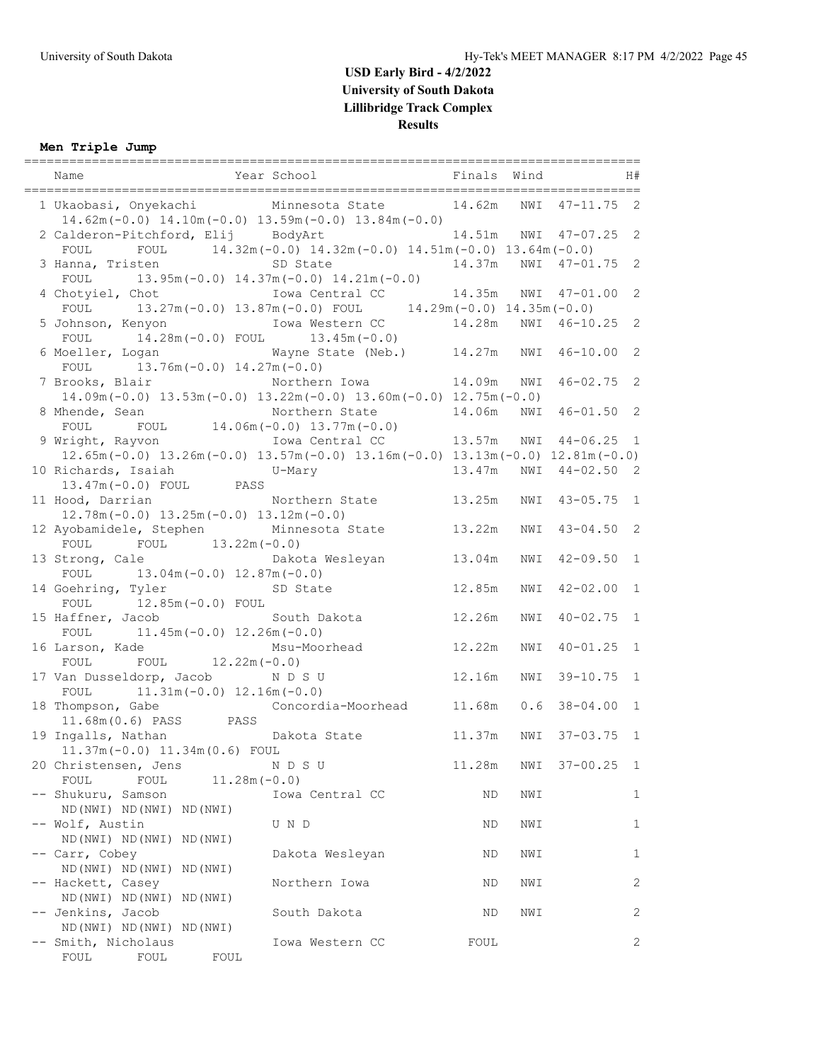### **Men Triple Jump**

| Name                                                                                                                                                                                                | Year School                                                            | Finals Wind |     |                       | H#           |
|-----------------------------------------------------------------------------------------------------------------------------------------------------------------------------------------------------|------------------------------------------------------------------------|-------------|-----|-----------------------|--------------|
| 1 Ukaobasi, Onyekachi Minnesota State<br>$14.62m(-0.0)$ $14.10m(-0.0)$ $13.59m(-0.0)$ $13.84m(-0.0)$                                                                                                |                                                                        | 14.62m      | NWI | $47 - 11.75$ 2        |              |
| 2 Calderon-Pitchford, Elij BodyArt                                                                                                                                                                  |                                                                        |             |     | 14.51m NWI 47-07.25 2 |              |
| FOUL<br>3 Hanna, Tristen                                                                                                                                                                            | FOUL $14.32m(-0.0) 14.32m(-0.0) 14.51m(-0.0) 13.64m(-0.0)$<br>SD State | 14.37m      |     | NWI 47-01.75 2        |              |
| FOUL $13.95m(-0.0) 14.37m(-0.0) 14.21m(-0.0)$<br>4 Chotyiel, Chot                                                                                                                                   |                                                                        |             |     |                       |              |
| Chotyiel, Chot Iowa Central CC 14.35m NWI 47-01.00 2<br>FOUL 13.27m(-0.0) 13.87m(-0.0) FOUL 14.29m(-0.0) 14.35m(-0.0)<br>Johnson, Kenyon Iowa Western CC 14.28m NWI 46-10.25 2<br>5 Johnson, Kenyon |                                                                        |             |     |                       |              |
| FOUL $14.28m(-0.0)$ FOUL $13.45m(-0.0)$<br>6 Moeller, Logan                                                                                                                                         | Wayne State (Neb.) 14.27m                                              |             | NWI | $46 - 10.00$ 2        |              |
| FOUL $13.76m(-0.0) 14.27m(-0.0)$                                                                                                                                                                    |                                                                        |             |     | $46 - 02.75$ 2        |              |
| 7 Brooks, Blair Morthern Iowa 14.09m NWI<br>$14.09m(-0.0)$ $13.53m(-0.0)$ $13.22m(-0.0)$ $13.60m(-0.0)$ $12.75m(-0.0)$                                                                              |                                                                        |             |     |                       |              |
| 8 Mhende, Sean Morthern State<br>FOUL FOUL 14.06m (-0.0) 13.77m (-0.0)                                                                                                                              |                                                                        | 14.06m      | NWI | $46 - 01.50$ 2        |              |
| 9 Wright, Rayvon<br>$12.65m(-0.0)$ $13.26m(-0.0)$ $13.57m(-0.0)$ $13.16m(-0.0)$ $13.13m(-0.0)$ $12.81m(-0.0)$                                                                                       | Iowa Central CC                                                        | 13.57m      |     | NWI 44-06.25 1        |              |
| 10 Richards, Isaiah                                                                                                                                                                                 | $U-Mary$                                                               | 13.47m      |     | NWI 44-02.50 2        |              |
| 10 Kicharus, Isaian and U-Mary<br>13.47m(-0.0) FOUL PASS<br>11 Hood, Darrian Morthern State                                                                                                         |                                                                        | 13.25m      | NWI | $43 - 05.75$ 1        |              |
| $12.78m(-0.0)$ $13.25m(-0.0)$ $13.12m(-0.0)$<br>12 Ayobamidele, Stephen Minnesota State                                                                                                             |                                                                        | 13.22m      | NWI | $43 - 04.50$ 2        |              |
| FOUL FOUL $13.22m(-0.0)$<br>13 Strong, Cale Cale Dakota Wesleyan                                                                                                                                    |                                                                        | 13.04m      | NWI | $42 - 09.50$ 1        |              |
| FOUL $13.04m(-0.0) 12.87m(-0.0)$<br>14 Goehring, Tyler SD State                                                                                                                                     |                                                                        | 12.85m      | NWI | $42 - 02.00$ 1        |              |
| FOUL $12.85m(-0.0)$ FOUL                                                                                                                                                                            |                                                                        |             |     |                       |              |
| 15 Haffner, Jacob<br>$11.45m(-0.0)$ $12.26m(-0.0)$<br>FOUL                                                                                                                                          | South Dakota                                                           | 12.26m      | NWI | $40 - 02.75$ 1        |              |
| 16 Larson, Kade<br>FOUL $12.22m(-0.0)$<br>FOUL                                                                                                                                                      | Msu-Moorhead                                                           | 12.22m      | NWI | $40 - 01.25$ 1        |              |
| 17 Van Dusseldorp, Jacob NDSU<br>FOUL $11.31m(-0.0) 12.16m(-0.0)$                                                                                                                                   |                                                                        | 12.16m      | NWI | $39 - 10.75$ 1        |              |
| 18 Thompson, Gabe Concordia-Moorhead                                                                                                                                                                |                                                                        | 11.68m      |     | $0.6$ 38-04.00 1      |              |
| $11.68m(0.6)$ PASS PASS<br>19 Ingalls, Nathan bakota State                                                                                                                                          |                                                                        | 11.37m      | NWI | $37 - 03.75$ 1        |              |
| 11.37m (-0.0) 11.34m (0.6) FOUL<br>20 Christensen, Jens                                                                                                                                             | N D S U                                                                | 11.28m      | NWI | $37 - 00.25$          | $\mathbf{1}$ |
| FOUL<br>FOUL<br>$11.28m(-0.0)$<br>-- Shukuru, Samson                                                                                                                                                | Iowa Central CC                                                        | ND          | NWI |                       | 1            |
| ND (NWI) ND (NWI) ND (NWI)<br>-- Wolf, Austin                                                                                                                                                       | U N D                                                                  | ΝD          | NWI |                       | $\mathbf{1}$ |
| ND (NWI) ND (NWI) ND (NWI)                                                                                                                                                                          |                                                                        |             |     |                       |              |
| -- Carr, Cobey<br>ND (NWI) ND (NWI) ND (NWI)                                                                                                                                                        | Dakota Wesleyan                                                        | ND          | NWI |                       | 1            |
| -- Hackett, Casey<br>ND (NWI) ND (NWI) ND (NWI)                                                                                                                                                     | Northern Iowa                                                          | ND          | NWI |                       | $\mathbf{2}$ |
| -- Jenkins, Jacob<br>ND (NWI) ND (NWI) ND (NWI)                                                                                                                                                     | South Dakota                                                           | ΝD          | NWI |                       | 2            |
| -- Smith, Nicholaus<br>FOUL<br>FOUL<br>FOUL                                                                                                                                                         | Iowa Western CC                                                        | FOUL        |     |                       | $\mathbf{2}$ |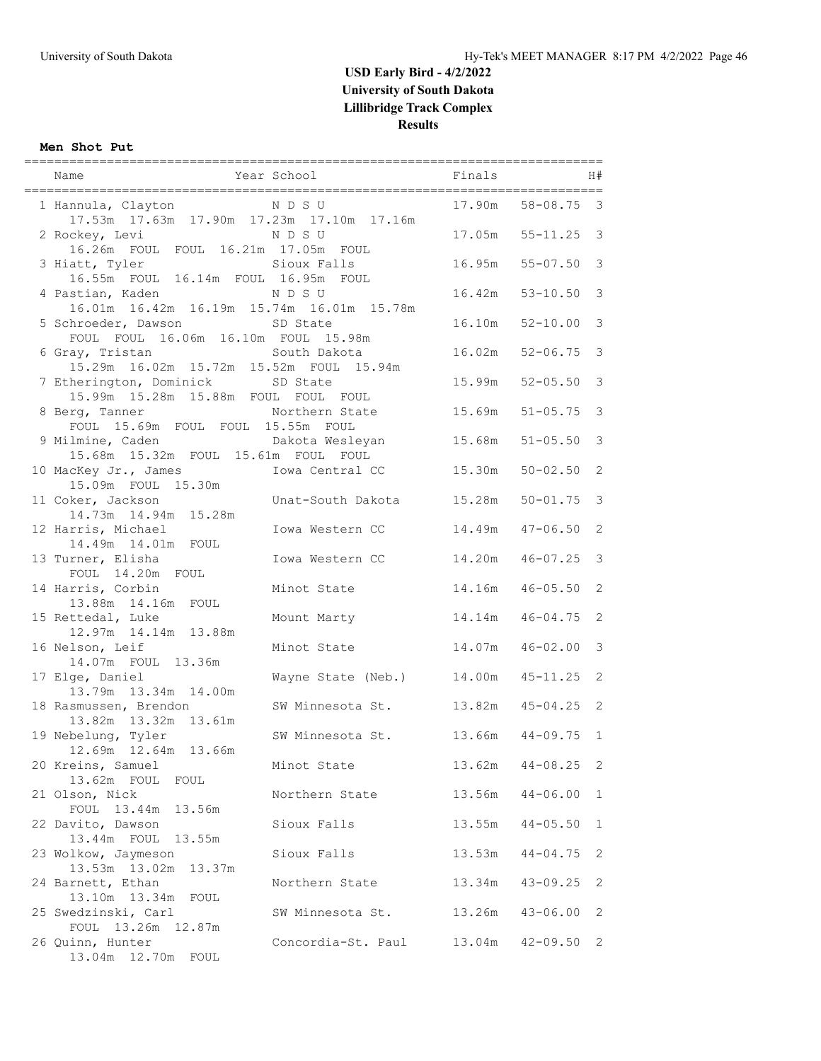#### **Men Shot Put**

|                                                                              |                                    |                  |                              | H#                           |
|------------------------------------------------------------------------------|------------------------------------|------------------|------------------------------|------------------------------|
| 1 Hannula, Clayton NDSU<br>17.53m  17.63m  17.90m  17.23m  17.10m  17.16m    |                                    | 17.90m           | $58 - 08.75$ 3               |                              |
| 2 Rockey, Levi<br>16.26m FOUL FOUL 16.21m 17.05m FOUL                        | N D S U                            |                  | 17.05m  55-11.25  3          |                              |
| 3 Hiatt, Tyler<br>16.55m FOUL 16.14m FOUL 16.95m FOUL                        | Sioux Falls                        |                  | 16.95m 55-07.50 3            |                              |
| 4 Pastian, Kaden<br>16.01m  16.42m  16.19m  15.74m  16.01m  15.78m           | N D S U                            |                  | 16.42m 53-10.50 3            |                              |
| 5 Schroeder, Dawson<br>FOUL FOUL 16.06m 16.10m FOUL 15.98m                   | SD State                           | 16.10m           | $52 - 10.00$ 3               |                              |
| 6 Gray, Tristan<br>15.29m  16.02m  15.72m  15.52m  FOUL  15.94m              | South Dakota                       | 16.02m           | $52 - 06.75$                 | $\overline{3}$               |
| 7 Etherington, Dominick SD State<br>15.99m  15.28m  15.88m  FOUL  FOUL  FOUL |                                    | 15.99m           | $52 - 05.50$                 | $\mathcal{S}$                |
| 8 Berg, Tanner<br>rg, Tanner<br>FOUL 15.69m FOUL FOUL 15.55m FOUL            |                                    | 15.69m           | $51 - 05.75$                 | $\mathcal{S}$                |
| 9 Milmine, Caden bakota Wesleyan<br>15.68m  15.32m  FOUL  15.61m  FOUL  FOUL |                                    | 15.68m           | $51 - 05.50$                 | $\mathbf{3}$                 |
| 10 MacKey Jr., James<br>15.09m FOUL 15.30m                                   | Iowa Central CC                    | 15.30m           | $50 - 02.50$                 | 2                            |
| 11 Coker, Jackson<br>14.73m  14.94m  15.28m                                  | Unat-South Dakota 15.28m           |                  | $50 - 01.75$ 3               |                              |
| 12 Harris, Michael<br>14.49m  14.01m  FOUL                                   | Iowa Western CC                    | 14.49m           | $47 - 06.50$                 | 2<br>$\overline{\mathbf{3}}$ |
| 13 Turner, Elisha<br>FOUL 14.20m FOUL<br>14 Harris, Corbin                   | Iowa Western CC<br>Minot State     | 14.20m<br>14.16m | $46 - 07.25$<br>$46 - 05.50$ | 2                            |
| 13.88m  14.16m  FOUL<br>15 Rettedal, Luke                                    | Mount Marty                        | 14.14m           | $46 - 04.75$                 | 2                            |
| 12.97m  14.14m  13.88m<br>16 Nelson, Leif                                    | Minot State                        | 14.07m           | $46 - 02.00$ 3               |                              |
| 14.07m FOUL 13.36m<br>17 Elge, Daniel                                        | Wayne State (Neb.) 14.00m          |                  | $45 - 11.25$                 | 2                            |
| 13.79m  13.34m  14.00m<br>18 Rasmussen, Brendon                              | SW Minnesota St.                   |                  | $13.82m$ $45-04.25$ 2        |                              |
| 13.82m 13.32m 13.61m<br>19 Nebelung, Tyler                                   | SW Minnesota St. 13.66m 44-09.75 1 |                  |                              |                              |
| 12.69m  12.64m  13.66m<br>20 Kreins, Samuel                                  | Minot State                        | 13.62m           | $44 - 08.25$                 | - 2                          |
| 13.62m FOUL<br>FOUL<br>21 Olson, Nick                                        | Northern State                     | 13.56m           | $44 - 06.00$                 | 1                            |
| FOUL 13.44m 13.56m<br>22 Davito, Dawson                                      | Sioux Falls                        | 13.55m           | $44 - 05.50$                 | 1                            |
| 13.55m<br>13.44m FOUL<br>23 Wolkow, Jaymeson                                 | Sioux Falls                        | 13.53m           | $44 - 04.75$                 | 2                            |
| 13.53m  13.02m  13.37m<br>24 Barnett, Ethan                                  | Northern State                     | 13.34m           | $43 - 09.25$                 | 2                            |
| 13.10m  13.34m  FOUL<br>25 Swedzinski, Carl<br>FOUL 13.26m 12.87m            | SW Minnesota St.                   | 13.26m           | $43 - 06.00$                 | 2                            |
| 26 Quinn, Hunter<br>13.04m 12.70m FOUL                                       | Concordia-St. Paul 13.04m          |                  | $42 - 09.50$                 | 2                            |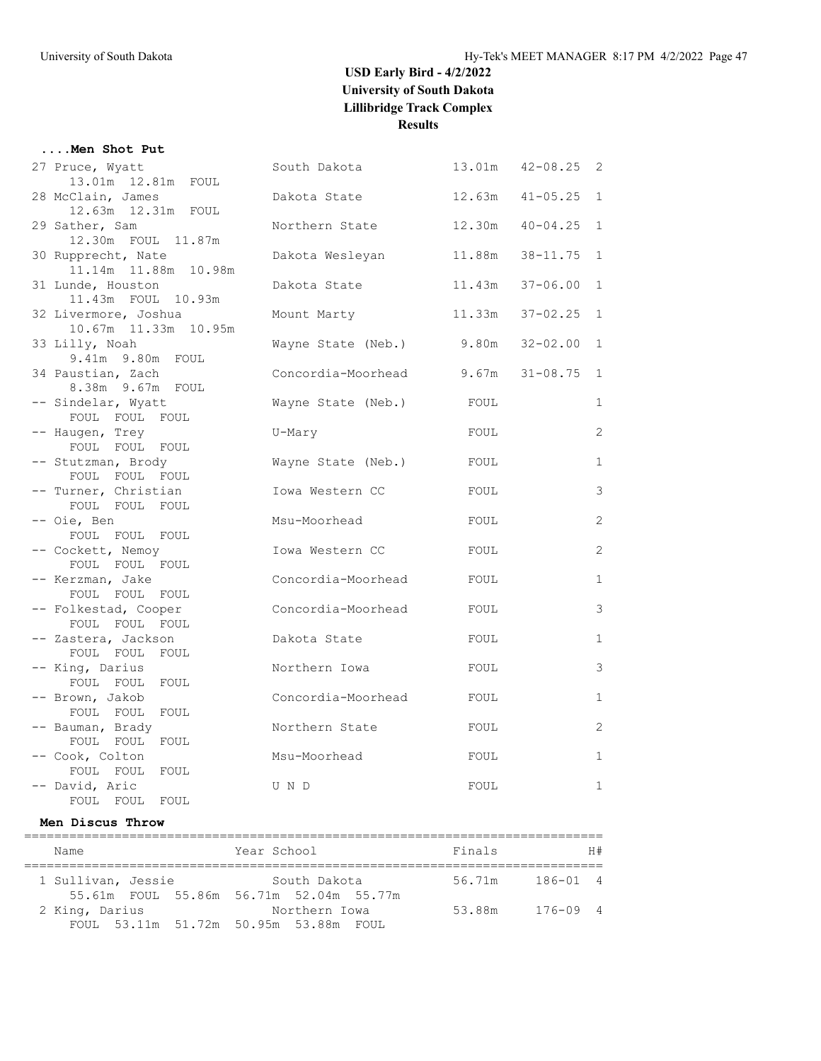#### **....Men Shot Put**

| 27 Pruce, Wyatt                           | South Dakota       | 13.01m | $42 - 08.25$   | - 2          |
|-------------------------------------------|--------------------|--------|----------------|--------------|
| 13.01m  12.81m  FOUL                      |                    |        |                |              |
| 28 McClain, James<br>12.63m  12.31m  FOUL | Dakota State       | 12.63m | $41 - 05.25$ 1 |              |
| 29 Sather, Sam                            | Northern State     | 12.30m | $40 - 04.25$   | $\mathbf{1}$ |
| 12.30m FOUL 11.87m                        |                    |        |                |              |
| 30 Rupprecht, Nate                        | Dakota Wesleyan    | 11.88m | $38 - 11.75$   | $\mathbf{1}$ |
| 11.14m  11.88m  10.98m                    |                    |        |                |              |
| 31 Lunde, Houston                         | Dakota State       | 11.43m | $37 - 06.00$   | $\mathbf{1}$ |
| 11.43m FOUL 10.93m                        |                    |        |                |              |
| 32 Livermore, Joshua                      | Mount Marty        | 11.33m | $37 - 02.25$   | $\mathbf{1}$ |
| 10.67m 11.33m 10.95m                      |                    |        |                |              |
| 33 Lilly, Noah<br>9.41m 9.80m FOUL        | Wayne State (Neb.) | 9.80m  | $32 - 02.00$   | 1            |
| 34 Paustian, Zach                         | Concordia-Moorhead | 9.67m  | $31 - 08.75$   | $\mathbf{1}$ |
| 8.38m 9.67m FOUL                          |                    |        |                |              |
| -- Sindelar, Wyatt                        | Wayne State (Neb.) | FOUL   |                | $\mathbf{1}$ |
| FOUL FOUL FOUL                            |                    |        |                |              |
| -- Haugen, Trey                           | U-Mary             | FOUL   |                | 2            |
| FOUL FOUL FOUL                            |                    |        |                |              |
| -- Stutzman, Brody                        | Wayne State (Neb.) | FOUL   |                | $\mathbf{1}$ |
| FOUL FOUL FOUL                            |                    |        |                |              |
| -- Turner, Christian                      | Iowa Western CC    | FOUL   |                | 3            |
| FOUL FOUL FOUL                            |                    |        |                |              |
| -- Oie, Ben                               | Msu-Moorhead       | FOUL   |                | 2            |
| FOUL FOUL FOUL<br>-- Cockett, Nemoy       | Iowa Western CC    | FOUL   |                | 2            |
| FOUL FOUL FOUL                            |                    |        |                |              |
| -- Kerzman, Jake                          | Concordia-Moorhead | FOUL   |                | $\mathbf{1}$ |
| FOUL FOUL FOUL                            |                    |        |                |              |
| -- Folkestad, Cooper                      | Concordia-Moorhead | FOUL   |                | 3            |
| FOUL FOUL FOUL                            |                    |        |                |              |
| -- Zastera, Jackson                       | Dakota State       | FOUL   |                | $\mathbf{1}$ |
| FOUL FOUL FOUL                            |                    |        |                |              |
| -- King, Darius                           | Northern Iowa      | FOUL   |                | 3            |
| FOUL FOUL FOUL                            |                    |        |                |              |
| -- Brown, Jakob                           | Concordia-Moorhead | FOUL   |                | $\mathbf{1}$ |
| FOUL FOUL FOUL<br>-- Bauman, Brady        | Northern State     | FOUL   |                | 2            |
| FOUL FOUL FOUL                            |                    |        |                |              |
| -- Cook, Colton                           | Msu-Moorhead       | FOUL   |                | $\mathbf{1}$ |
| FOUL FOUL FOUL                            |                    |        |                |              |
| -- David, Aric                            | U N D              | FOUL   |                | $\mathbf{1}$ |
| FOUL FOUL<br>FOUL                         |                    |        |                |              |

#### **Men Discus Throw**

| Name               | Year School                                              | Finals | H#           |
|--------------------|----------------------------------------------------------|--------|--------------|
| 1 Sullivan, Jessie | South Dakota                                             | 56.71m | 186-01 4     |
| 2 King, Darius     | 55.61m FOUL 55.86m 56.71m 52.04m 55.77m<br>Northern Iowa | 53.88m | $176 - 09$ 4 |
|                    | FOUL 53.11m 51.72m 50.95m 53.88m FOUL                    |        |              |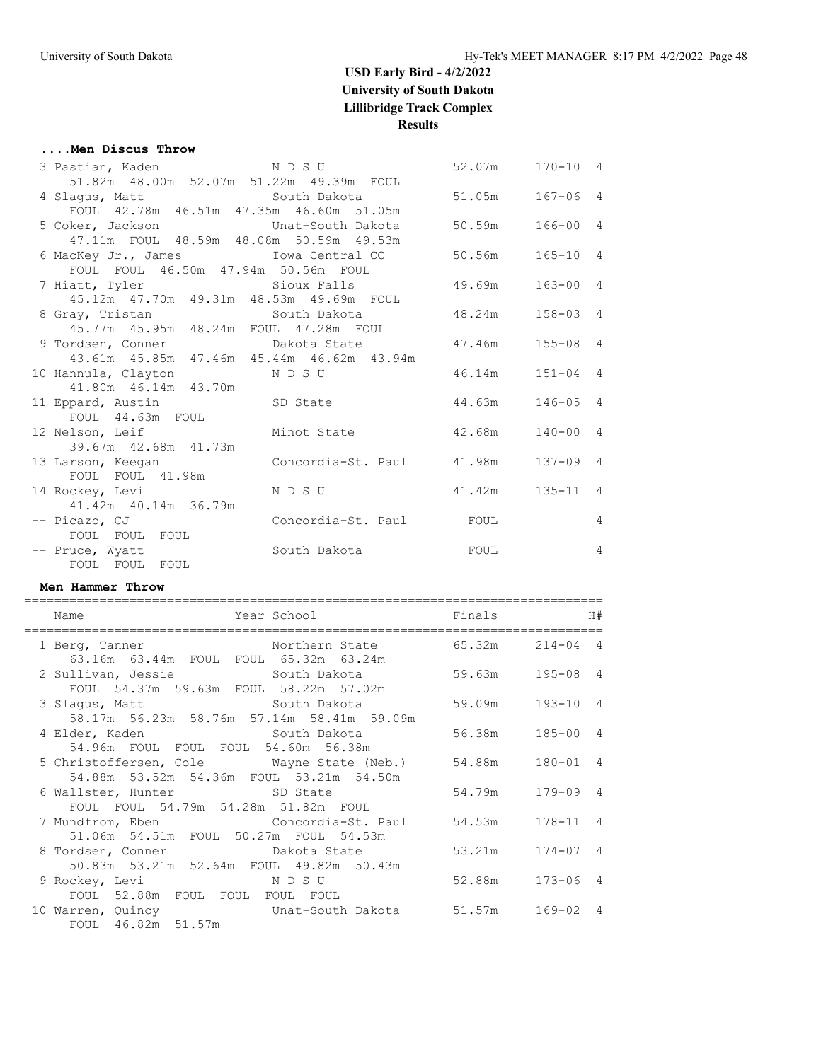#### **....Men Discus Throw**

| 3 Pastian, Kaden NDSU                                             |                                      | 52.07m 170-10 4 |              |                |
|-------------------------------------------------------------------|--------------------------------------|-----------------|--------------|----------------|
| 51.82m 48.00m 52.07m 51.22m 49.39m FOUL                           |                                      |                 |              |                |
|                                                                   |                                      |                 | $167 - 06$ 4 |                |
| FOUL 42.78m 46.51m 47.35m 46.60m 51.05m                           |                                      |                 |              |                |
| 5 Coker, Jackson Chat-South Dakota 50.59m                         |                                      |                 | $166 - 00$ 4 |                |
| 47.11m FOUL 48.59m 48.08m 50.59m 49.53m                           |                                      |                 |              |                |
| 6 MacKey Jr., James              Iowa Central CC           50.56m |                                      |                 | $165 - 10$ 4 |                |
| FOUL FOUL 46.50m 47.94m 50.56m FOUL                               |                                      |                 |              |                |
| 7 Hiatt, Tyler Sioux Falls                                        |                                      | 49.69m          | $163 - 00$ 4 |                |
| 45.12m  47.70m  49.31m  48.53m  49.69m  FOUL                      |                                      |                 |              |                |
| 8 Gray, Tristan Martin South Dakota                               |                                      | 48.24m          | $158 - 03$ 4 |                |
| 45.77m  45.95m  48.24m  FOUL  47.28m  FOUL                        |                                      |                 |              |                |
| 9 Tordsen, Conner bakota State 47.46m                             |                                      |                 | $155 - 08$ 4 |                |
| 43.61m  45.85m  47.46m  45.44m  46.62m  43.94m                    |                                      |                 |              |                |
| 10 Hannula, Clayton NDSU                                          |                                      | 46.14m          | $151 - 04$ 4 |                |
| 41.80m  46.14m  43.70m                                            |                                      |                 |              |                |
| 11 Eppard, Austin SD State                                        |                                      | 44.63m          | $146 - 05$ 4 |                |
| FOUL 44.63m FOUL                                                  |                                      |                 |              |                |
| 12 Nelson, Leif Minot State                                       |                                      | 42.68m          | $140 - 00$ 4 |                |
| 39.67m  42.68m  41.73m                                            |                                      |                 |              |                |
| 13 Larson, Keegan                                                 | Concordia-St. Paul 41.98m            |                 | $137 - 09$ 4 |                |
| FOUL FOUL 41.98m                                                  |                                      |                 |              |                |
| 14 Rockey, Levi                                                   | NDSU                                 | 41.42m          | $135 - 11$ 4 |                |
| 41.42m 40.14m 36.79m                                              |                                      |                 |              |                |
|                                                                   |                                      |                 |              | $\overline{4}$ |
| FOUL FOUL FOUL                                                    |                                      |                 |              |                |
| -- Pruce, Wyatt                                                   | South Dakota<br><b>EXECUTE:</b> FOUL |                 |              | $\overline{4}$ |
| FOUL FOUL FOUL                                                    |                                      |                 |              |                |

#### **Men Hammer Throw**

| Name<br>----------------------------                                                                                   |                 |              |
|------------------------------------------------------------------------------------------------------------------------|-----------------|--------------|
| Northern State 65.32m 214-04 4<br>1 Berg, Tanner<br>63.16m  63.44m  FOUL  FOUL  65.32m  63.24m                         |                 |              |
| 2 Sullivan, Jessie             South Dakota             59.63m     195-08   4<br>FOUL 54.37m 59.63m FOUL 58.22m 57.02m |                 |              |
| 58.17m 56.23m 58.76m 57.14m 58.41m 59.09m                                                                              |                 | $193 - 10$ 4 |
| 4 Elder, Kaden                     South Dakota               56.38m<br>54.96m  FOUL  FOUL  FOUL  54.60m  56.38m       |                 | $185 - 00$ 4 |
| 5 Christoffersen, Cole Mayne State (Neb.) 54.88m<br>54.88m 53.52m 54.36m FOUL 53.21m 54.50m                            |                 | $180 - 01$ 4 |
| 6 Wallster, Hunter SD State 54.79m<br>FOUL FOUL 54.79m 54.28m 51.82m FOUL                                              |                 | $179 - 09$ 4 |
| 7 Mundfrom, Eben       Concordia-St. Paul     54.53m<br>51.06m 54.51m FOUL 50.27m FOUL 54.53m                          |                 | $178 - 11$ 4 |
| 8 Tordsen, Conner bakota State 53.21m 174-07 4<br>50.83m 53.21m 52.64m FOUL 49.82m 50.43m                              |                 |              |
| FOUL 52.88m FOUL FOUL FOUL FOUL                                                                                        | 52.88m 173-06 4 |              |
| 10 Warren, Quincy <b>10 Unat-South Dakota</b> 51.57m<br>FOUL 46.82m 51.57m                                             |                 | $169 - 02$ 4 |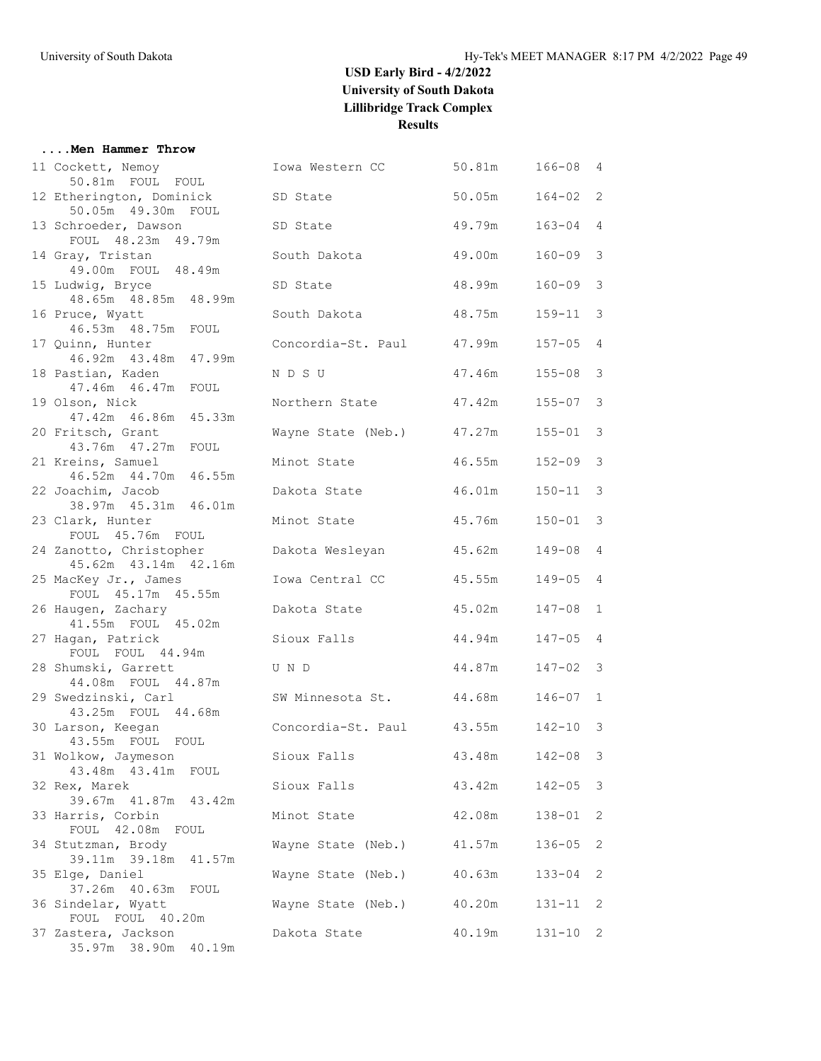#### **....Men Hammer Throw**

| 11 Cockett, Nemoy                                | Iowa Western CC           | 50.81m | 166-08     | 4             |
|--------------------------------------------------|---------------------------|--------|------------|---------------|
| 50.81m FOUL FOUL                                 |                           | 50.05m |            |               |
| 12 Etherington, Dominick<br>50.05m  49.30m  FOUL | SD State                  |        | 164-02     | 2             |
| 13 Schroeder, Dawson                             | SD State                  | 49.79m | 163-04     | 4             |
| FOUL 48.23m 49.79m                               |                           |        |            |               |
| 14 Gray, Tristan                                 | South Dakota              | 49.00m | $160 - 09$ | 3             |
| 49.00m FOUL 48.49m                               |                           |        |            |               |
| 15 Ludwig, Bryce                                 | SD State                  | 48.99m | $160 - 09$ | $\mathcal{E}$ |
| 48.65m  48.85m  48.99m                           |                           |        |            |               |
| 16 Pruce, Wyatt<br>46.53m  48.75m  FOUL          | South Dakota              | 48.75m | $159 - 11$ | 3             |
| 17 Quinn, Hunter                                 | Concordia-St. Paul        | 47.99m | $157 - 05$ | 4             |
| 46.92m  43.48m  47.99m                           |                           |        |            |               |
| 18 Pastian, Kaden                                | N D S U                   | 47.46m | $155 - 08$ | 3             |
| 47.46m  46.47m  FOUL                             |                           |        |            |               |
| 19 Olson, Nick                                   | Northern State            | 47.42m | $155 - 07$ | 3             |
| 47.42m 46.86m 45.33m<br>20 Fritsch, Grant        | Wayne State (Neb.)        | 47.27m | $155 - 01$ | 3             |
| 43.76m  47.27m  FOUL                             |                           |        |            |               |
| 21 Kreins, Samuel                                | Minot State               | 46.55m | $152 - 09$ | $\mathcal{E}$ |
| 46.52m  44.70m  46.55m                           |                           |        |            |               |
| 22 Joachim, Jacob                                | Dakota State              | 46.01m | $150 - 11$ | 3             |
| 38.97m 45.31m 46.01m<br>23 Clark, Hunter         | Minot State               | 45.76m | $150 - 01$ | 3             |
| FOUL 45.76m FOUL                                 |                           |        |            |               |
| 24 Zanotto, Christopher                          | Dakota Wesleyan           | 45.62m | $149 - 08$ | 4             |
| 45.62m  43.14m  42.16m                           |                           |        |            |               |
| 25 MacKey Jr., James                             | Iowa Central CC           | 45.55m | $149 - 05$ | 4             |
| FOUL 45.17m 45.55m                               |                           |        |            | $\mathbf{1}$  |
| 26 Haugen, Zachary<br>41.55m FOUL 45.02m         | Dakota State              | 45.02m | 147-08     |               |
| 27 Hagan, Patrick                                | Sioux Falls               | 44.94m | $147 - 05$ | 4             |
| FOUL FOUL 44.94m                                 |                           |        |            |               |
| 28 Shumski, Garrett                              | U N D                     | 44.87m | 147-02     | 3             |
| 44.08m FOUL 44.87m                               | SW Minnesota St.          |        |            |               |
| 29 Swedzinski, Carl<br>43.25m FOUL 44.68m        |                           | 44.68m | $146 - 07$ | 1             |
| 30 Larson, Keegan                                | Concordia-St. Paul 43.55m |        | 142-10     | 3             |
| 43.55m FOUL FOUL                                 |                           |        |            |               |
| 31 Wolkow, Jaymeson                              | Sioux Falls               | 43.48m | $142 - 08$ | 3             |
| 43.48m  43.41m  FOUL                             |                           |        |            |               |
| 32 Rex, Marek<br>39.67m 41.87m 43.42m            | Sioux Falls               | 43.42m | $142 - 05$ | 3             |
| 33 Harris, Corbin                                | Minot State               | 42.08m | $138 - 01$ | 2             |
| FOUL 42.08m FOUL                                 |                           |        |            |               |
| 34 Stutzman, Brody                               | Wayne State (Neb.)        | 41.57m | 136-05     | 2             |
| 39.11m 39.18m 41.57m                             |                           |        |            |               |
| 35 Elge, Daniel<br>37.26m  40.63m  FOUL          | Wayne State (Neb.)        | 40.63m | $133 - 04$ | 2             |
| 36 Sindelar, Wyatt                               | Wayne State (Neb.)        | 40.20m | 131-11     | 2             |
| FOUL FOUL 40.20m                                 |                           |        |            |               |
| 37 Zastera, Jackson                              | Dakota State              | 40.19m | 131-10 2   |               |
| 35.97m 38.90m 40.19m                             |                           |        |            |               |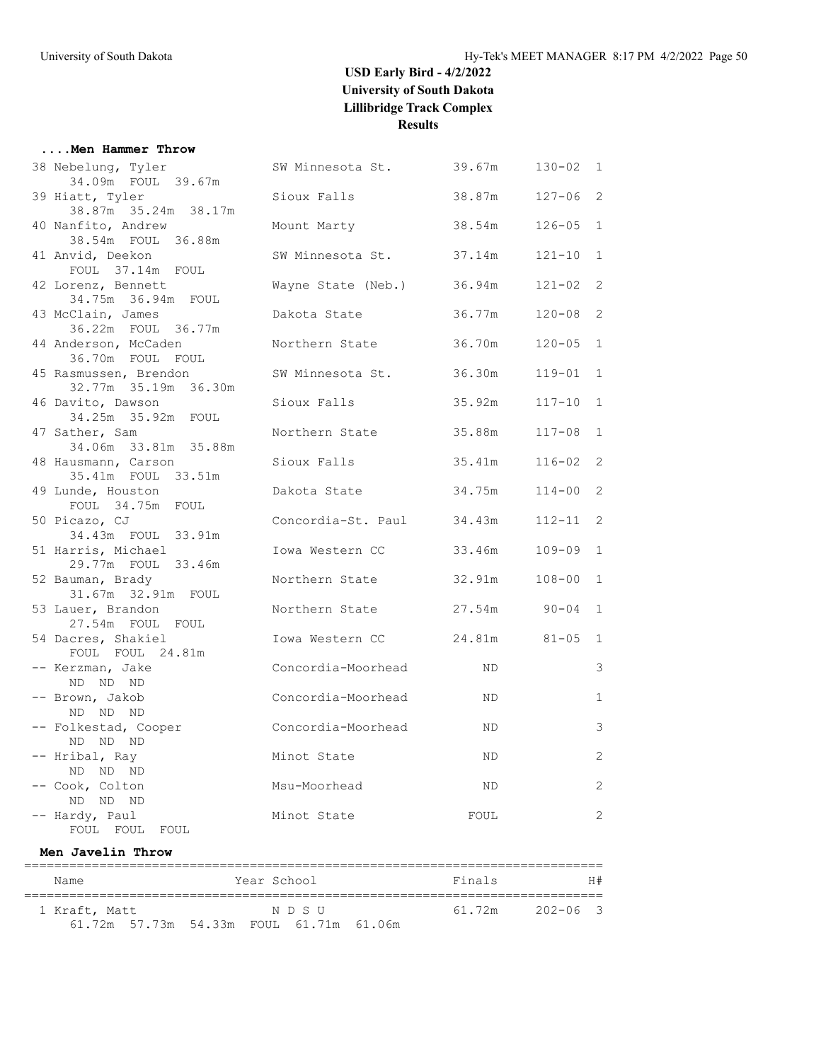#### **....Men Hammer Throw**

| Name                                                         | Year School                    | Finals         |              | H#             |
|--------------------------------------------------------------|--------------------------------|----------------|--------------|----------------|
| Men Javelin Throw                                            |                                |                |              |                |
| -- Hardy, Paul<br>FOUL FOUL FOUL                             | Minot State                    | FOUL           |              | 2              |
| -- Cook, Colton<br>ND ND ND                                  | Msu-Moorhead                   | ND             |              | 2              |
| -- Hribal, Ray<br>ND ND ND                                   | Minot State                    | ND.            |              | 2              |
| -- Folkestad, Cooper<br>ND ND ND                             | Concordia-Moorhead             | ND.            |              | $\mathcal{E}$  |
| -- Brown, Jakob<br>ND ND ND                                  | Concordia-Moorhead             | ND             |              | $\mathbf{1}$   |
| -- Kerzman, Jake<br>ND ND ND                                 | Concordia-Moorhead             | ND.            |              | 3              |
| 54 Dacres, Shakiel<br>FOUL FOUL 24.81m                       | Iowa Western CC 24.81m 81-05 1 |                |              |                |
| 31.67m 32.91m FOUL<br>53 Lauer, Brandon<br>27.54m FOUL FOUL  | Northern State                 | 27.54m 90-04 1 |              |                |
| 29.77m FOUL 33.46m<br>52 Bauman, Brady                       | Northern State                 | 32.91m         | $108 - 00$   | $\overline{1}$ |
| 51 Harris, Michael                                           | Iowa Western CC                | 33.46m         | 109-09       | $\overline{1}$ |
| FOUL 34.75m FOUL<br>50 Picazo, CJ<br>34.43m FOUL 33.91m      | Concordia-St. Paul 34.43m      |                | $112 - 11$ 2 |                |
| 49 Lunde, Houston                                            | Dakota State 34.75m            |                | $114 - 00$ 2 |                |
| 48 Hausmann, Carson<br>35.41m  FOUL  33.51m                  | Sioux Falls                    | 35.41m         | $116 - 02$ 2 |                |
| 34.25m 35.92m FOUL<br>47 Sather, Sam<br>34.06m 33.81m 35.88m | Northern State                 | 35.88m         | $117 - 08$   | $\mathbf{1}$   |
| 32.77m 35.19m 36.30m<br>46 Davito, Dawson                    | Sioux Falls                    | 35.92m         | $117 - 10$   | $\mathbf{1}$   |
| 36.70m FOUL FOUL<br>45 Rasmussen, Brendon                    | SW Minnesota St.               | 36.30m         | $119 - 01$ 1 |                |
| 36.22m FOUL 36.77m<br>44 Anderson, McCaden                   | Northern State                 | 36.70m         | $120 - 05$   | $\overline{1}$ |
| 34.75m 36.94m FOUL<br>43 McClain, James                      | Dakota State                   | 36.77m         | $120 - 08$ 2 |                |
| FOUL 37.14m FOUL<br>42 Lorenz, Bennett                       | Wayne State (Neb.) 36.94m      |                | $121 - 02$ 2 |                |
| 38.54m FOUL 36.88m<br>41 Anvid, Deekon                       | SW Minnesota St. 37.14m        |                | $121 - 10$ 1 |                |
| 38.87m 35.24m 38.17m<br>40 Nanfito, Andrew                   | Mount Marty                    | 38.54m         | $126 - 05$   | $\mathbf{1}$   |
| 34.09m FOUL 39.67m<br>39 Hiatt, Tyler                        | Sioux Falls                    | 38.87m         | $127 - 06$ 2 |                |
| 38 Nebelung, Tyler                                           | SW Minnesota St. 39.67m        |                | $130 - 02$ 1 |                |

| <u>ivanc</u>  |  | TOUT DOMOOT                             | ---------       | 11 TF |
|---------------|--|-----------------------------------------|-----------------|-------|
|               |  |                                         |                 |       |
| 1 Kraft, Matt |  | NDSU                                    | 61.72m 202-06 3 |       |
|               |  | 61.72m 57.73m 54.33m FOUL 61.71m 61.06m |                 |       |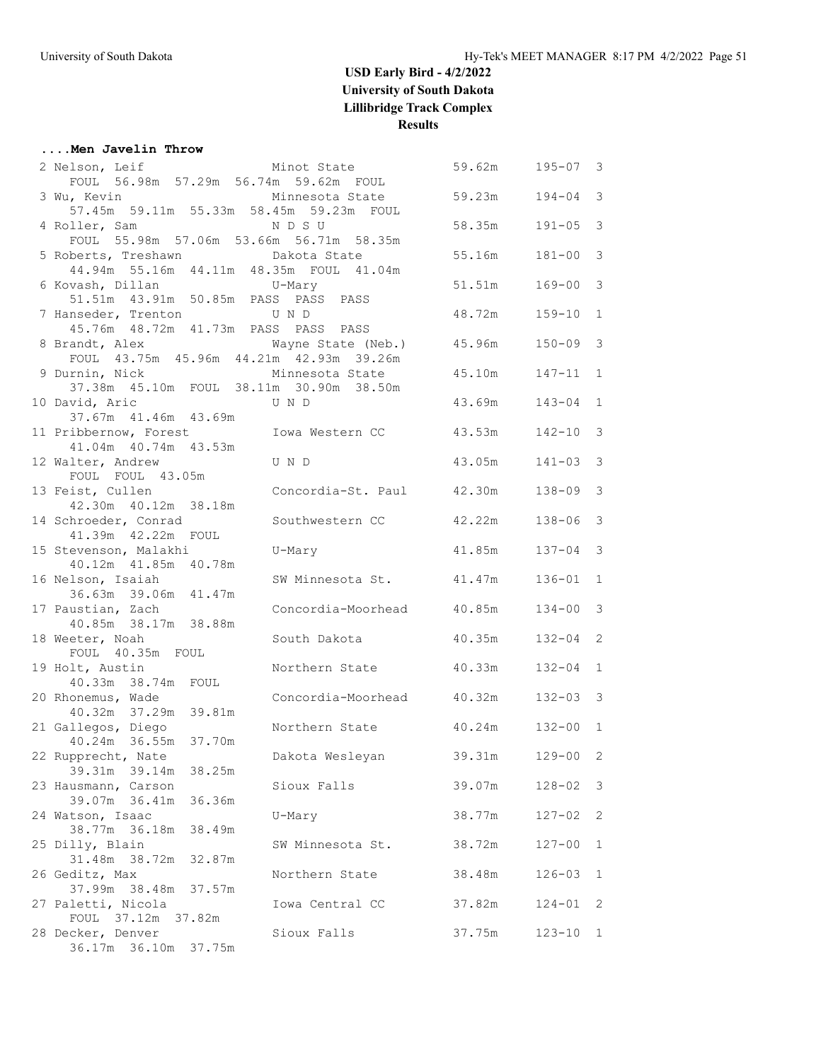#### **....Men Javelin Throw**

| Minot State<br>2 Nelson, Leif                |                           | 59.62m | $195 - 07$ 3 |                |
|----------------------------------------------|---------------------------|--------|--------------|----------------|
| FOUL 56.98m 57.29m 56.74m 59.62m FOUL        |                           |        |              |                |
| 3 Wu, Kevin                                  | Minnesota State           | 59.23m | $194 - 04$   | 3              |
| 57.45m 59.11m 55.33m 58.45m 59.23m FOUL      |                           |        |              |                |
| 4 Roller, Sam                                | N D S U                   | 58.35m | $191 - 05$ 3 |                |
| FOUL 55.98m 57.06m 53.66m 56.71m 58.35m      |                           |        |              |                |
| 5 Roberts, Treshawn                          | Dakota State              | 55.16m | 181-00       | 3              |
| 44.94m 55.16m 44.11m 48.35m FOUL 41.04m      |                           |        |              |                |
| 6 Kovash, Dillan                             | U-Mary                    | 51.51m | $169 - 00$ 3 |                |
| 51.51m  43.91m  50.85m  PASS  PASS  PASS     |                           |        |              |                |
| 7 Hanseder, Trenton                          | U N D                     | 48.72m | $159 - 10$ 1 |                |
| 45.76m  48.72m  41.73m  PASS  PASS  PASS     |                           |        |              |                |
| 8 Brandt, Alex                               | Wayne State (Neb.)        | 45.96m | $150 - 09$ 3 |                |
| FOUL 43.75m 45.96m 44.21m 42.93m 39.26m      |                           |        |              |                |
| 9 Durnin, Nick                               | Minnesota State           | 45.10m | $147 - 11$ 1 |                |
| 37.38m  45.10m  FOUL  38.11m  30.90m  38.50m |                           |        |              |                |
| 10 David, Aric<br>37.67m 41.46m 43.69m       | U N D                     | 43.69m | $143 - 04$ 1 |                |
| 11 Pribbernow, Forest                        | Iowa Western CC           | 43.53m | 142-10       | $\mathcal{E}$  |
| 41.04m  40.74m  43.53m                       |                           |        |              |                |
| 12 Walter, Andrew                            | U N D                     | 43.05m | $141 - 03$ 3 |                |
| FOUL FOUL 43.05m                             |                           |        |              |                |
| 13 Feist, Cullen                             | Concordia-St. Paul 42.30m |        | $138 - 09$ 3 |                |
| 42.30m  40.12m  38.18m                       |                           |        |              |                |
| 14 Schroeder, Conrad                         | Southwestern CC           | 42.22m | 138-06       | $\mathcal{E}$  |
| 41.39m  42.22m  FOUL                         |                           |        |              |                |
| 15 Stevenson, Malakhi                        | U-Mary                    | 41.85m | 137-04       | 3              |
| 40.12m  41.85m  40.78m                       |                           |        |              |                |
| 16 Nelson, Isaiah                            | SW Minnesota St. 41.47m   |        | $136 - 01$ 1 |                |
| 36.63m 39.06m 41.47m                         |                           |        |              |                |
| 17 Paustian, Zach                            | Concordia-Moorhead 40.85m |        | 134-00       | $\mathcal{E}$  |
| 40.85m 38.17m 38.88m                         |                           |        |              |                |
| 18 Weeter, Noah                              | South Dakota              | 40.35m | $132 - 04$ 2 |                |
| FOUL 40.35m FOUL                             |                           |        |              |                |
| 19 Holt, Austin                              | Northern State            | 40.33m | $132 - 04$ 1 |                |
| 40.33m 38.74m FOUL                           | Concordia-Moorhead 40.32m |        |              |                |
| 20 Rhonemus, Wade<br>40.32m 37.29m 39.81m    |                           |        | $132 - 03$ 3 |                |
| 21 Gallegos, Diego                           | Northern State            | 40.24m | $132 - 00$ 1 |                |
| 40.24m 36.55m 37.70m                         |                           |        |              |                |
| 22 Rupprecht, Nate                           | Dakota Wesleyan           | 39.31m | 129-00       | $\overline{2}$ |
| 39.31m 39.14m<br>38.25m                      |                           |        |              |                |
| 23 Hausmann, Carson                          | Sioux Falls               | 39.07m | $128 - 02$   | 3              |
| 39.07m 36.41m 36.36m                         |                           |        |              |                |
| 24 Watson, Isaac                             | U-Mary                    | 38.77m | $127 - 02$   | 2              |
| 38.77m 36.18m<br>38.49m                      |                           |        |              |                |
| 25 Dilly, Blain                              | SW Minnesota St.          | 38.72m | 127-00       | 1              |
| 31.48m 38.72m<br>32.87m                      |                           |        |              |                |
| 26 Geditz, Max                               | Northern State            | 38.48m | $126 - 03$   | 1              |
| 37.99m 38.48m 37.57m                         |                           |        |              |                |
| 27 Paletti, Nicola                           | Iowa Central CC           | 37.82m | 124-01 2     |                |
| FOUL 37.12m 37.82m                           |                           |        |              |                |
| 28 Decker, Denver                            | Sioux Falls               | 37.75m | $123 - 10$ 1 |                |
| 36.17m 36.10m 37.75m                         |                           |        |              |                |